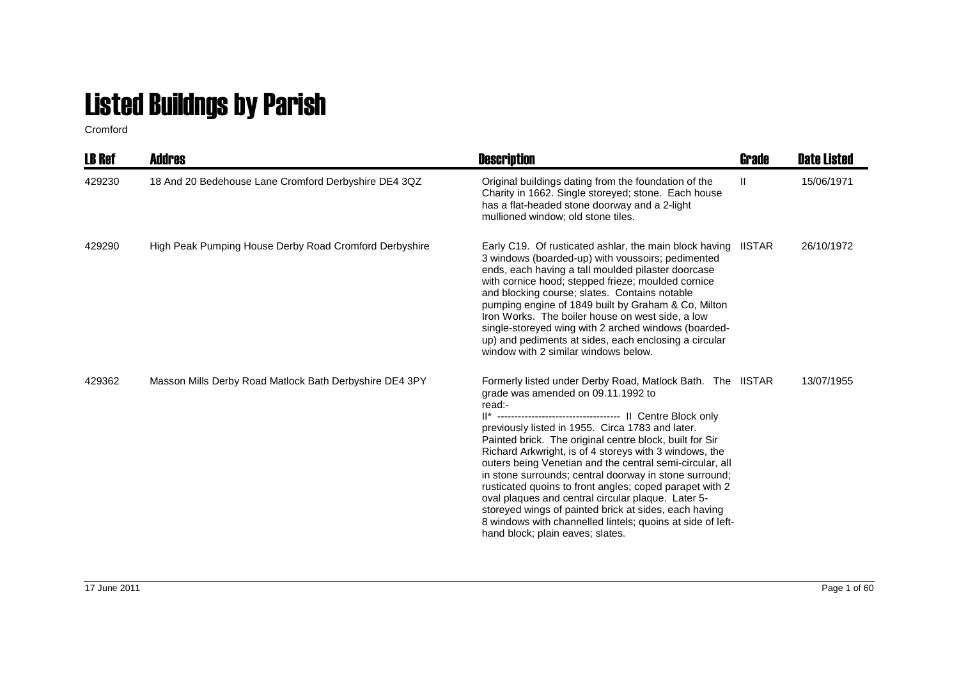## Listed Buildngs by Parish

Cromford

| <b>LB Ref</b> | Addres                                                  | <b>Description</b>                                                                                                                                                                                                                                                                                                                                                                                                                                                                                                                                                                                                                                                                    | Grade        | <b>Date Listed</b> |
|---------------|---------------------------------------------------------|---------------------------------------------------------------------------------------------------------------------------------------------------------------------------------------------------------------------------------------------------------------------------------------------------------------------------------------------------------------------------------------------------------------------------------------------------------------------------------------------------------------------------------------------------------------------------------------------------------------------------------------------------------------------------------------|--------------|--------------------|
| 429230        | 18 And 20 Bedehouse Lane Cromford Derbyshire DE4 3QZ    | Original buildings dating from the foundation of the<br>Charity in 1662. Single storeyed; stone. Each house<br>has a flat-headed stone doorway and a 2-light<br>mullioned window; old stone tiles.                                                                                                                                                                                                                                                                                                                                                                                                                                                                                    | $\mathbf{H}$ | 15/06/1971         |
| 429290        | High Peak Pumping House Derby Road Cromford Derbyshire  | Early C19. Of rusticated ashlar, the main block having IISTAR<br>3 windows (boarded-up) with voussoirs; pedimented<br>ends, each having a tall moulded pilaster doorcase<br>with cornice hood; stepped frieze; moulded cornice<br>and blocking course; slates. Contains notable<br>pumping engine of 1849 built by Graham & Co, Milton<br>Iron Works. The boiler house on west side, a low<br>single-storeyed wing with 2 arched windows (boarded-<br>up) and pediments at sides, each enclosing a circular<br>window with 2 similar windows below.                                                                                                                                   |              | 26/10/1972         |
| 429362        | Masson Mills Derby Road Matlock Bath Derbyshire DE4 3PY | Formerly listed under Derby Road, Matlock Bath. The IISTAR<br>grade was amended on 09.11.1992 to<br>read:-<br>previously listed in 1955. Circa 1783 and later.<br>Painted brick. The original centre block, built for Sir<br>Richard Arkwright, is of 4 storeys with 3 windows, the<br>outers being Venetian and the central semi-circular, all<br>in stone surrounds; central doorway in stone surround;<br>rusticated quoins to front angles; coped parapet with 2<br>oval plaques and central circular plaque. Later 5-<br>storeyed wings of painted brick at sides, each having<br>8 windows with channelled lintels; quoins at side of left-<br>hand block; plain eaves; slates. |              | 13/07/1955         |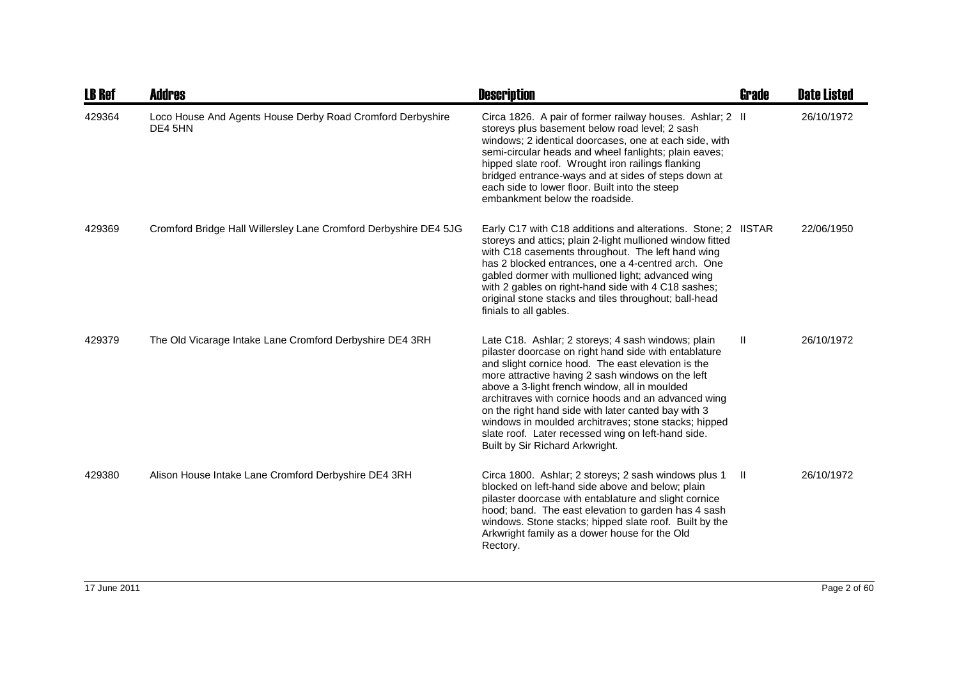| <b>LB Ref</b> | <b>Addres</b>                                                         | <b>Description</b>                                                                                                                                                                                                                                                                                                                                                                                                                                                                                                                     | Grade        | <b>Date Listed</b> |
|---------------|-----------------------------------------------------------------------|----------------------------------------------------------------------------------------------------------------------------------------------------------------------------------------------------------------------------------------------------------------------------------------------------------------------------------------------------------------------------------------------------------------------------------------------------------------------------------------------------------------------------------------|--------------|--------------------|
| 429364        | Loco House And Agents House Derby Road Cromford Derbyshire<br>DE4 5HN | Circa 1826. A pair of former railway houses. Ashlar; 2 II<br>storeys plus basement below road level; 2 sash<br>windows; 2 identical doorcases, one at each side, with<br>semi-circular heads and wheel fanlights; plain eaves;<br>hipped slate roof. Wrought iron railings flanking<br>bridged entrance-ways and at sides of steps down at<br>each side to lower floor. Built into the steep<br>embankment below the roadside.                                                                                                         |              | 26/10/1972         |
| 429369        | Cromford Bridge Hall Willersley Lane Cromford Derbyshire DE4 5JG      | Early C17 with C18 additions and alterations. Stone; 2 IISTAR<br>storeys and attics; plain 2-light mullioned window fitted<br>with C18 casements throughout. The left hand wing<br>has 2 blocked entrances, one a 4-centred arch. One<br>gabled dormer with mullioned light; advanced wing<br>with 2 gables on right-hand side with 4 C18 sashes;<br>original stone stacks and tiles throughout; ball-head<br>finials to all gables.                                                                                                   |              | 22/06/1950         |
| 429379        | The Old Vicarage Intake Lane Cromford Derbyshire DE4 3RH              | Late C18. Ashlar; 2 storeys; 4 sash windows; plain<br>pilaster doorcase on right hand side with entablature<br>and slight cornice hood. The east elevation is the<br>more attractive having 2 sash windows on the left<br>above a 3-light french window, all in moulded<br>architraves with cornice hoods and an advanced wing<br>on the right hand side with later canted bay with 3<br>windows in moulded architraves; stone stacks; hipped<br>slate roof. Later recessed wing on left-hand side.<br>Built by Sir Richard Arkwright. | $\mathbf{H}$ | 26/10/1972         |
| 429380        | Alison House Intake Lane Cromford Derbyshire DE4 3RH                  | Circa 1800. Ashlar; 2 storeys; 2 sash windows plus 1<br>blocked on left-hand side above and below; plain<br>pilaster doorcase with entablature and slight cornice<br>hood; band. The east elevation to garden has 4 sash<br>windows. Stone stacks; hipped slate roof. Built by the<br>Arkwright family as a dower house for the Old<br>Rectory.                                                                                                                                                                                        | $\mathbf{H}$ | 26/10/1972         |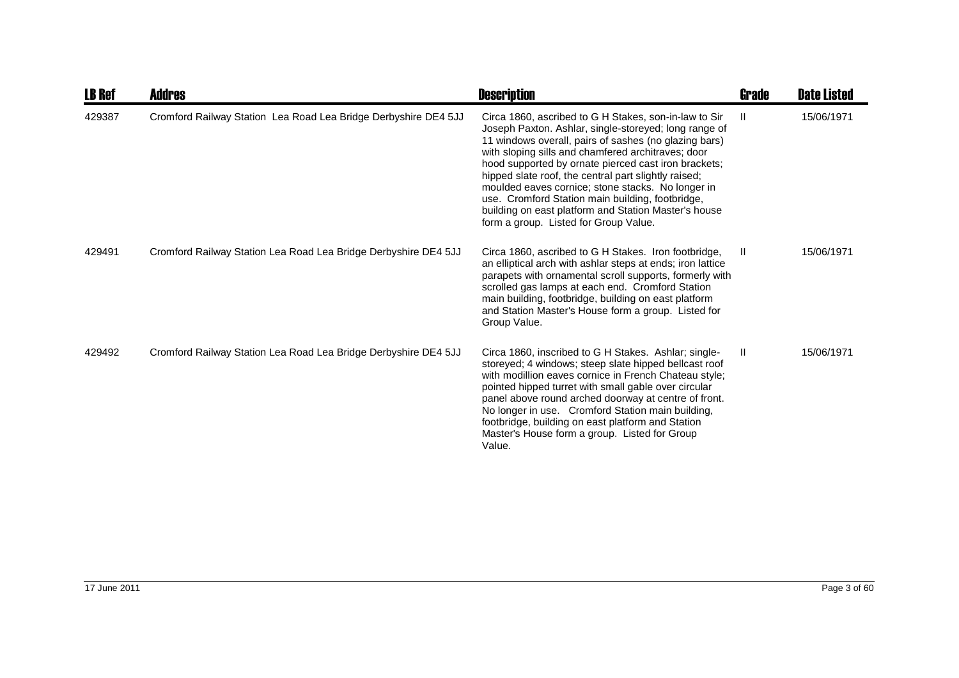| <b>LB Ref</b> | <b>Addres</b>                                                   | <b>Description</b>                                                                                                                                                                                                                                                                                                                                                                                                                                                                                                                                      | <b>Grade</b> | <b>Date Listed</b> |
|---------------|-----------------------------------------------------------------|---------------------------------------------------------------------------------------------------------------------------------------------------------------------------------------------------------------------------------------------------------------------------------------------------------------------------------------------------------------------------------------------------------------------------------------------------------------------------------------------------------------------------------------------------------|--------------|--------------------|
| 429387        | Cromford Railway Station Lea Road Lea Bridge Derbyshire DE4 5JJ | Circa 1860, ascribed to G H Stakes, son-in-law to Sir<br>Joseph Paxton. Ashlar, single-storeyed; long range of<br>11 windows overall, pairs of sashes (no glazing bars)<br>with sloping sills and chamfered architraves; door<br>hood supported by ornate pierced cast iron brackets;<br>hipped slate roof, the central part slightly raised;<br>moulded eaves cornice; stone stacks. No longer in<br>use. Cromford Station main building, footbridge,<br>building on east platform and Station Master's house<br>form a group. Listed for Group Value. | -II.         | 15/06/1971         |
| 429491        | Cromford Railway Station Lea Road Lea Bridge Derbyshire DE4 5JJ | Circa 1860, ascribed to G H Stakes. Iron footbridge,<br>an elliptical arch with ashlar steps at ends; iron lattice<br>parapets with ornamental scroll supports, formerly with<br>scrolled gas lamps at each end. Cromford Station<br>main building, footbridge, building on east platform<br>and Station Master's House form a group. Listed for<br>Group Value.                                                                                                                                                                                        | -II          | 15/06/1971         |
| 429492        | Cromford Railway Station Lea Road Lea Bridge Derbyshire DE4 5JJ | Circa 1860, inscribed to G H Stakes. Ashlar; single-<br>storeyed; 4 windows; steep slate hipped bellcast roof<br>with modillion eaves cornice in French Chateau style;<br>pointed hipped turret with small gable over circular<br>panel above round arched doorway at centre of front.<br>No longer in use. Cromford Station main building,<br>footbridge, building on east platform and Station<br>Master's House form a group. Listed for Group<br>Value.                                                                                             | H            | 15/06/1971         |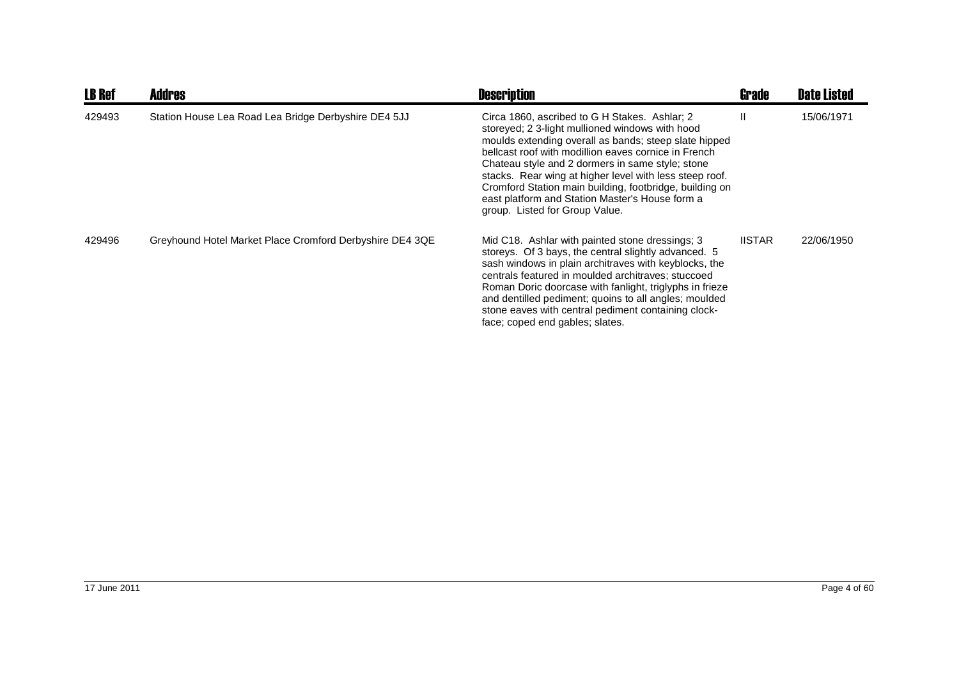| <b>LB Ref</b> | <b>Addres</b>                                            | <b>Description</b>                                                                                                                                                                                                                                                                                                                                                                                                                                                               | <b>Grade</b>  | <b>Date Listed</b> |
|---------------|----------------------------------------------------------|----------------------------------------------------------------------------------------------------------------------------------------------------------------------------------------------------------------------------------------------------------------------------------------------------------------------------------------------------------------------------------------------------------------------------------------------------------------------------------|---------------|--------------------|
| 429493        | Station House Lea Road Lea Bridge Derbyshire DE4 5JJ     | Circa 1860, ascribed to G H Stakes. Ashlar: 2<br>storeyed; 2 3-light mullioned windows with hood<br>moulds extending overall as bands; steep slate hipped<br>bellcast roof with modillion eaves cornice in French<br>Chateau style and 2 dormers in same style; stone<br>stacks. Rear wing at higher level with less steep roof.<br>Cromford Station main building, footbridge, building on<br>east platform and Station Master's House form a<br>group. Listed for Group Value. | Ш             | 15/06/1971         |
| 429496        | Greyhound Hotel Market Place Cromford Derbyshire DE4 3QE | Mid C18. Ashlar with painted stone dressings; 3<br>storeys. Of 3 bays, the central slightly advanced. 5<br>sash windows in plain architraves with keyblocks, the<br>centrals featured in moulded architraves; stuccoed<br>Roman Doric doorcase with fanlight, triglyphs in frieze<br>and dentilled pediment; quoins to all angles; moulded<br>stone eaves with central pediment containing clock-<br>face; coped end gables; slates.                                             | <b>IISTAR</b> | 22/06/1950         |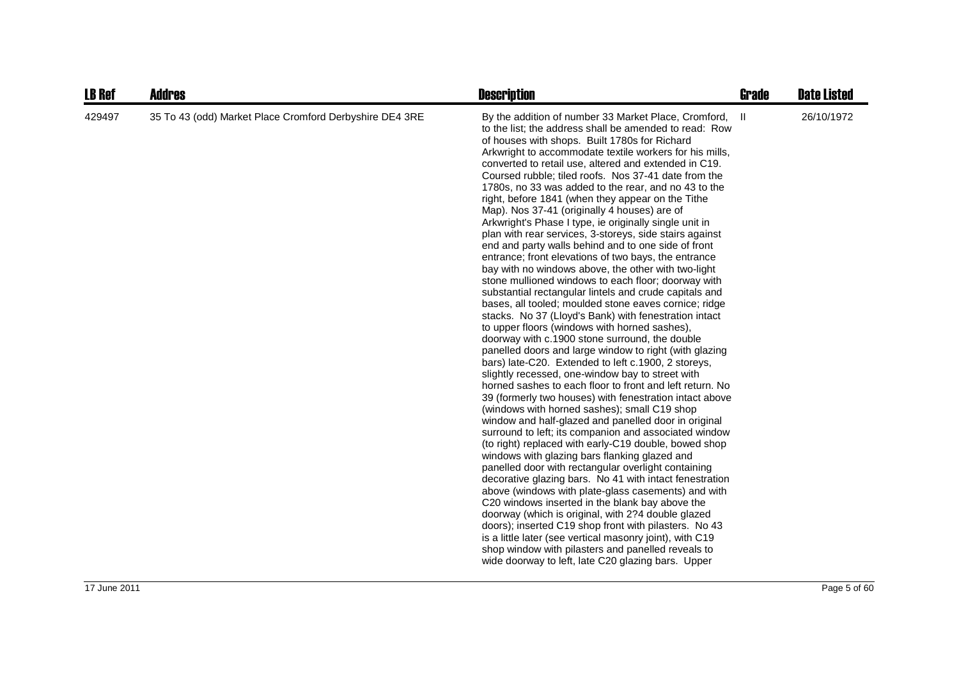| <b>LB Ref</b> | <b>Addres</b>                                           | <b>Description</b>                                                                                                                                                                                                                                                                                                                                                                                                                                                                                                                                                                                                                                                                                                                                                                                                                                                                                                                                                                                                                                                                                                                                                                                                                                                                                                                                                                                                                                                                                                                                                                                                                                                                                                                                                                                                                                                                                                                                                                                                                                                                                                                                                                                                                  | <b>Grade</b> | <b>Date Listed</b> |
|---------------|---------------------------------------------------------|-------------------------------------------------------------------------------------------------------------------------------------------------------------------------------------------------------------------------------------------------------------------------------------------------------------------------------------------------------------------------------------------------------------------------------------------------------------------------------------------------------------------------------------------------------------------------------------------------------------------------------------------------------------------------------------------------------------------------------------------------------------------------------------------------------------------------------------------------------------------------------------------------------------------------------------------------------------------------------------------------------------------------------------------------------------------------------------------------------------------------------------------------------------------------------------------------------------------------------------------------------------------------------------------------------------------------------------------------------------------------------------------------------------------------------------------------------------------------------------------------------------------------------------------------------------------------------------------------------------------------------------------------------------------------------------------------------------------------------------------------------------------------------------------------------------------------------------------------------------------------------------------------------------------------------------------------------------------------------------------------------------------------------------------------------------------------------------------------------------------------------------------------------------------------------------------------------------------------------------|--------------|--------------------|
| 429497        | 35 To 43 (odd) Market Place Cromford Derbyshire DE4 3RE | By the addition of number 33 Market Place, Cromford,<br>to the list; the address shall be amended to read: Row<br>of houses with shops. Built 1780s for Richard<br>Arkwright to accommodate textile workers for his mills,<br>converted to retail use, altered and extended in C19.<br>Coursed rubble; tiled roofs. Nos 37-41 date from the<br>1780s, no 33 was added to the rear, and no 43 to the<br>right, before 1841 (when they appear on the Tithe<br>Map). Nos 37-41 (originally 4 houses) are of<br>Arkwright's Phase I type, ie originally single unit in<br>plan with rear services, 3-storeys, side stairs against<br>end and party walls behind and to one side of front<br>entrance; front elevations of two bays, the entrance<br>bay with no windows above, the other with two-light<br>stone mullioned windows to each floor; doorway with<br>substantial rectangular lintels and crude capitals and<br>bases, all tooled; moulded stone eaves cornice; ridge<br>stacks. No 37 (Lloyd's Bank) with fenestration intact<br>to upper floors (windows with horned sashes),<br>doorway with c.1900 stone surround, the double<br>panelled doors and large window to right (with glazing<br>bars) late-C20. Extended to left c.1900, 2 storeys,<br>slightly recessed, one-window bay to street with<br>horned sashes to each floor to front and left return. No<br>39 (formerly two houses) with fenestration intact above<br>(windows with horned sashes); small C19 shop<br>window and half-glazed and panelled door in original<br>surround to left; its companion and associated window<br>(to right) replaced with early-C19 double, bowed shop<br>windows with glazing bars flanking glazed and<br>panelled door with rectangular overlight containing<br>decorative glazing bars. No 41 with intact fenestration<br>above (windows with plate-glass casements) and with<br>C20 windows inserted in the blank bay above the<br>doorway (which is original, with 2?4 double glazed<br>doors); inserted C19 shop front with pilasters. No 43<br>is a little later (see vertical masonry joint), with C19<br>shop window with pilasters and panelled reveals to<br>wide doorway to left, late C20 glazing bars. Upper | Ш            | 26/10/1972         |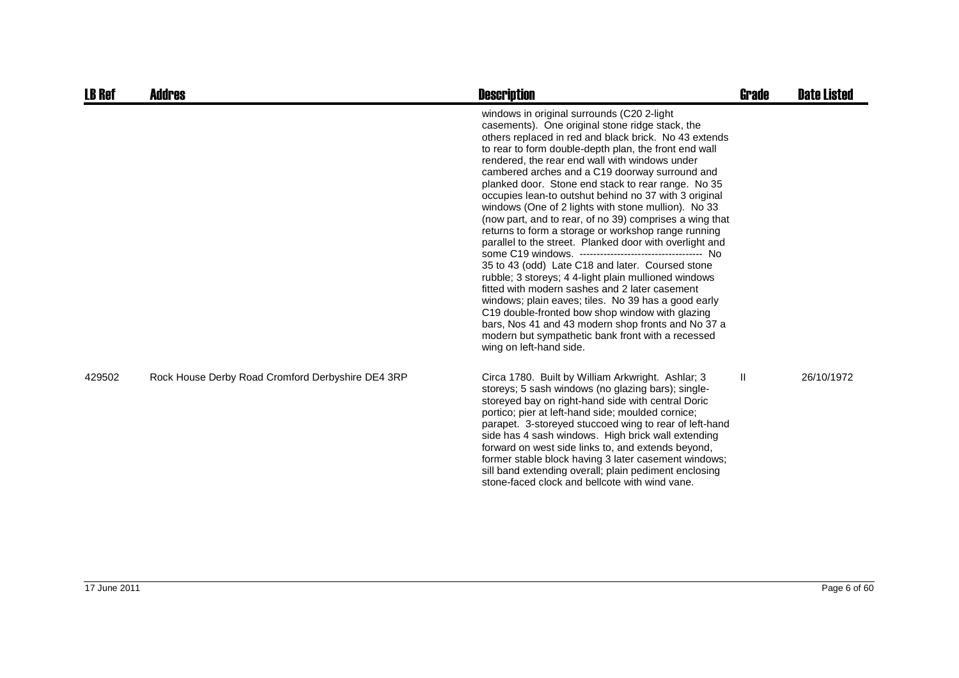| <b>LB Ref</b> | <b>Addres</b>                                     | <b>Description</b>                                                                                                                                                                                                                                                                                                                                                                                                                                                                                                                                                                                                                                                                                                                                                                                                                                                                                                                                                                                                                                                                   | <b>Grade</b> | <b>Date Listed</b> |
|---------------|---------------------------------------------------|--------------------------------------------------------------------------------------------------------------------------------------------------------------------------------------------------------------------------------------------------------------------------------------------------------------------------------------------------------------------------------------------------------------------------------------------------------------------------------------------------------------------------------------------------------------------------------------------------------------------------------------------------------------------------------------------------------------------------------------------------------------------------------------------------------------------------------------------------------------------------------------------------------------------------------------------------------------------------------------------------------------------------------------------------------------------------------------|--------------|--------------------|
|               |                                                   | windows in original surrounds (C20 2-light<br>casements). One original stone ridge stack, the<br>others replaced in red and black brick. No 43 extends<br>to rear to form double-depth plan, the front end wall<br>rendered, the rear end wall with windows under<br>cambered arches and a C19 doorway surround and<br>planked door. Stone end stack to rear range. No 35<br>occupies lean-to outshut behind no 37 with 3 original<br>windows (One of 2 lights with stone mullion). No 33<br>(now part, and to rear, of no 39) comprises a wing that<br>returns to form a storage or workshop range running<br>parallel to the street. Planked door with overlight and<br>35 to 43 (odd) Late C18 and later. Coursed stone<br>rubble; 3 storeys; 4 4-light plain mullioned windows<br>fitted with modern sashes and 2 later casement<br>windows; plain eaves; tiles. No 39 has a good early<br>C19 double-fronted bow shop window with glazing<br>bars, Nos 41 and 43 modern shop fronts and No 37 a<br>modern but sympathetic bank front with a recessed<br>wing on left-hand side. |              |                    |
| 429502        | Rock House Derby Road Cromford Derbyshire DE4 3RP | Circa 1780. Built by William Arkwright. Ashlar; 3<br>storeys; 5 sash windows (no glazing bars); single-<br>storeyed bay on right-hand side with central Doric<br>portico; pier at left-hand side; moulded cornice;<br>parapet. 3-storeyed stuccoed wing to rear of left-hand<br>side has 4 sash windows. High brick wall extending<br>forward on west side links to, and extends beyond,<br>former stable block having 3 later casement windows;<br>sill band extending overall; plain pediment enclosing<br>stone-faced clock and bellcote with wind vane.                                                                                                                                                                                                                                                                                                                                                                                                                                                                                                                          | $\mathbf{H}$ | 26/10/1972         |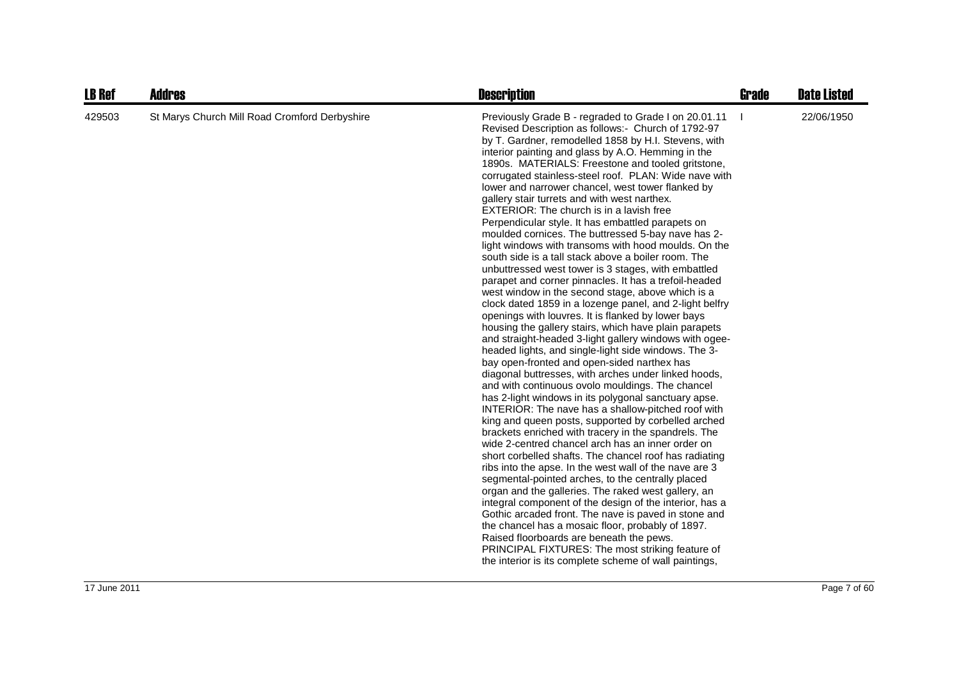| <b>LB Ref</b> | <b>Addres</b>                                 | <b>Description</b>                                                                                                                                                                                                                                                                                                                                                                                                                                                                                                                                                                                                                                                                                                                                                                                                                                                                                                                                                                                                                                                                                                                                                                                                                                                                                                                                                                                                                                                                                                                                                                                                                                                                                                                                                                                                                                                                                                                                                                                                                                                                                                                                                                                       | <b>Grade</b> | <b>Date Listed</b> |
|---------------|-----------------------------------------------|----------------------------------------------------------------------------------------------------------------------------------------------------------------------------------------------------------------------------------------------------------------------------------------------------------------------------------------------------------------------------------------------------------------------------------------------------------------------------------------------------------------------------------------------------------------------------------------------------------------------------------------------------------------------------------------------------------------------------------------------------------------------------------------------------------------------------------------------------------------------------------------------------------------------------------------------------------------------------------------------------------------------------------------------------------------------------------------------------------------------------------------------------------------------------------------------------------------------------------------------------------------------------------------------------------------------------------------------------------------------------------------------------------------------------------------------------------------------------------------------------------------------------------------------------------------------------------------------------------------------------------------------------------------------------------------------------------------------------------------------------------------------------------------------------------------------------------------------------------------------------------------------------------------------------------------------------------------------------------------------------------------------------------------------------------------------------------------------------------------------------------------------------------------------------------------------------------|--------------|--------------------|
| 429503        | St Marys Church Mill Road Cromford Derbyshire | Previously Grade B - regraded to Grade I on 20.01.11<br>Revised Description as follows:- Church of 1792-97<br>by T. Gardner, remodelled 1858 by H.I. Stevens, with<br>interior painting and glass by A.O. Hemming in the<br>1890s. MATERIALS: Freestone and tooled gritstone,<br>corrugated stainless-steel roof. PLAN: Wide nave with<br>lower and narrower chancel, west tower flanked by<br>gallery stair turrets and with west narthex.<br><b>EXTERIOR: The church is in a lavish free</b><br>Perpendicular style. It has embattled parapets on<br>moulded cornices. The buttressed 5-bay nave has 2-<br>light windows with transoms with hood moulds. On the<br>south side is a tall stack above a boiler room. The<br>unbuttressed west tower is 3 stages, with embattled<br>parapet and corner pinnacles. It has a trefoil-headed<br>west window in the second stage, above which is a<br>clock dated 1859 in a lozenge panel, and 2-light belfry<br>openings with louvres. It is flanked by lower bays<br>housing the gallery stairs, which have plain parapets<br>and straight-headed 3-light gallery windows with ogee-<br>headed lights, and single-light side windows. The 3-<br>bay open-fronted and open-sided narthex has<br>diagonal buttresses, with arches under linked hoods,<br>and with continuous ovolo mouldings. The chancel<br>has 2-light windows in its polygonal sanctuary apse.<br>INTERIOR: The nave has a shallow-pitched roof with<br>king and queen posts, supported by corbelled arched<br>brackets enriched with tracery in the spandrels. The<br>wide 2-centred chancel arch has an inner order on<br>short corbelled shafts. The chancel roof has radiating<br>ribs into the apse. In the west wall of the nave are 3<br>segmental-pointed arches, to the centrally placed<br>organ and the galleries. The raked west gallery, an<br>integral component of the design of the interior, has a<br>Gothic arcaded front. The nave is paved in stone and<br>the chancel has a mosaic floor, probably of 1897.<br>Raised floorboards are beneath the pews.<br>PRINCIPAL FIXTURES: The most striking feature of<br>the interior is its complete scheme of wall paintings, |              | 22/06/1950         |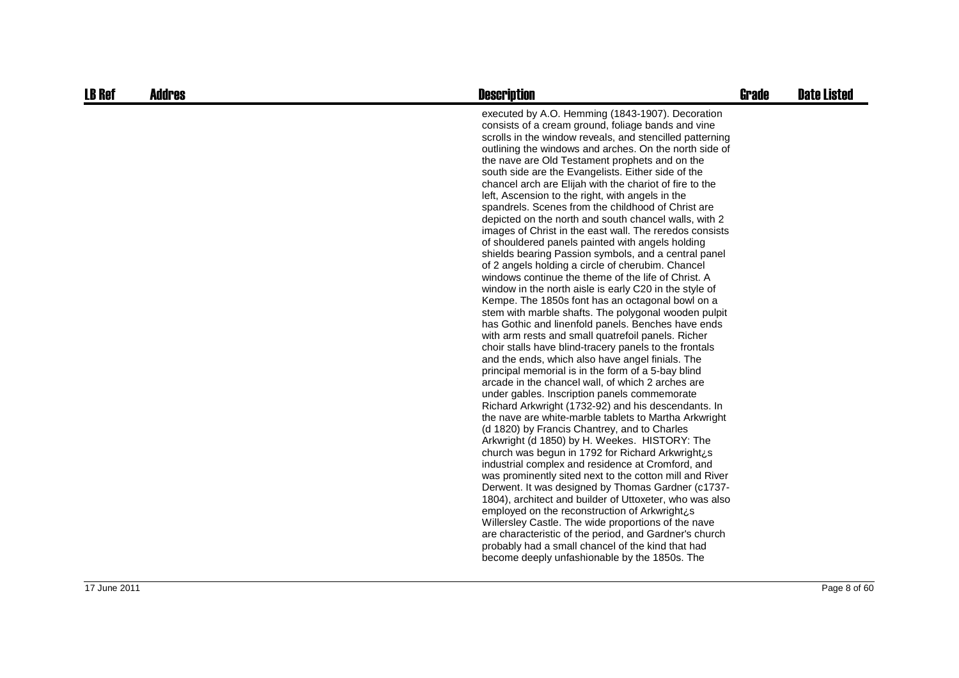| <b>LB Ref</b> | <b>Addres</b> | <b>Description</b>                                                                                                                                                                                                                                                                                                                                                                                                                                                                                                                                                                                                                                                                                                                                                                                                                                                                                                                                                                                                                                                                                                                                                                                                                                                                                                                                                                                                                                                                                                                                                                                                                                                                                                                                                                                                                                                                                                                                                                                                                                                                                                                                                                             | <b>Grade</b> | <b>Date Listed</b> |
|---------------|---------------|------------------------------------------------------------------------------------------------------------------------------------------------------------------------------------------------------------------------------------------------------------------------------------------------------------------------------------------------------------------------------------------------------------------------------------------------------------------------------------------------------------------------------------------------------------------------------------------------------------------------------------------------------------------------------------------------------------------------------------------------------------------------------------------------------------------------------------------------------------------------------------------------------------------------------------------------------------------------------------------------------------------------------------------------------------------------------------------------------------------------------------------------------------------------------------------------------------------------------------------------------------------------------------------------------------------------------------------------------------------------------------------------------------------------------------------------------------------------------------------------------------------------------------------------------------------------------------------------------------------------------------------------------------------------------------------------------------------------------------------------------------------------------------------------------------------------------------------------------------------------------------------------------------------------------------------------------------------------------------------------------------------------------------------------------------------------------------------------------------------------------------------------------------------------------------------------|--------------|--------------------|
|               |               | executed by A.O. Hemming (1843-1907). Decoration<br>consists of a cream ground, foliage bands and vine<br>scrolls in the window reveals, and stencilled patterning<br>outlining the windows and arches. On the north side of<br>the nave are Old Testament prophets and on the<br>south side are the Evangelists. Either side of the<br>chancel arch are Elijah with the chariot of fire to the<br>left, Ascension to the right, with angels in the<br>spandrels. Scenes from the childhood of Christ are<br>depicted on the north and south chancel walls, with 2<br>images of Christ in the east wall. The reredos consists<br>of shouldered panels painted with angels holding<br>shields bearing Passion symbols, and a central panel<br>of 2 angels holding a circle of cherubim. Chancel<br>windows continue the theme of the life of Christ. A<br>window in the north aisle is early C20 in the style of<br>Kempe. The 1850s font has an octagonal bowl on a<br>stem with marble shafts. The polygonal wooden pulpit<br>has Gothic and linenfold panels. Benches have ends<br>with arm rests and small quatrefoil panels. Richer<br>choir stalls have blind-tracery panels to the frontals<br>and the ends, which also have angel finials. The<br>principal memorial is in the form of a 5-bay blind<br>arcade in the chancel wall, of which 2 arches are<br>under gables. Inscription panels commemorate<br>Richard Arkwright (1732-92) and his descendants. In<br>the nave are white-marble tablets to Martha Arkwright<br>(d 1820) by Francis Chantrey, and to Charles<br>Arkwright (d 1850) by H. Weekes. HISTORY: The<br>church was begun in 1792 for Richard Arkwright¿s<br>industrial complex and residence at Cromford, and<br>was prominently sited next to the cotton mill and River<br>Derwent. It was designed by Thomas Gardner (c1737-<br>1804), architect and builder of Uttoxeter, who was also<br>employed on the reconstruction of Arkwright¿s<br>Willersley Castle. The wide proportions of the nave<br>are characteristic of the period, and Gardner's church<br>probably had a small chancel of the kind that had<br>become deeply unfashionable by the 1850s. The |              |                    |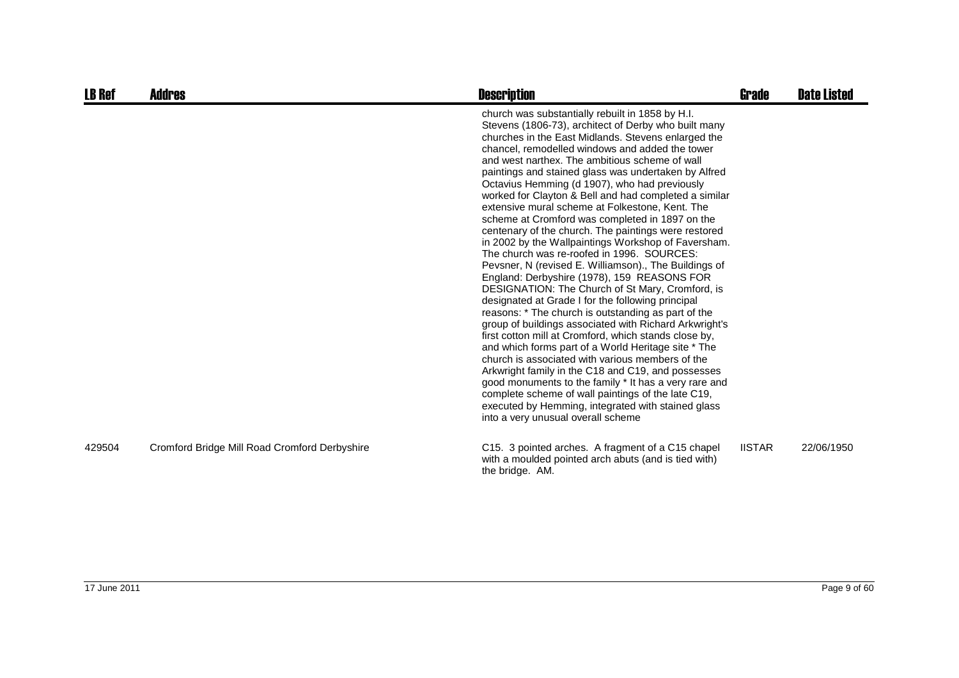| <b>LB Ref</b> | Addres                                        | <b>Description</b>                                                                                                                                                                                                                                                                                                                                                                                                                                                                                                                                                                                                                                                                                                                                                                                                                                                                                                                                                                                                                                                                                                                                                                                                                                                                                                                                                                                                                                                               | <b>Grade</b>  | <b>Date Listed</b> |
|---------------|-----------------------------------------------|----------------------------------------------------------------------------------------------------------------------------------------------------------------------------------------------------------------------------------------------------------------------------------------------------------------------------------------------------------------------------------------------------------------------------------------------------------------------------------------------------------------------------------------------------------------------------------------------------------------------------------------------------------------------------------------------------------------------------------------------------------------------------------------------------------------------------------------------------------------------------------------------------------------------------------------------------------------------------------------------------------------------------------------------------------------------------------------------------------------------------------------------------------------------------------------------------------------------------------------------------------------------------------------------------------------------------------------------------------------------------------------------------------------------------------------------------------------------------------|---------------|--------------------|
|               |                                               | church was substantially rebuilt in 1858 by H.I.<br>Stevens (1806-73), architect of Derby who built many<br>churches in the East Midlands. Stevens enlarged the<br>chancel, remodelled windows and added the tower<br>and west narthex. The ambitious scheme of wall<br>paintings and stained glass was undertaken by Alfred<br>Octavius Hemming (d 1907), who had previously<br>worked for Clayton & Bell and had completed a similar<br>extensive mural scheme at Folkestone, Kent. The<br>scheme at Cromford was completed in 1897 on the<br>centenary of the church. The paintings were restored<br>in 2002 by the Wallpaintings Workshop of Faversham.<br>The church was re-roofed in 1996. SOURCES:<br>Pevsner, N (revised E. Williamson)., The Buildings of<br>England: Derbyshire (1978), 159 REASONS FOR<br>DESIGNATION: The Church of St Mary, Cromford, is<br>designated at Grade I for the following principal<br>reasons: * The church is outstanding as part of the<br>group of buildings associated with Richard Arkwright's<br>first cotton mill at Cromford, which stands close by,<br>and which forms part of a World Heritage site * The<br>church is associated with various members of the<br>Arkwright family in the C18 and C19, and possesses<br>good monuments to the family * It has a very rare and<br>complete scheme of wall paintings of the late C19,<br>executed by Hemming, integrated with stained glass<br>into a very unusual overall scheme |               |                    |
| 429504        | Cromford Bridge Mill Road Cromford Derbyshire | C15. 3 pointed arches. A fragment of a C15 chapel<br>with a moulded pointed arch abuts (and is tied with)<br>the bridge. AM.                                                                                                                                                                                                                                                                                                                                                                                                                                                                                                                                                                                                                                                                                                                                                                                                                                                                                                                                                                                                                                                                                                                                                                                                                                                                                                                                                     | <b>IISTAR</b> | 22/06/1950         |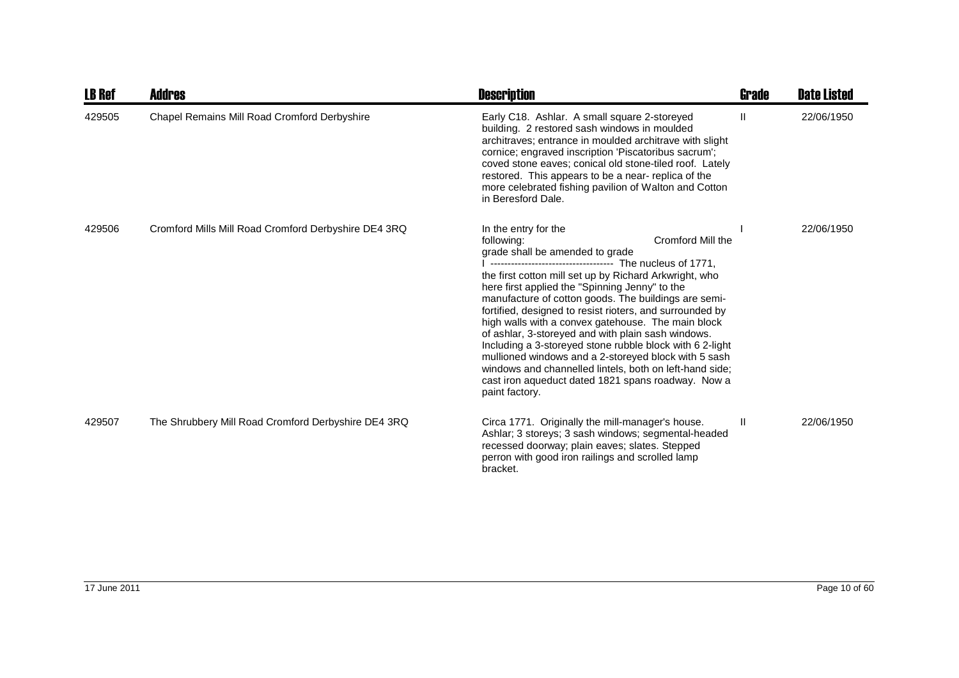| <b>LB Ref</b> | <b>Addres</b>                                        | <b>Description</b>                                                                                                                                                                                                                                                                                                                                                                                                                                                                                                                                                                                                                                                                                                                                                | Grade | <b>Date Listed</b> |
|---------------|------------------------------------------------------|-------------------------------------------------------------------------------------------------------------------------------------------------------------------------------------------------------------------------------------------------------------------------------------------------------------------------------------------------------------------------------------------------------------------------------------------------------------------------------------------------------------------------------------------------------------------------------------------------------------------------------------------------------------------------------------------------------------------------------------------------------------------|-------|--------------------|
| 429505        | Chapel Remains Mill Road Cromford Derbyshire         | Early C18. Ashlar. A small square 2-storeyed<br>building. 2 restored sash windows in moulded<br>architraves; entrance in moulded architrave with slight<br>cornice; engraved inscription 'Piscatoribus sacrum';<br>coved stone eaves; conical old stone-tiled roof. Lately<br>restored. This appears to be a near- replica of the<br>more celebrated fishing pavilion of Walton and Cotton<br>in Beresford Dale.                                                                                                                                                                                                                                                                                                                                                  | Ш     | 22/06/1950         |
| 429506        | Cromford Mills Mill Road Cromford Derbyshire DE4 3RQ | In the entry for the<br><b>Cromford Mill the</b><br>following:<br>grade shall be amended to grade<br>------------------------------------ The nucleus of 1771,<br>the first cotton mill set up by Richard Arkwright, who<br>here first applied the "Spinning Jenny" to the<br>manufacture of cotton goods. The buildings are semi-<br>fortified, designed to resist rioters, and surrounded by<br>high walls with a convex gatehouse. The main block<br>of ashlar, 3-storeyed and with plain sash windows.<br>Including a 3-storeyed stone rubble block with 6 2-light<br>mullioned windows and a 2-storeyed block with 5 sash<br>windows and channelled lintels, both on left-hand side;<br>cast iron aqueduct dated 1821 spans roadway. Now a<br>paint factory. |       | 22/06/1950         |
| 429507        | The Shrubbery Mill Road Cromford Derbyshire DE4 3RQ  | Circa 1771. Originally the mill-manager's house.<br>Ashlar; 3 storeys; 3 sash windows; segmental-headed<br>recessed doorway; plain eaves; slates. Stepped<br>perron with good iron railings and scrolled lamp<br>bracket.                                                                                                                                                                                                                                                                                                                                                                                                                                                                                                                                         | H.    | 22/06/1950         |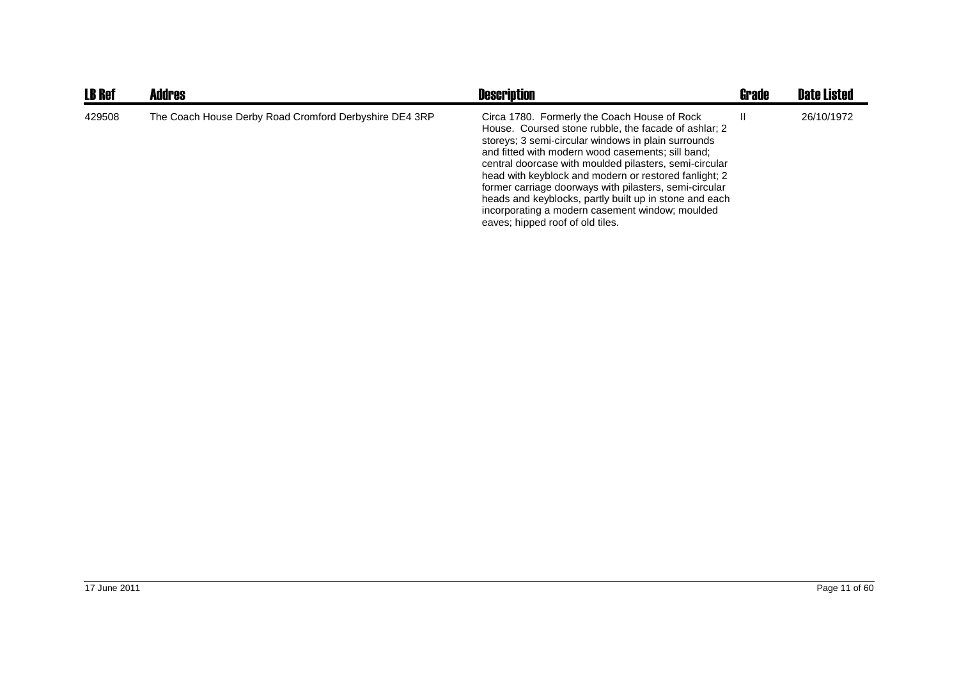| <b>LB Ref</b> | Addres                                                 | <b>Description</b>                                                                                                                                                                                                                                                                                                                                                                                                                                                                                                                             | <b>Grade</b> | <b>Date Listed</b> |
|---------------|--------------------------------------------------------|------------------------------------------------------------------------------------------------------------------------------------------------------------------------------------------------------------------------------------------------------------------------------------------------------------------------------------------------------------------------------------------------------------------------------------------------------------------------------------------------------------------------------------------------|--------------|--------------------|
| 429508        | The Coach House Derby Road Cromford Derbyshire DE4 3RP | Circa 1780. Formerly the Coach House of Rock<br>House. Coursed stone rubble, the facade of ashlar; 2<br>storeys: 3 semi-circular windows in plain surrounds<br>and fitted with modern wood casements; sill band;<br>central doorcase with moulded pilasters, semi-circular<br>head with keyblock and modern or restored fanlight; 2<br>former carriage doorways with pilasters, semi-circular<br>heads and keyblocks, partly built up in stone and each<br>incorporating a modern casement window; moulded<br>eaves; hipped roof of old tiles. |              | 26/10/1972         |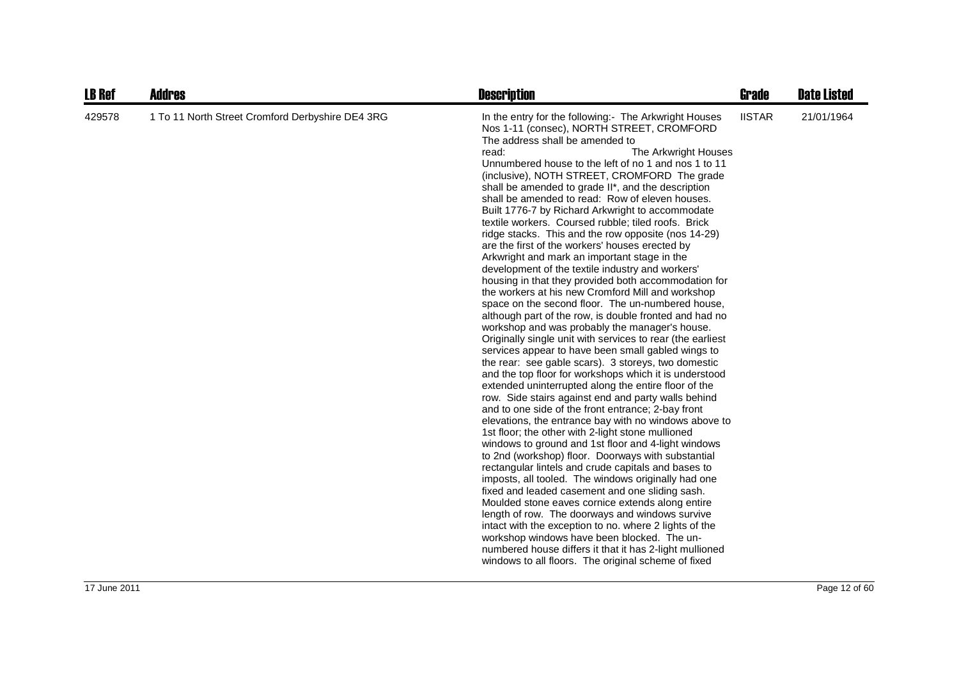| <b>LB Ref</b> | <b>Addres</b>                                    | <b>Description</b>                                                                                                                                                                                                                                                                                                                                                                                                                                                                                                                                                                                                                                                                                                                                                                                                                                                                                                                                                                                                                                                                                                                                                                                                                                                                                                                                                                                                                                                                                                                                                                                                                                                                                                                                                                                                                                                                                                                                                                                                                                                                                                                     | <b>Grade</b>  | <b>Date Listed</b> |
|---------------|--------------------------------------------------|----------------------------------------------------------------------------------------------------------------------------------------------------------------------------------------------------------------------------------------------------------------------------------------------------------------------------------------------------------------------------------------------------------------------------------------------------------------------------------------------------------------------------------------------------------------------------------------------------------------------------------------------------------------------------------------------------------------------------------------------------------------------------------------------------------------------------------------------------------------------------------------------------------------------------------------------------------------------------------------------------------------------------------------------------------------------------------------------------------------------------------------------------------------------------------------------------------------------------------------------------------------------------------------------------------------------------------------------------------------------------------------------------------------------------------------------------------------------------------------------------------------------------------------------------------------------------------------------------------------------------------------------------------------------------------------------------------------------------------------------------------------------------------------------------------------------------------------------------------------------------------------------------------------------------------------------------------------------------------------------------------------------------------------------------------------------------------------------------------------------------------------|---------------|--------------------|
| 429578        | 1 To 11 North Street Cromford Derbyshire DE4 3RG | In the entry for the following:- The Arkwright Houses<br>Nos 1-11 (consec), NORTH STREET, CROMFORD<br>The address shall be amended to<br>read:<br>The Arkwright Houses<br>Unnumbered house to the left of no 1 and nos 1 to 11<br>(inclusive), NOTH STREET, CROMFORD The grade<br>shall be amended to grade II*, and the description<br>shall be amended to read: Row of eleven houses.<br>Built 1776-7 by Richard Arkwright to accommodate<br>textile workers. Coursed rubble; tiled roofs. Brick<br>ridge stacks. This and the row opposite (nos 14-29)<br>are the first of the workers' houses erected by<br>Arkwright and mark an important stage in the<br>development of the textile industry and workers'<br>housing in that they provided both accommodation for<br>the workers at his new Cromford Mill and workshop<br>space on the second floor. The un-numbered house,<br>although part of the row, is double fronted and had no<br>workshop and was probably the manager's house.<br>Originally single unit with services to rear (the earliest<br>services appear to have been small gabled wings to<br>the rear: see gable scars). 3 storeys, two domestic<br>and the top floor for workshops which it is understood<br>extended uninterrupted along the entire floor of the<br>row. Side stairs against end and party walls behind<br>and to one side of the front entrance; 2-bay front<br>elevations, the entrance bay with no windows above to<br>1st floor; the other with 2-light stone mullioned<br>windows to ground and 1st floor and 4-light windows<br>to 2nd (workshop) floor. Doorways with substantial<br>rectangular lintels and crude capitals and bases to<br>imposts, all tooled. The windows originally had one<br>fixed and leaded casement and one sliding sash.<br>Moulded stone eaves cornice extends along entire<br>length of row. The doorways and windows survive<br>intact with the exception to no. where 2 lights of the<br>workshop windows have been blocked. The un-<br>numbered house differs it that it has 2-light mullioned<br>windows to all floors. The original scheme of fixed | <b>IISTAR</b> | 21/01/1964         |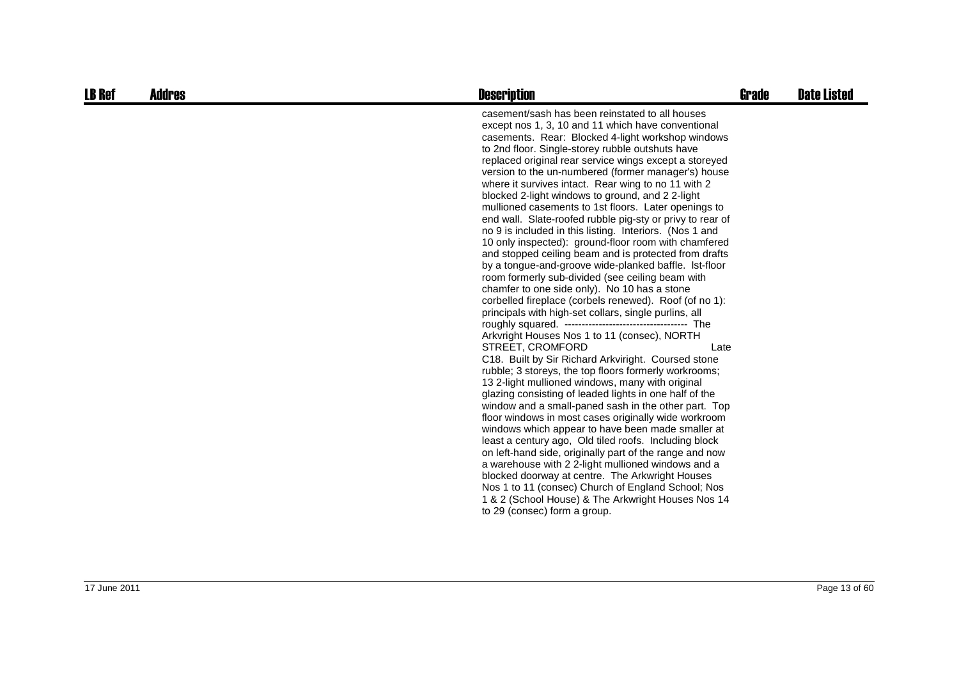| <b>LB Ref</b> | <b>Addres</b> | <b>Description</b>                                                                                                                                                                                                                                                                                                                                                                                                                                                                                                                                                                                                                                                                                                                                                                                                                                                                                                                                                                                                                                                                                                                                                                                                                                                                                                                                                                                                                                                                                                                                                                                                                                                                                                                                                                                                                                                                  | Grade | <b>Date Listed</b> |
|---------------|---------------|-------------------------------------------------------------------------------------------------------------------------------------------------------------------------------------------------------------------------------------------------------------------------------------------------------------------------------------------------------------------------------------------------------------------------------------------------------------------------------------------------------------------------------------------------------------------------------------------------------------------------------------------------------------------------------------------------------------------------------------------------------------------------------------------------------------------------------------------------------------------------------------------------------------------------------------------------------------------------------------------------------------------------------------------------------------------------------------------------------------------------------------------------------------------------------------------------------------------------------------------------------------------------------------------------------------------------------------------------------------------------------------------------------------------------------------------------------------------------------------------------------------------------------------------------------------------------------------------------------------------------------------------------------------------------------------------------------------------------------------------------------------------------------------------------------------------------------------------------------------------------------------|-------|--------------------|
|               |               | casement/sash has been reinstated to all houses<br>except nos 1, 3, 10 and 11 which have conventional<br>casements. Rear: Blocked 4-light workshop windows<br>to 2nd floor. Single-storey rubble outshuts have<br>replaced original rear service wings except a storeyed<br>version to the un-numbered (former manager's) house<br>where it survives intact. Rear wing to no 11 with 2<br>blocked 2-light windows to ground, and 2 2-light<br>mullioned casements to 1st floors. Later openings to<br>end wall. Slate-roofed rubble pig-sty or privy to rear of<br>no 9 is included in this listing. Interiors. (Nos 1 and<br>10 only inspected): ground-floor room with chamfered<br>and stopped ceiling beam and is protected from drafts<br>by a tongue-and-groove wide-planked baffle. Ist-floor<br>room formerly sub-divided (see ceiling beam with<br>chamfer to one side only). No 10 has a stone<br>corbelled fireplace (corbels renewed). Roof (of no 1):<br>principals with high-set collars, single purlins, all<br>Arkvright Houses Nos 1 to 11 (consec), NORTH<br>STREET, CROMFORD<br>Late<br>C18. Built by Sir Richard Arkviright. Coursed stone<br>rubble; 3 storeys, the top floors formerly workrooms;<br>13 2-light mullioned windows, many with original<br>glazing consisting of leaded lights in one half of the<br>window and a small-paned sash in the other part. Top<br>floor windows in most cases originally wide workroom<br>windows which appear to have been made smaller at<br>least a century ago, Old tiled roofs. Including block<br>on left-hand side, originally part of the range and now<br>a warehouse with 2 2-light mullioned windows and a<br>blocked doorway at centre. The Arkwright Houses<br>Nos 1 to 11 (consec) Church of England School; Nos<br>1 & 2 (School House) & The Arkwright Houses Nos 14<br>to 29 (consec) form a group. |       |                    |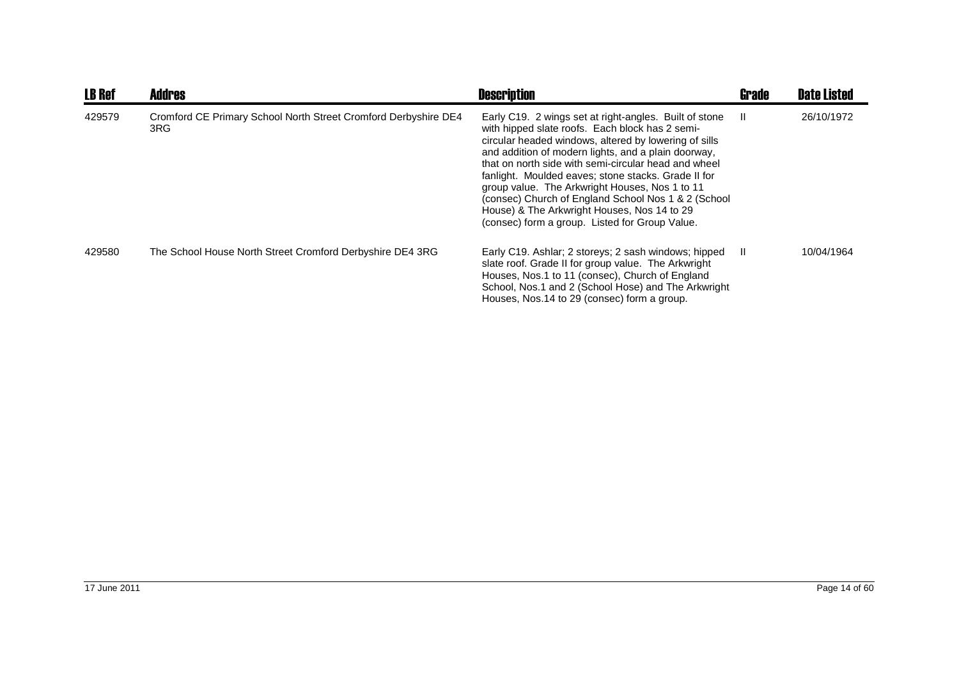| <b>LB Ref</b> | <b>Addres</b>                                                          | <b>Description</b>                                                                                                                                                                                                                                                                                                                                                                                                                                                                                                                                  | Grade | <b>Date Listed</b> |
|---------------|------------------------------------------------------------------------|-----------------------------------------------------------------------------------------------------------------------------------------------------------------------------------------------------------------------------------------------------------------------------------------------------------------------------------------------------------------------------------------------------------------------------------------------------------------------------------------------------------------------------------------------------|-------|--------------------|
| 429579        | Cromford CE Primary School North Street Cromford Derbyshire DE4<br>3RG | Early C19. 2 wings set at right-angles. Built of stone<br>with hipped slate roofs. Each block has 2 semi-<br>circular headed windows, altered by lowering of sills<br>and addition of modern lights, and a plain doorway,<br>that on north side with semi-circular head and wheel<br>fanlight. Moulded eaves; stone stacks. Grade II for<br>group value. The Arkwright Houses, Nos 1 to 11<br>(consec) Church of England School Nos 1 & 2 (School)<br>House) & The Arkwright Houses, Nos 14 to 29<br>(consec) form a group. Listed for Group Value. | - 11  | 26/10/1972         |
| 429580        | The School House North Street Cromford Derbyshire DE4 3RG              | Early C19. Ashlar; 2 storeys; 2 sash windows; hipped<br>slate roof. Grade II for group value. The Arkwright<br>Houses, Nos.1 to 11 (consec), Church of England<br>School, Nos.1 and 2 (School Hose) and The Arkwright<br>Houses, Nos.14 to 29 (consec) form a group.                                                                                                                                                                                                                                                                                | - 11  | 10/04/1964         |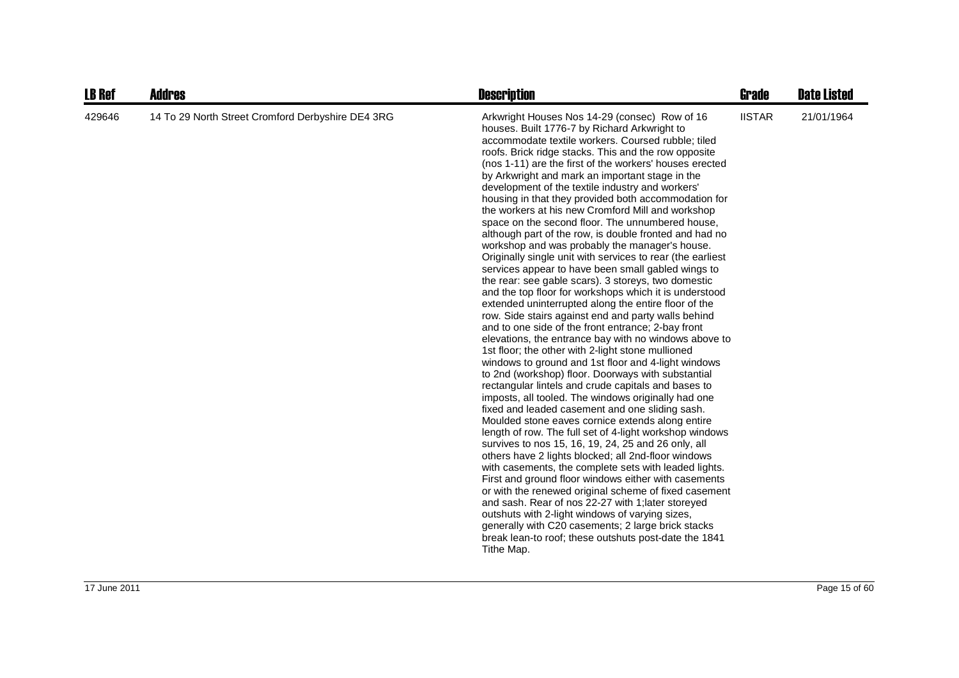| LB Ref | <b>Addres</b>                                     | <b>Description</b>                                                                                                                                                                                                                                                                                                                                                                                                                                                                                                                                                                                                                                                                                                                                                                                                                                                                                                                                                                                                                                                                                                                                                                                                                                                                                                                                                                                                                                                                                                                                                                                                                                                                                                                                                                                                                                                                                                                                                                                                                                                                                            | Grade         | <b>Date Listed</b> |
|--------|---------------------------------------------------|---------------------------------------------------------------------------------------------------------------------------------------------------------------------------------------------------------------------------------------------------------------------------------------------------------------------------------------------------------------------------------------------------------------------------------------------------------------------------------------------------------------------------------------------------------------------------------------------------------------------------------------------------------------------------------------------------------------------------------------------------------------------------------------------------------------------------------------------------------------------------------------------------------------------------------------------------------------------------------------------------------------------------------------------------------------------------------------------------------------------------------------------------------------------------------------------------------------------------------------------------------------------------------------------------------------------------------------------------------------------------------------------------------------------------------------------------------------------------------------------------------------------------------------------------------------------------------------------------------------------------------------------------------------------------------------------------------------------------------------------------------------------------------------------------------------------------------------------------------------------------------------------------------------------------------------------------------------------------------------------------------------------------------------------------------------------------------------------------------------|---------------|--------------------|
| 429646 | 14 To 29 North Street Cromford Derbyshire DE4 3RG | Arkwright Houses Nos 14-29 (consec) Row of 16<br>houses. Built 1776-7 by Richard Arkwright to<br>accommodate textile workers. Coursed rubble; tiled<br>roofs. Brick ridge stacks. This and the row opposite<br>(nos 1-11) are the first of the workers' houses erected<br>by Arkwright and mark an important stage in the<br>development of the textile industry and workers'<br>housing in that they provided both accommodation for<br>the workers at his new Cromford Mill and workshop<br>space on the second floor. The unnumbered house,<br>although part of the row, is double fronted and had no<br>workshop and was probably the manager's house.<br>Originally single unit with services to rear (the earliest<br>services appear to have been small gabled wings to<br>the rear: see gable scars). 3 storeys, two domestic<br>and the top floor for workshops which it is understood<br>extended uninterrupted along the entire floor of the<br>row. Side stairs against end and party walls behind<br>and to one side of the front entrance; 2-bay front<br>elevations, the entrance bay with no windows above to<br>1st floor; the other with 2-light stone mullioned<br>windows to ground and 1st floor and 4-light windows<br>to 2nd (workshop) floor. Doorways with substantial<br>rectangular lintels and crude capitals and bases to<br>imposts, all tooled. The windows originally had one<br>fixed and leaded casement and one sliding sash.<br>Moulded stone eaves cornice extends along entire<br>length of row. The full set of 4-light workshop windows<br>survives to nos 15, 16, 19, 24, 25 and 26 only, all<br>others have 2 lights blocked; all 2nd-floor windows<br>with casements, the complete sets with leaded lights.<br>First and ground floor windows either with casements<br>or with the renewed original scheme of fixed casement<br>and sash. Rear of nos 22-27 with 1; later storeyed<br>outshuts with 2-light windows of varying sizes,<br>generally with C20 casements; 2 large brick stacks<br>break lean-to roof; these outshuts post-date the 1841<br>Tithe Map. | <b>IISTAR</b> | 21/01/1964         |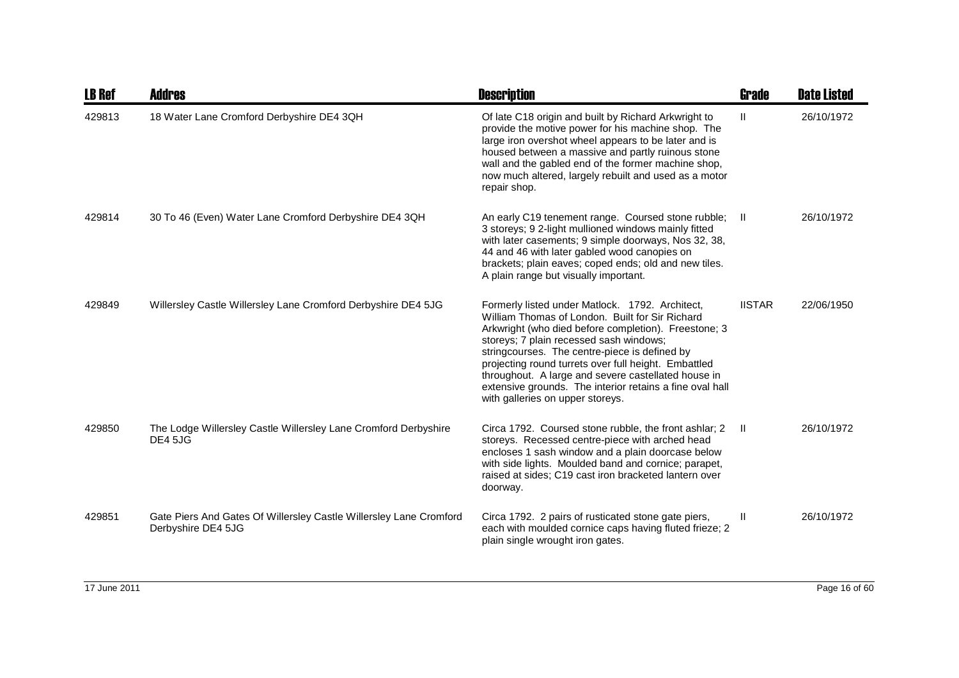| <b>LB Ref</b> | <b>Addres</b>                                                                            | <b>Description</b>                                                                                                                                                                                                                                                                                                                                                                                                                                                    | <b>Grade</b>  | <b>Date Listed</b> |
|---------------|------------------------------------------------------------------------------------------|-----------------------------------------------------------------------------------------------------------------------------------------------------------------------------------------------------------------------------------------------------------------------------------------------------------------------------------------------------------------------------------------------------------------------------------------------------------------------|---------------|--------------------|
| 429813        | 18 Water Lane Cromford Derbyshire DE4 3QH                                                | Of late C18 origin and built by Richard Arkwright to<br>provide the motive power for his machine shop. The<br>large iron overshot wheel appears to be later and is<br>housed between a massive and partly ruinous stone<br>wall and the gabled end of the former machine shop,<br>now much altered, largely rebuilt and used as a motor<br>repair shop.                                                                                                               | $\mathbf{H}$  | 26/10/1972         |
| 429814        | 30 To 46 (Even) Water Lane Cromford Derbyshire DE4 3QH                                   | An early C19 tenement range. Coursed stone rubble; Il<br>3 storeys; 9 2-light mullioned windows mainly fitted<br>with later casements; 9 simple doorways, Nos 32, 38,<br>44 and 46 with later gabled wood canopies on<br>brackets; plain eaves; coped ends; old and new tiles.<br>A plain range but visually important.                                                                                                                                               |               | 26/10/1972         |
| 429849        | Willersley Castle Willersley Lane Cromford Derbyshire DE4 5JG                            | Formerly listed under Matlock. 1792. Architect,<br>William Thomas of London. Built for Sir Richard<br>Arkwright (who died before completion). Freestone; 3<br>storeys; 7 plain recessed sash windows;<br>stringcourses. The centre-piece is defined by<br>projecting round turrets over full height. Embattled<br>throughout. A large and severe castellated house in<br>extensive grounds. The interior retains a fine oval hall<br>with galleries on upper storeys. | <b>IISTAR</b> | 22/06/1950         |
| 429850        | The Lodge Willersley Castle Willersley Lane Cromford Derbyshire<br><b>DE4 5JG</b>        | Circa 1792. Coursed stone rubble, the front ashlar; 2<br>storeys. Recessed centre-piece with arched head<br>encloses 1 sash window and a plain doorcase below<br>with side lights. Moulded band and cornice; parapet,<br>raised at sides; C19 cast iron bracketed lantern over<br>doorway.                                                                                                                                                                            | -H.           | 26/10/1972         |
| 429851        | Gate Piers And Gates Of Willersley Castle Willersley Lane Cromford<br>Derbyshire DE4 5JG | Circa 1792. 2 pairs of rusticated stone gate piers,<br>each with moulded cornice caps having fluted frieze; 2<br>plain single wrought iron gates.                                                                                                                                                                                                                                                                                                                     | $\mathbf{II}$ | 26/10/1972         |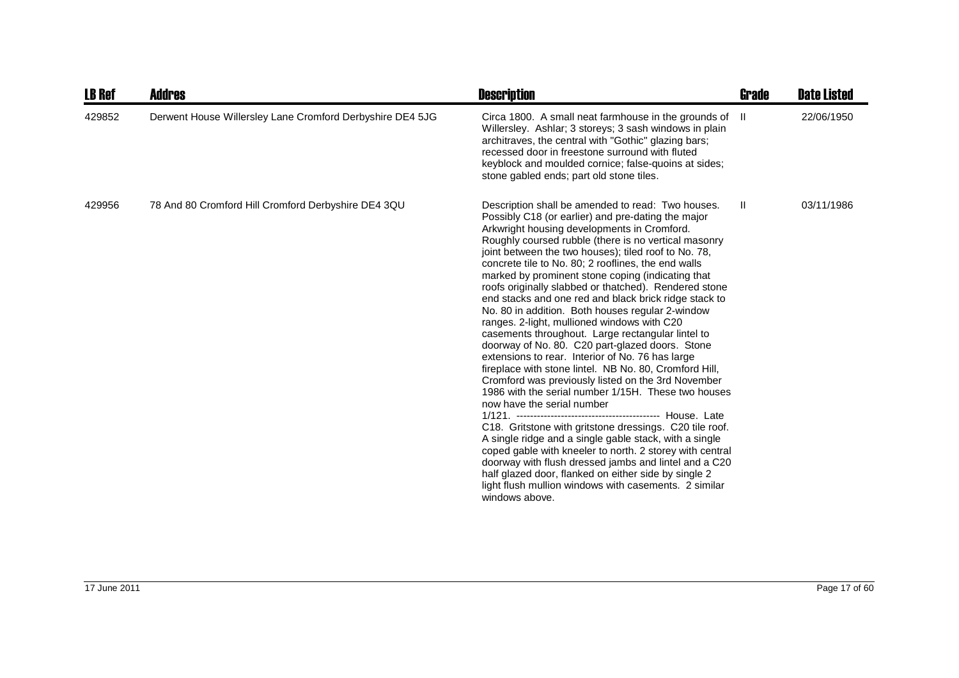| <b>LB Ref</b> | Addres                                                    | <b>Description</b>                                                                                                                                                                                                                                                                                                                                                                                                                                                                                                                                                                                                                                                                                                                                                                                                                                                                                                                                                                                                                                                                                                                                                                                                                                                                                                                                    | <b>Grade</b> | <b>Date Listed</b> |
|---------------|-----------------------------------------------------------|-------------------------------------------------------------------------------------------------------------------------------------------------------------------------------------------------------------------------------------------------------------------------------------------------------------------------------------------------------------------------------------------------------------------------------------------------------------------------------------------------------------------------------------------------------------------------------------------------------------------------------------------------------------------------------------------------------------------------------------------------------------------------------------------------------------------------------------------------------------------------------------------------------------------------------------------------------------------------------------------------------------------------------------------------------------------------------------------------------------------------------------------------------------------------------------------------------------------------------------------------------------------------------------------------------------------------------------------------------|--------------|--------------------|
| 429852        | Derwent House Willersley Lane Cromford Derbyshire DE4 5JG | Circa 1800. A small neat farmhouse in the grounds of<br>Willersley. Ashlar; 3 storeys; 3 sash windows in plain<br>architraves, the central with "Gothic" glazing bars;<br>recessed door in freestone surround with fluted<br>keyblock and moulded cornice; false-quoins at sides;<br>stone gabled ends; part old stone tiles.                                                                                                                                                                                                                                                                                                                                                                                                                                                                                                                                                                                                                                                                                                                                                                                                                                                                                                                                                                                                                         | H            | 22/06/1950         |
| 429956        | 78 And 80 Cromford Hill Cromford Derbyshire DE4 3QU       | Description shall be amended to read: Two houses.<br>Possibly C18 (or earlier) and pre-dating the major<br>Arkwright housing developments in Cromford.<br>Roughly coursed rubble (there is no vertical masonry<br>joint between the two houses); tiled roof to No. 78,<br>concrete tile to No. 80; 2 rooflines, the end walls<br>marked by prominent stone coping (indicating that<br>roofs originally slabbed or thatched). Rendered stone<br>end stacks and one red and black brick ridge stack to<br>No. 80 in addition. Both houses regular 2-window<br>ranges. 2-light, mullioned windows with C20<br>casements throughout. Large rectangular lintel to<br>doorway of No. 80. C20 part-glazed doors. Stone<br>extensions to rear. Interior of No. 76 has large<br>fireplace with stone lintel. NB No. 80, Cromford Hill,<br>Cromford was previously listed on the 3rd November<br>1986 with the serial number 1/15H. These two houses<br>now have the serial number<br>C18. Gritstone with gritstone dressings. C20 tile roof.<br>A single ridge and a single gable stack, with a single<br>coped gable with kneeler to north. 2 storey with central<br>doorway with flush dressed jambs and lintel and a C20<br>half glazed door, flanked on either side by single 2<br>light flush mullion windows with casements. 2 similar<br>windows above. | Ш            | 03/11/1986         |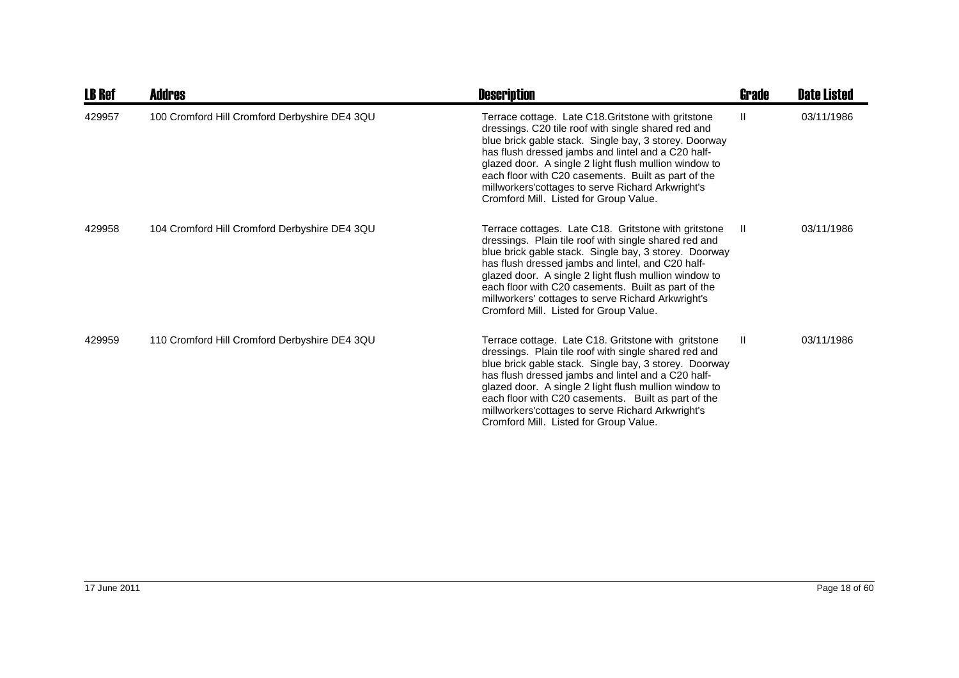| <b>LB Ref</b> | Addres                                        | <b>Description</b>                                                                                                                                                                                                                                                                                                                                                                                                                          | Grade | <b>Date Listed</b> |
|---------------|-----------------------------------------------|---------------------------------------------------------------------------------------------------------------------------------------------------------------------------------------------------------------------------------------------------------------------------------------------------------------------------------------------------------------------------------------------------------------------------------------------|-------|--------------------|
| 429957        | 100 Cromford Hill Cromford Derbyshire DE4 3QU | Terrace cottage. Late C18. Gritstone with gritstone<br>dressings. C20 tile roof with single shared red and<br>blue brick gable stack. Single bay, 3 storey. Doorway<br>has flush dressed jambs and lintel and a C20 half-<br>glazed door. A single 2 light flush mullion window to<br>each floor with C20 casements. Built as part of the<br>millworkers' cottages to serve Richard Arkwright's<br>Cromford Mill. Listed for Group Value.   | Ш     | 03/11/1986         |
| 429958        | 104 Cromford Hill Cromford Derbyshire DE4 3QU | Terrace cottages. Late C18. Gritstone with gritstone<br>dressings. Plain tile roof with single shared red and<br>blue brick gable stack. Single bay, 3 storey. Doorway<br>has flush dressed jambs and lintel, and C20 half-<br>glazed door. A single 2 light flush mullion window to<br>each floor with C20 casements. Built as part of the<br>millworkers' cottages to serve Richard Arkwright's<br>Cromford Mill. Listed for Group Value. | H.    | 03/11/1986         |
| 429959        | 110 Cromford Hill Cromford Derbyshire DE4 3QU | Terrace cottage. Late C18. Gritstone with gritstone<br>dressings. Plain tile roof with single shared red and<br>blue brick gable stack. Single bay, 3 storey. Doorway<br>has flush dressed jambs and lintel and a C20 half-<br>glazed door. A single 2 light flush mullion window to<br>each floor with C20 casements. Built as part of the<br>millworkers' cottages to serve Richard Arkwright's<br>Cromford Mill. Listed for Group Value. | Ш     | 03/11/1986         |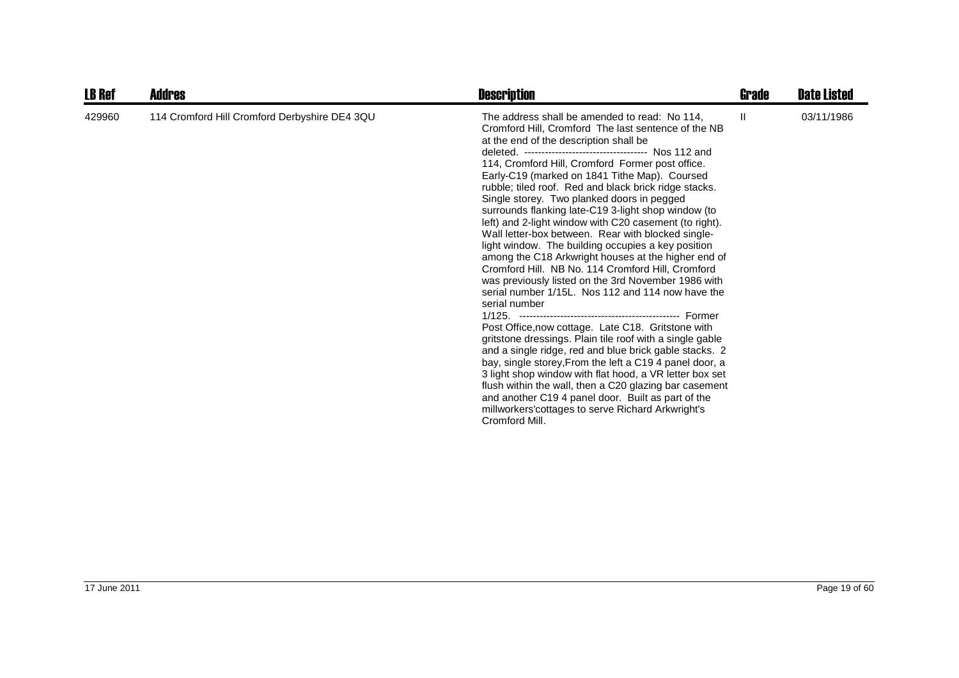| <b>LB Ref</b> | <b>Addres</b>                                 | <b>Description</b>                                                                                                                                                                                                                                                                                                                                                                                                                                                                                                                                                                                                                                                                                                                                                                                                                                                                                                                                                                                                                                                                                                                                                                                                                                                                                                                                                                     | Grade | <b>Date Listed</b> |
|---------------|-----------------------------------------------|----------------------------------------------------------------------------------------------------------------------------------------------------------------------------------------------------------------------------------------------------------------------------------------------------------------------------------------------------------------------------------------------------------------------------------------------------------------------------------------------------------------------------------------------------------------------------------------------------------------------------------------------------------------------------------------------------------------------------------------------------------------------------------------------------------------------------------------------------------------------------------------------------------------------------------------------------------------------------------------------------------------------------------------------------------------------------------------------------------------------------------------------------------------------------------------------------------------------------------------------------------------------------------------------------------------------------------------------------------------------------------------|-------|--------------------|
| 429960        | 114 Cromford Hill Cromford Derbyshire DE4 3QU | The address shall be amended to read: No 114.<br>Cromford Hill, Cromford The last sentence of the NB<br>at the end of the description shall be<br>deleted. ----------------------------------- Nos 112 and<br>114, Cromford Hill, Cromford Former post office.<br>Early-C19 (marked on 1841 Tithe Map). Coursed<br>rubble; tiled roof. Red and black brick ridge stacks.<br>Single storey. Two planked doors in pegged<br>surrounds flanking late-C19 3-light shop window (to<br>left) and 2-light window with C20 casement (to right).<br>Wall letter-box between. Rear with blocked single-<br>light window. The building occupies a key position<br>among the C18 Arkwright houses at the higher end of<br>Cromford Hill. NB No. 114 Cromford Hill, Cromford<br>was previously listed on the 3rd November 1986 with<br>serial number 1/15L. Nos 112 and 114 now have the<br>serial number<br>Post Office, now cottage. Late C18. Gritstone with<br>gritstone dressings. Plain tile roof with a single gable<br>and a single ridge, red and blue brick gable stacks. 2<br>bay, single storey, From the left a C19 4 panel door, a<br>3 light shop window with flat hood, a VR letter box set<br>flush within the wall, then a C20 glazing bar casement<br>and another C19 4 panel door. Built as part of the<br>millworkers' cottages to serve Richard Arkwright's<br>Cromford Mill. | H.    | 03/11/1986         |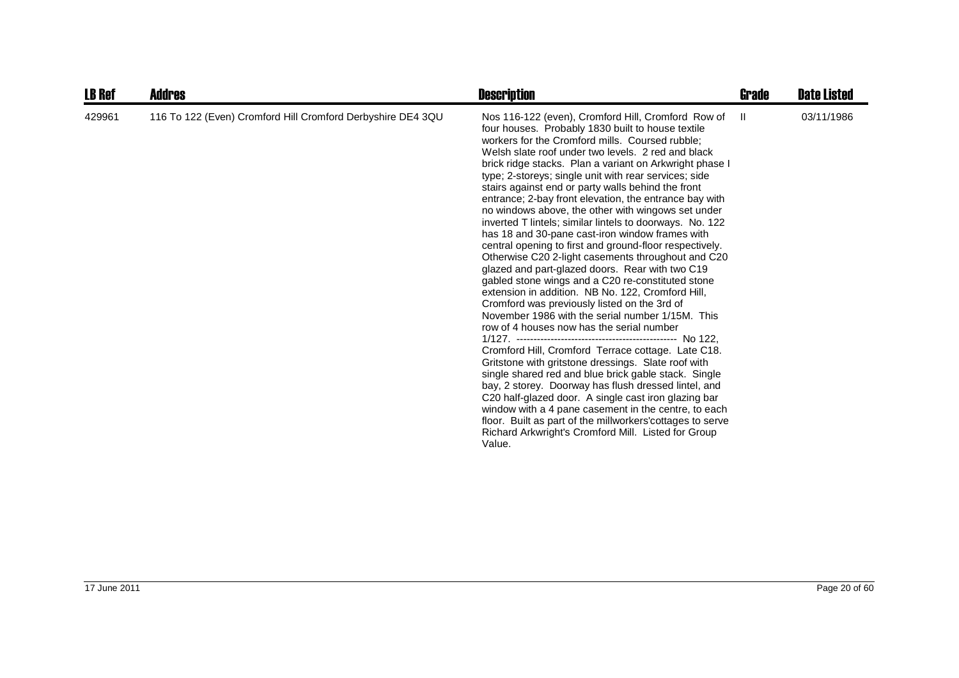| <b>LB Ref</b> | <b>Addres</b>                                               | <b>Description</b>                                                                                                                                                                                                                                                                                                                                                                                                                                                                                                                                                                                                                                                                                                                                                                                                                                                                                                                                                                                                                                                                                                                                                                                                                                                                                                                                                                                                                                                                                                                   | Grade        | <b>Date Listed</b> |
|---------------|-------------------------------------------------------------|--------------------------------------------------------------------------------------------------------------------------------------------------------------------------------------------------------------------------------------------------------------------------------------------------------------------------------------------------------------------------------------------------------------------------------------------------------------------------------------------------------------------------------------------------------------------------------------------------------------------------------------------------------------------------------------------------------------------------------------------------------------------------------------------------------------------------------------------------------------------------------------------------------------------------------------------------------------------------------------------------------------------------------------------------------------------------------------------------------------------------------------------------------------------------------------------------------------------------------------------------------------------------------------------------------------------------------------------------------------------------------------------------------------------------------------------------------------------------------------------------------------------------------------|--------------|--------------------|
| 429961        | 116 To 122 (Even) Cromford Hill Cromford Derbyshire DE4 3QU | Nos 116-122 (even), Cromford Hill, Cromford Row of<br>four houses. Probably 1830 built to house textile<br>workers for the Cromford mills. Coursed rubble;<br>Welsh slate roof under two levels. 2 red and black<br>brick ridge stacks. Plan a variant on Arkwright phase I<br>type; 2-storeys; single unit with rear services; side<br>stairs against end or party walls behind the front<br>entrance; 2-bay front elevation, the entrance bay with<br>no windows above, the other with wingows set under<br>inverted T lintels; similar lintels to doorways. No. 122<br>has 18 and 30-pane cast-iron window frames with<br>central opening to first and ground-floor respectively.<br>Otherwise C20 2-light casements throughout and C20<br>glazed and part-glazed doors. Rear with two C19<br>gabled stone wings and a C20 re-constituted stone<br>extension in addition. NB No. 122, Cromford Hill,<br>Cromford was previously listed on the 3rd of<br>November 1986 with the serial number 1/15M. This<br>row of 4 houses now has the serial number<br>Cromford Hill, Cromford Terrace cottage. Late C18.<br>Gritstone with gritstone dressings. Slate roof with<br>single shared red and blue brick gable stack. Single<br>bay, 2 storey. Doorway has flush dressed lintel, and<br>C20 half-glazed door. A single cast iron glazing bar<br>window with a 4 pane casement in the centre, to each<br>floor. Built as part of the millworkers' cottages to serve<br>Richard Arkwright's Cromford Mill. Listed for Group<br>Value. | $\mathbf{H}$ | 03/11/1986         |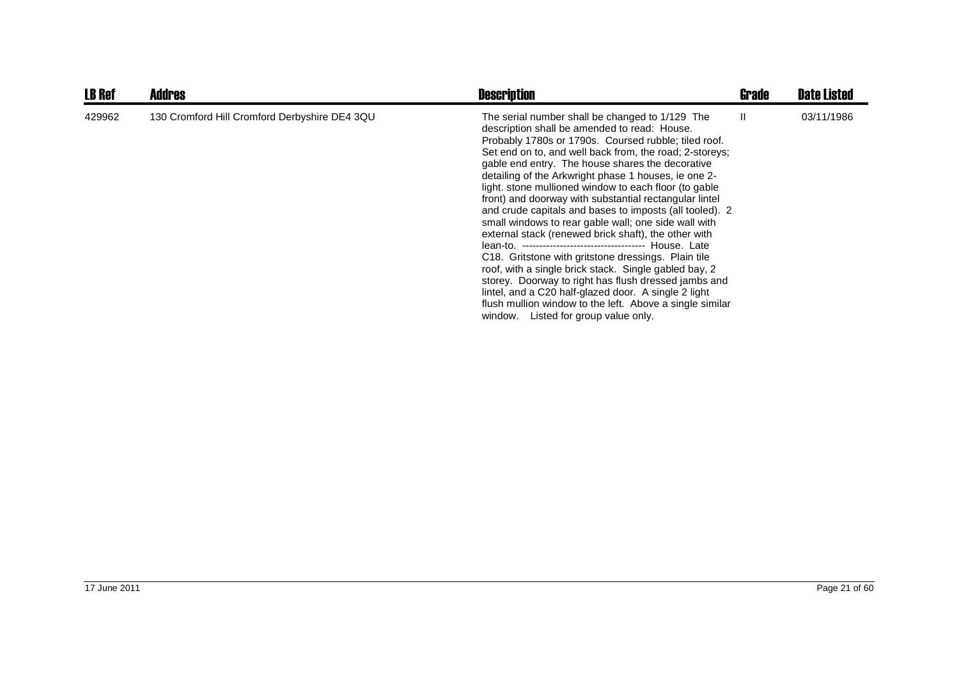| <b>LB Ref</b> | <b>Addres</b>                                 | <b>Description</b>                                                                                                                                                                                                                                                                                                                                                                                                                                                                                                                                                                                                                                                                                                                                                                                                                                                                                                                                                  | Grade | <b>Date Listed</b> |
|---------------|-----------------------------------------------|---------------------------------------------------------------------------------------------------------------------------------------------------------------------------------------------------------------------------------------------------------------------------------------------------------------------------------------------------------------------------------------------------------------------------------------------------------------------------------------------------------------------------------------------------------------------------------------------------------------------------------------------------------------------------------------------------------------------------------------------------------------------------------------------------------------------------------------------------------------------------------------------------------------------------------------------------------------------|-------|--------------------|
| 429962        | 130 Cromford Hill Cromford Derbyshire DE4 3QU | The serial number shall be changed to 1/129 The<br>description shall be amended to read: House.<br>Probably 1780s or 1790s. Coursed rubble; tiled roof.<br>Set end on to, and well back from, the road; 2-storeys;<br>gable end entry. The house shares the decorative<br>detailing of the Arkwright phase 1 houses, ie one 2-<br>light, stone mullioned window to each floor (to gable<br>front) and doorway with substantial rectangular lintel<br>and crude capitals and bases to imposts (all tooled). 2<br>small windows to rear gable wall; one side wall with<br>external stack (renewed brick shaft), the other with<br>C18. Gritstone with gritstone dressings. Plain tile<br>roof, with a single brick stack. Single gabled bay, 2<br>storey. Doorway to right has flush dressed jambs and<br>lintel, and a C20 half-glazed door. A single 2 light<br>flush mullion window to the left. Above a single similar<br>Listed for group value only.<br>window. | Ш.    | 03/11/1986         |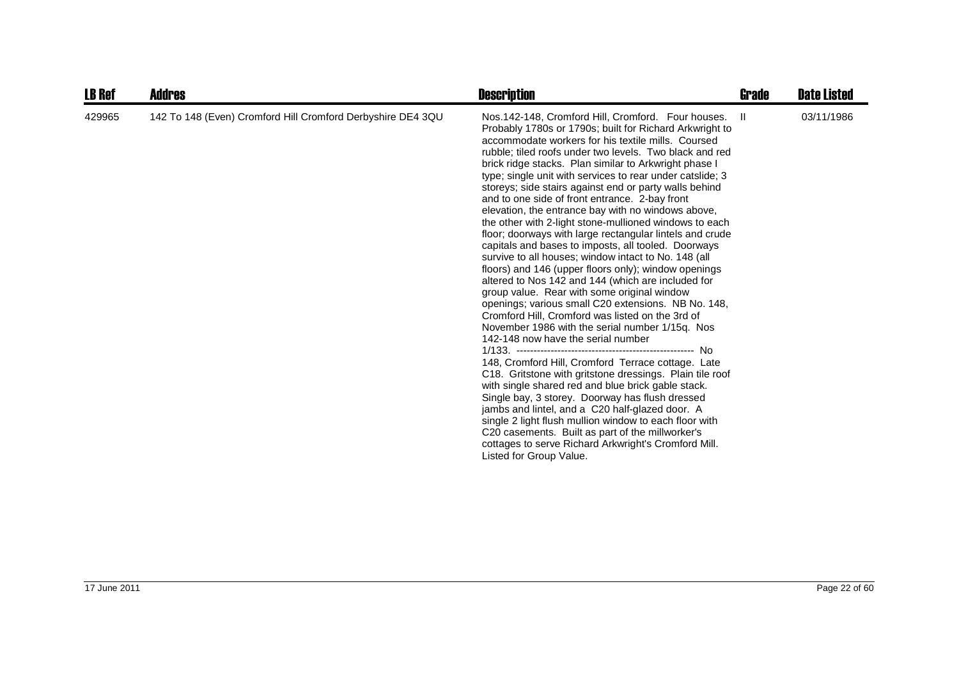| <b>LB Ref</b> | <b>Addres</b>                                               | <b>Description</b>                                                                                                                                                                                                                                                                                                                                                                                                                                                                                                                                                                                                                                                                                                                                                                                                                                                                                                                                                                                                                                                                                                                                                                                                                                                                                                                                                                                                                                                                                                                                                                                                       | Grade | <b>Date Listed</b> |
|---------------|-------------------------------------------------------------|--------------------------------------------------------------------------------------------------------------------------------------------------------------------------------------------------------------------------------------------------------------------------------------------------------------------------------------------------------------------------------------------------------------------------------------------------------------------------------------------------------------------------------------------------------------------------------------------------------------------------------------------------------------------------------------------------------------------------------------------------------------------------------------------------------------------------------------------------------------------------------------------------------------------------------------------------------------------------------------------------------------------------------------------------------------------------------------------------------------------------------------------------------------------------------------------------------------------------------------------------------------------------------------------------------------------------------------------------------------------------------------------------------------------------------------------------------------------------------------------------------------------------------------------------------------------------------------------------------------------------|-------|--------------------|
| 429965        | 142 To 148 (Even) Cromford Hill Cromford Derbyshire DE4 3QU | Nos. 142-148, Cromford Hill, Cromford. Four houses.<br>Probably 1780s or 1790s; built for Richard Arkwright to<br>accommodate workers for his textile mills. Coursed<br>rubble; tiled roofs under two levels. Two black and red<br>brick ridge stacks. Plan similar to Arkwright phase I<br>type; single unit with services to rear under catslide; 3<br>storeys; side stairs against end or party walls behind<br>and to one side of front entrance. 2-bay front<br>elevation, the entrance bay with no windows above,<br>the other with 2-light stone-mullioned windows to each<br>floor; doorways with large rectangular lintels and crude<br>capitals and bases to imposts, all tooled. Doorways<br>survive to all houses; window intact to No. 148 (all<br>floors) and 146 (upper floors only); window openings<br>altered to Nos 142 and 144 (which are included for<br>group value. Rear with some original window<br>openings; various small C20 extensions. NB No. 148,<br>Cromford Hill, Cromford was listed on the 3rd of<br>November 1986 with the serial number 1/15q. Nos<br>142-148 now have the serial number<br>148, Cromford Hill, Cromford Terrace cottage. Late<br>C18. Gritstone with gritstone dressings. Plain tile roof<br>with single shared red and blue brick gable stack.<br>Single bay, 3 storey. Doorway has flush dressed<br>jambs and lintel, and a C20 half-glazed door. A<br>single 2 light flush mullion window to each floor with<br>C <sub>20</sub> casements. Built as part of the millworker's<br>cottages to serve Richard Arkwright's Cromford Mill.<br>Listed for Group Value. | - II  | 03/11/1986         |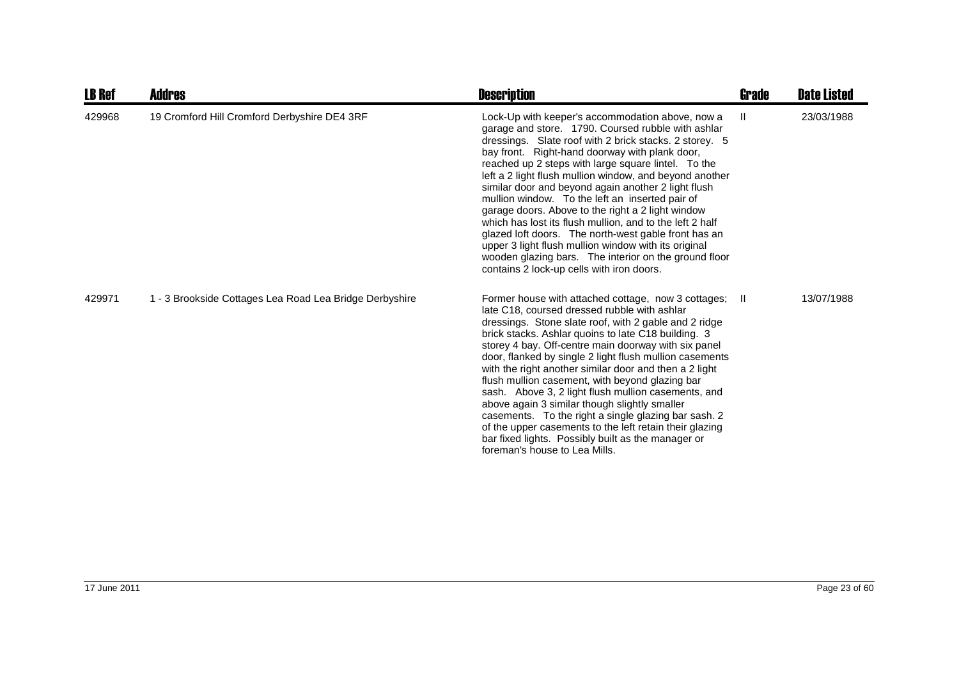| <b>LB Ref</b> | Addres                                                  | <b>Description</b>                                                                                                                                                                                                                                                                                                                                                                                                                                                                                                                                                                                                                                                                                                                                                                    | Grade | <b>Date Listed</b> |
|---------------|---------------------------------------------------------|---------------------------------------------------------------------------------------------------------------------------------------------------------------------------------------------------------------------------------------------------------------------------------------------------------------------------------------------------------------------------------------------------------------------------------------------------------------------------------------------------------------------------------------------------------------------------------------------------------------------------------------------------------------------------------------------------------------------------------------------------------------------------------------|-------|--------------------|
| 429968        | 19 Cromford Hill Cromford Derbyshire DE4 3RF            | Lock-Up with keeper's accommodation above, now a<br>garage and store. 1790. Coursed rubble with ashlar<br>dressings. Slate roof with 2 brick stacks. 2 storey. 5<br>bay front. Right-hand doorway with plank door,<br>reached up 2 steps with large square lintel. To the<br>left a 2 light flush mullion window, and beyond another<br>similar door and beyond again another 2 light flush<br>mullion window. To the left an inserted pair of<br>garage doors. Above to the right a 2 light window<br>which has lost its flush mullion, and to the left 2 half<br>glazed loft doors. The north-west gable front has an<br>upper 3 light flush mullion window with its original<br>wooden glazing bars. The interior on the ground floor<br>contains 2 lock-up cells with iron doors. | Ш     | 23/03/1988         |
| 429971        | 1 - 3 Brookside Cottages Lea Road Lea Bridge Derbyshire | Former house with attached cottage, now 3 cottages; II<br>late C18, coursed dressed rubble with ashlar<br>dressings. Stone slate roof, with 2 gable and 2 ridge<br>brick stacks. Ashlar quoins to late C18 building. 3<br>storey 4 bay. Off-centre main doorway with six panel<br>door, flanked by single 2 light flush mullion casements<br>with the right another similar door and then a 2 light<br>flush mullion casement, with beyond glazing bar<br>sash. Above 3, 2 light flush mullion casements, and<br>above again 3 similar though slightly smaller<br>casements. To the right a single glazing bar sash. 2<br>of the upper casements to the left retain their glazing<br>bar fixed lights. Possibly built as the manager or<br>foreman's house to Lea Mills.              |       | 13/07/1988         |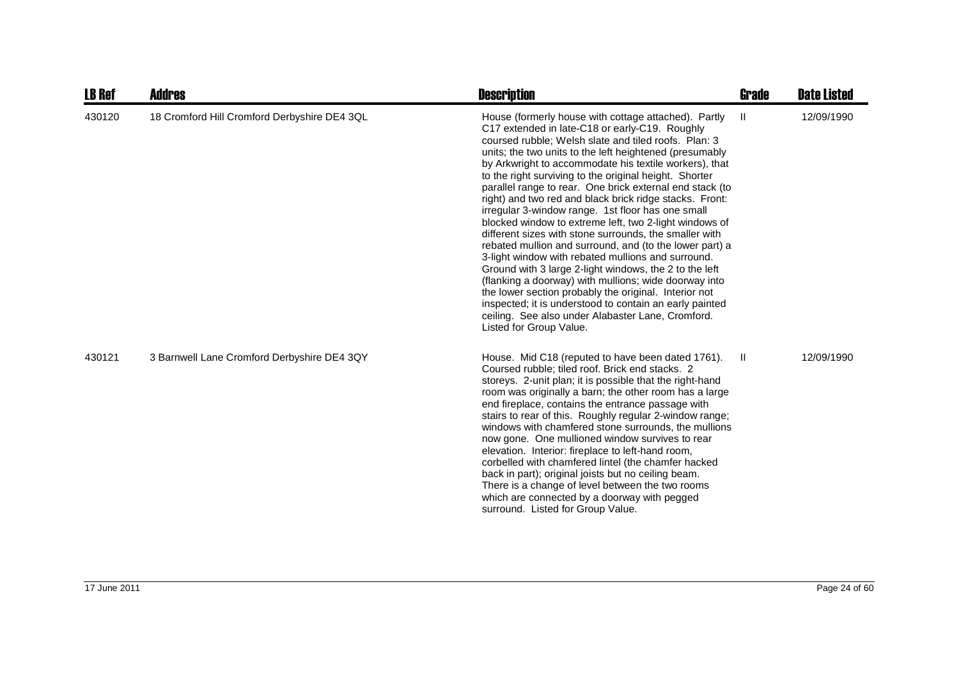| <b>LB Ref</b> | <b>Addres</b>                                | <b>Description</b>                                                                                                                                                                                                                                                                                                                                                                                                                                                                                                                                                                                                                                                                                                                                                                                                                                                                                                                                                                                                                                                                    | <b>Grade</b> | <b>Date Listed</b> |
|---------------|----------------------------------------------|---------------------------------------------------------------------------------------------------------------------------------------------------------------------------------------------------------------------------------------------------------------------------------------------------------------------------------------------------------------------------------------------------------------------------------------------------------------------------------------------------------------------------------------------------------------------------------------------------------------------------------------------------------------------------------------------------------------------------------------------------------------------------------------------------------------------------------------------------------------------------------------------------------------------------------------------------------------------------------------------------------------------------------------------------------------------------------------|--------------|--------------------|
| 430120        | 18 Cromford Hill Cromford Derbyshire DE4 3QL | House (formerly house with cottage attached). Partly<br>C17 extended in late-C18 or early-C19. Roughly<br>coursed rubble; Welsh slate and tiled roofs. Plan: 3<br>units; the two units to the left heightened (presumably<br>by Arkwright to accommodate his textile workers), that<br>to the right surviving to the original height. Shorter<br>parallel range to rear. One brick external end stack (to<br>right) and two red and black brick ridge stacks. Front:<br>irregular 3-window range. 1st floor has one small<br>blocked window to extreme left, two 2-light windows of<br>different sizes with stone surrounds, the smaller with<br>rebated mullion and surround, and (to the lower part) a<br>3-light window with rebated mullions and surround.<br>Ground with 3 large 2-light windows, the 2 to the left<br>(flanking a doorway) with mullions; wide doorway into<br>the lower section probably the original. Interior not<br>inspected; it is understood to contain an early painted<br>ceiling. See also under Alabaster Lane, Cromford.<br>Listed for Group Value. | Ш            | 12/09/1990         |
| 430121        | 3 Barnwell Lane Cromford Derbyshire DE4 3QY  | House. Mid C18 (reputed to have been dated 1761).<br>Coursed rubble; tiled roof. Brick end stacks. 2<br>storeys. 2-unit plan; it is possible that the right-hand<br>room was originally a barn; the other room has a large<br>end fireplace, contains the entrance passage with<br>stairs to rear of this. Roughly regular 2-window range;<br>windows with chamfered stone surrounds, the mullions<br>now gone. One mullioned window survives to rear<br>elevation. Interior: fireplace to left-hand room,<br>corbelled with chamfered lintel (the chamfer hacked<br>back in part); original joists but no ceiling beam.<br>There is a change of level between the two rooms<br>which are connected by a doorway with pegged<br>surround. Listed for Group Value.                                                                                                                                                                                                                                                                                                                     | Ш            | 12/09/1990         |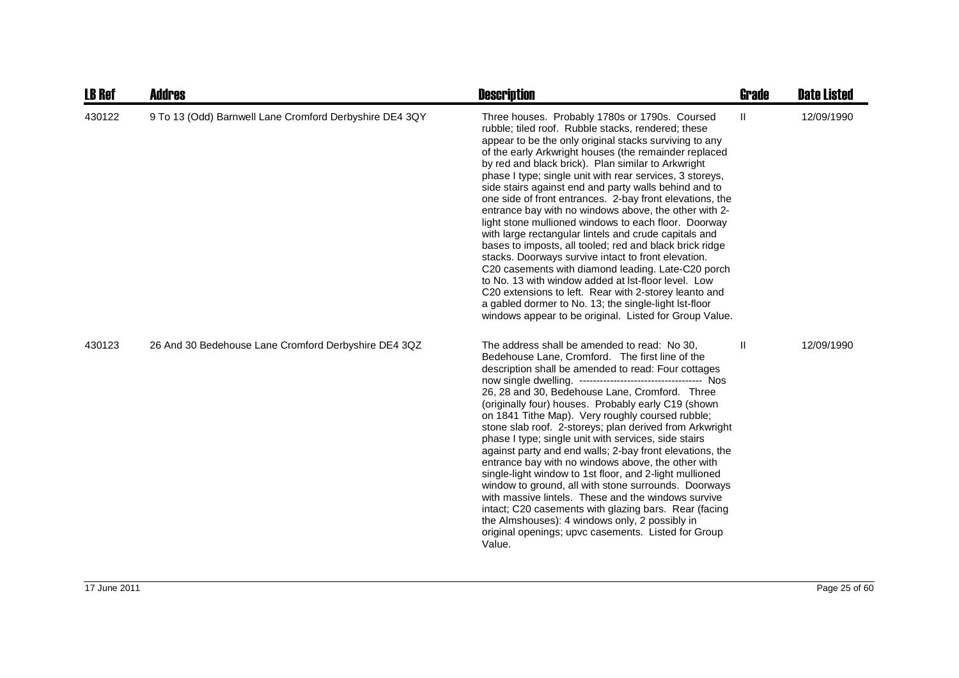| <b>LB Ref</b> | <b>Addres</b>                                           | <b>Description</b>                                                                                                                                                                                                                                                                                                                                                                                                                                                                                                                                                                                                                                                                                                                                                                                                                                                                                                                                                                                                                                  | <b>Grade</b> | <b>Date Listed</b> |
|---------------|---------------------------------------------------------|-----------------------------------------------------------------------------------------------------------------------------------------------------------------------------------------------------------------------------------------------------------------------------------------------------------------------------------------------------------------------------------------------------------------------------------------------------------------------------------------------------------------------------------------------------------------------------------------------------------------------------------------------------------------------------------------------------------------------------------------------------------------------------------------------------------------------------------------------------------------------------------------------------------------------------------------------------------------------------------------------------------------------------------------------------|--------------|--------------------|
| 430122        | 9 To 13 (Odd) Barnwell Lane Cromford Derbyshire DE4 3QY | Three houses. Probably 1780s or 1790s. Coursed<br>rubble; tiled roof. Rubble stacks, rendered; these<br>appear to be the only original stacks surviving to any<br>of the early Arkwright houses (the remainder replaced<br>by red and black brick). Plan similar to Arkwright<br>phase I type; single unit with rear services, 3 storeys,<br>side stairs against end and party walls behind and to<br>one side of front entrances. 2-bay front elevations, the<br>entrance bay with no windows above, the other with 2-<br>light stone mullioned windows to each floor. Doorway<br>with large rectangular lintels and crude capitals and<br>bases to imposts, all tooled; red and black brick ridge<br>stacks. Doorways survive intact to front elevation.<br>C20 casements with diamond leading. Late-C20 porch<br>to No. 13 with window added at lst-floor level. Low<br>C20 extensions to left. Rear with 2-storey leanto and<br>a gabled dormer to No. 13; the single-light lst-floor<br>windows appear to be original. Listed for Group Value. | Ш            | 12/09/1990         |
| 430123        | 26 And 30 Bedehouse Lane Cromford Derbyshire DE4 3QZ    | The address shall be amended to read: No 30.<br>Bedehouse Lane, Cromford. The first line of the<br>description shall be amended to read: Four cottages<br>26, 28 and 30, Bedehouse Lane, Cromford. Three<br>(originally four) houses. Probably early C19 (shown<br>on 1841 Tithe Map). Very roughly coursed rubble;<br>stone slab roof. 2-storeys; plan derived from Arkwright<br>phase I type; single unit with services, side stairs<br>against party and end walls; 2-bay front elevations, the<br>entrance bay with no windows above, the other with<br>single-light window to 1st floor, and 2-light mullioned<br>window to ground, all with stone surrounds. Doorways<br>with massive lintels. These and the windows survive<br>intact; C20 casements with glazing bars. Rear (facing<br>the Almshouses): 4 windows only, 2 possibly in<br>original openings; upvc casements. Listed for Group<br>Value.                                                                                                                                      | Ш            | 12/09/1990         |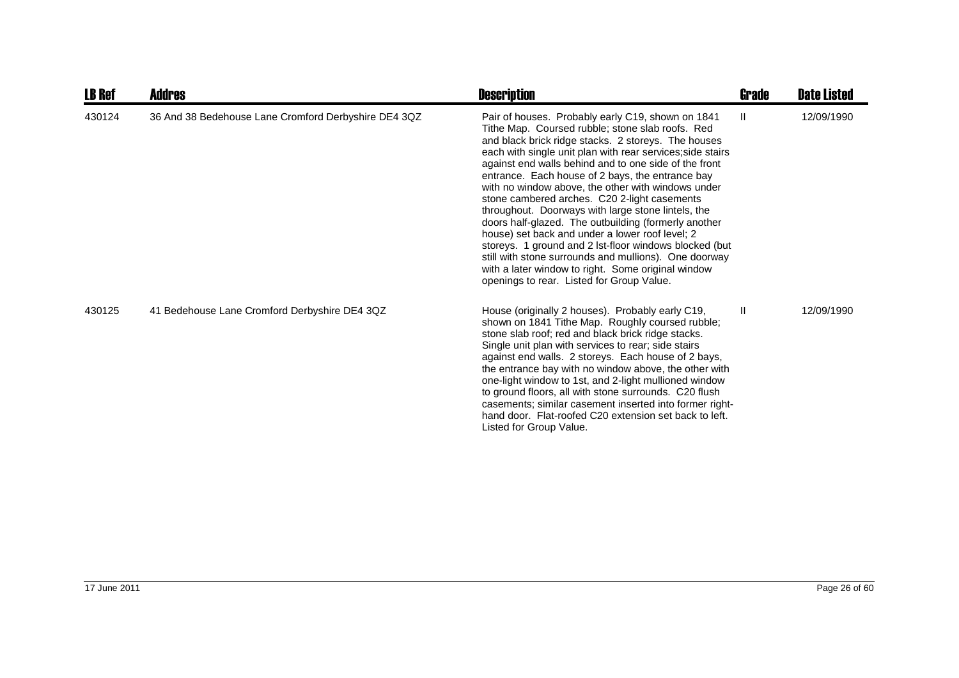| <b>LB Ref</b> | <b>Addres</b>                                        | <b>Description</b>                                                                                                                                                                                                                                                                                                                                                                                                                                                                                                                                                                                                                                                                                                                                                                                                                   | <b>Grade</b> | <b>Date Listed</b> |
|---------------|------------------------------------------------------|--------------------------------------------------------------------------------------------------------------------------------------------------------------------------------------------------------------------------------------------------------------------------------------------------------------------------------------------------------------------------------------------------------------------------------------------------------------------------------------------------------------------------------------------------------------------------------------------------------------------------------------------------------------------------------------------------------------------------------------------------------------------------------------------------------------------------------------|--------------|--------------------|
| 430124        | 36 And 38 Bedehouse Lane Cromford Derbyshire DE4 3QZ | Pair of houses. Probably early C19, shown on 1841<br>Tithe Map. Coursed rubble; stone slab roofs. Red<br>and black brick ridge stacks. 2 storeys. The houses<br>each with single unit plan with rear services; side stairs<br>against end walls behind and to one side of the front<br>entrance. Each house of 2 bays, the entrance bay<br>with no window above, the other with windows under<br>stone cambered arches. C20 2-light casements<br>throughout. Doorways with large stone lintels, the<br>doors half-glazed. The outbuilding (formerly another<br>house) set back and under a lower roof level; 2<br>storeys. 1 ground and 2 lst-floor windows blocked (but<br>still with stone surrounds and mullions). One doorway<br>with a later window to right. Some original window<br>openings to rear. Listed for Group Value. | Ш            | 12/09/1990         |
| 430125        | 41 Bedehouse Lane Cromford Derbyshire DE4 3QZ        | House (originally 2 houses). Probably early C19,<br>shown on 1841 Tithe Map. Roughly coursed rubble;<br>stone slab roof; red and black brick ridge stacks.<br>Single unit plan with services to rear; side stairs<br>against end walls. 2 storeys. Each house of 2 bays,<br>the entrance bay with no window above, the other with<br>one-light window to 1st, and 2-light mullioned window<br>to ground floors, all with stone surrounds. C20 flush<br>casements; similar casement inserted into former right-<br>hand door. Flat-roofed C20 extension set back to left.<br>Listed for Group Value.                                                                                                                                                                                                                                  | Ш            | 12/09/1990         |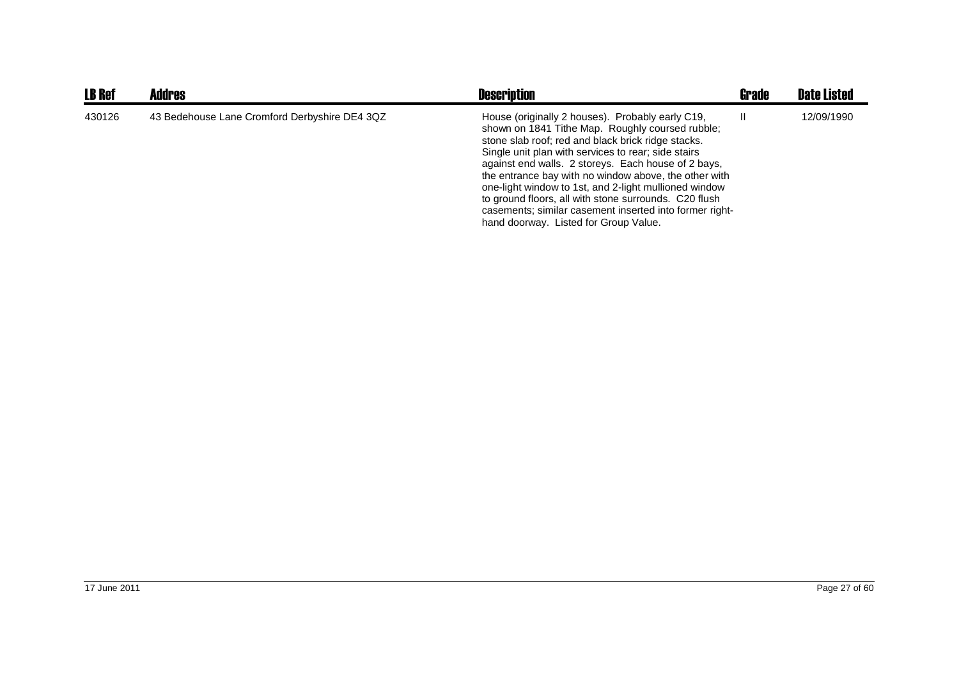| <b>LB Ref</b> | <b>Addres</b>                                 | <b>Description</b>                                                                                                                                                                                                                                                                                                                                                                                                                                                                                                                                      | Grade | <b>Date Listed</b> |
|---------------|-----------------------------------------------|---------------------------------------------------------------------------------------------------------------------------------------------------------------------------------------------------------------------------------------------------------------------------------------------------------------------------------------------------------------------------------------------------------------------------------------------------------------------------------------------------------------------------------------------------------|-------|--------------------|
| 430126        | 43 Bedehouse Lane Cromford Derbyshire DE4 3QZ | House (originally 2 houses). Probably early C19,<br>shown on 1841 Tithe Map. Roughly coursed rubble;<br>stone slab roof; red and black brick ridge stacks.<br>Single unit plan with services to rear; side stairs<br>against end walls. 2 storeys. Each house of 2 bays,<br>the entrance bay with no window above, the other with<br>one-light window to 1st, and 2-light mullioned window<br>to ground floors, all with stone surrounds. C20 flush<br>casements; similar casement inserted into former right-<br>hand doorway. Listed for Group Value. |       | 12/09/1990         |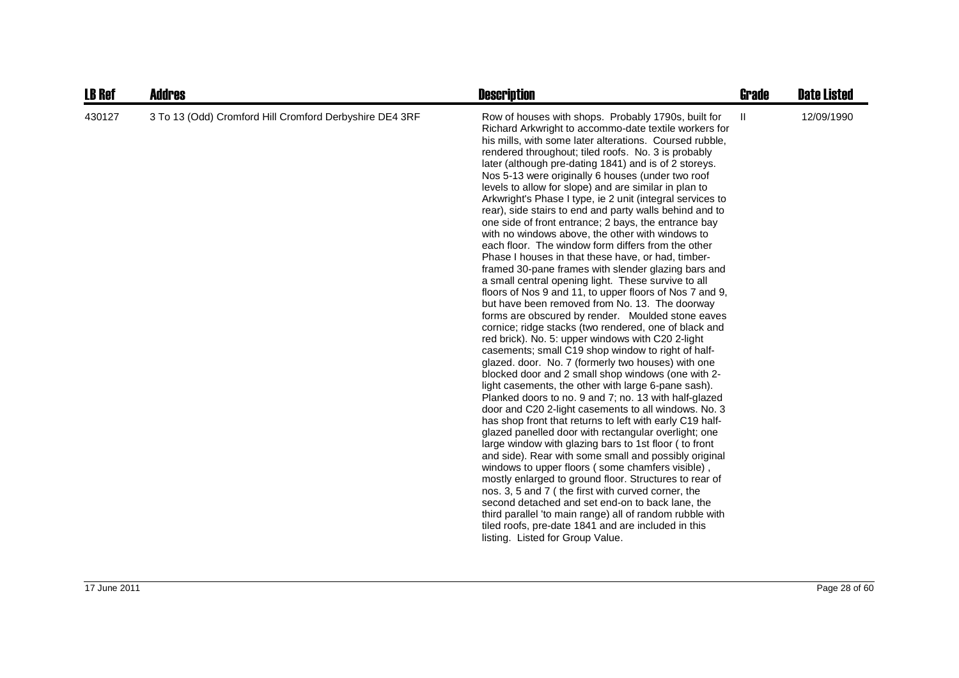| <b>LB Ref</b> | Addres                                                  | <b>Description</b>                                                                                                                                                                                                                                                                                                                                                                                                                                                                                                                                                                                                                                                                                                                                                                                                                                                                                                                                                                                                                                                                                                                                                                                                                                                                                                                                                                                                                                                                                                                                                                                                                                                                                                                                                                                                                                                                                                                                                                                                                                                                                                  | <b>Grade</b> | <b>Date Listed</b> |
|---------------|---------------------------------------------------------|---------------------------------------------------------------------------------------------------------------------------------------------------------------------------------------------------------------------------------------------------------------------------------------------------------------------------------------------------------------------------------------------------------------------------------------------------------------------------------------------------------------------------------------------------------------------------------------------------------------------------------------------------------------------------------------------------------------------------------------------------------------------------------------------------------------------------------------------------------------------------------------------------------------------------------------------------------------------------------------------------------------------------------------------------------------------------------------------------------------------------------------------------------------------------------------------------------------------------------------------------------------------------------------------------------------------------------------------------------------------------------------------------------------------------------------------------------------------------------------------------------------------------------------------------------------------------------------------------------------------------------------------------------------------------------------------------------------------------------------------------------------------------------------------------------------------------------------------------------------------------------------------------------------------------------------------------------------------------------------------------------------------------------------------------------------------------------------------------------------------|--------------|--------------------|
| 430127        | 3 To 13 (Odd) Cromford Hill Cromford Derbyshire DE4 3RF | Row of houses with shops. Probably 1790s, built for<br>Richard Arkwright to accommo-date textile workers for<br>his mills, with some later alterations. Coursed rubble,<br>rendered throughout; tiled roofs. No. 3 is probably<br>later (although pre-dating 1841) and is of 2 storeys.<br>Nos 5-13 were originally 6 houses (under two roof<br>levels to allow for slope) and are similar in plan to<br>Arkwright's Phase I type, ie 2 unit (integral services to<br>rear), side stairs to end and party walls behind and to<br>one side of front entrance; 2 bays, the entrance bay<br>with no windows above, the other with windows to<br>each floor. The window form differs from the other<br>Phase I houses in that these have, or had, timber-<br>framed 30-pane frames with slender glazing bars and<br>a small central opening light. These survive to all<br>floors of Nos 9 and 11, to upper floors of Nos 7 and 9,<br>but have been removed from No. 13. The doorway<br>forms are obscured by render. Moulded stone eaves<br>cornice; ridge stacks (two rendered, one of black and<br>red brick). No. 5: upper windows with C20 2-light<br>casements; small C19 shop window to right of half-<br>glazed. door. No. 7 (formerly two houses) with one<br>blocked door and 2 small shop windows (one with 2-<br>light casements, the other with large 6-pane sash).<br>Planked doors to no. 9 and 7; no. 13 with half-glazed<br>door and C20 2-light casements to all windows. No. 3<br>has shop front that returns to left with early C19 half-<br>glazed panelled door with rectangular overlight; one<br>large window with glazing bars to 1st floor ( to front<br>and side). Rear with some small and possibly original<br>windows to upper floors (some chamfers visible),<br>mostly enlarged to ground floor. Structures to rear of<br>nos. 3, 5 and 7 (the first with curved corner, the<br>second detached and set end-on to back lane, the<br>third parallel 'to main range) all of random rubble with<br>tiled roofs, pre-date 1841 and are included in this<br>listing. Listed for Group Value. | Ш            | 12/09/1990         |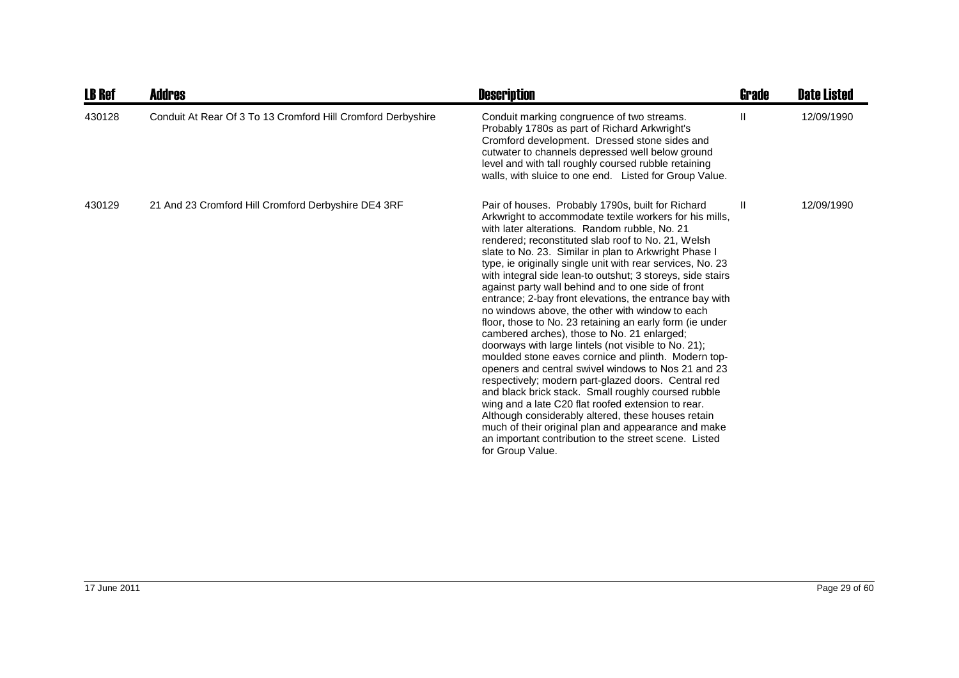| <b>LB Ref</b> | <b>Addres</b>                                                | <b>Description</b>                                                                                                                                                                                                                                                                                                                                                                                                                                                                                                                                                                                                                                                                                                                                                                                                                                                                                                                                                                                                                                                                                                                                                                                                          | <b>Grade</b> | <b>Date Listed</b> |
|---------------|--------------------------------------------------------------|-----------------------------------------------------------------------------------------------------------------------------------------------------------------------------------------------------------------------------------------------------------------------------------------------------------------------------------------------------------------------------------------------------------------------------------------------------------------------------------------------------------------------------------------------------------------------------------------------------------------------------------------------------------------------------------------------------------------------------------------------------------------------------------------------------------------------------------------------------------------------------------------------------------------------------------------------------------------------------------------------------------------------------------------------------------------------------------------------------------------------------------------------------------------------------------------------------------------------------|--------------|--------------------|
| 430128        | Conduit At Rear Of 3 To 13 Cromford Hill Cromford Derbyshire | Conduit marking congruence of two streams.<br>Probably 1780s as part of Richard Arkwright's<br>Cromford development. Dressed stone sides and<br>cutwater to channels depressed well below ground<br>level and with tall roughly coursed rubble retaining<br>walls, with sluice to one end. Listed for Group Value.                                                                                                                                                                                                                                                                                                                                                                                                                                                                                                                                                                                                                                                                                                                                                                                                                                                                                                          | Ш            | 12/09/1990         |
| 430129        | 21 And 23 Cromford Hill Cromford Derbyshire DE4 3RF          | Pair of houses. Probably 1790s, built for Richard<br>Arkwright to accommodate textile workers for his mills,<br>with later alterations. Random rubble, No. 21<br>rendered; reconstituted slab roof to No. 21, Welsh<br>slate to No. 23. Similar in plan to Arkwright Phase I<br>type, ie originally single unit with rear services, No. 23<br>with integral side lean-to outshut; 3 storeys, side stairs<br>against party wall behind and to one side of front<br>entrance; 2-bay front elevations, the entrance bay with<br>no windows above, the other with window to each<br>floor, those to No. 23 retaining an early form (ie under<br>cambered arches), those to No. 21 enlarged;<br>doorways with large lintels (not visible to No. 21);<br>moulded stone eaves cornice and plinth. Modern top-<br>openers and central swivel windows to Nos 21 and 23<br>respectively; modern part-glazed doors. Central red<br>and black brick stack. Small roughly coursed rubble<br>wing and a late C20 flat roofed extension to rear.<br>Although considerably altered, these houses retain<br>much of their original plan and appearance and make<br>an important contribution to the street scene. Listed<br>for Group Value. | Ш            | 12/09/1990         |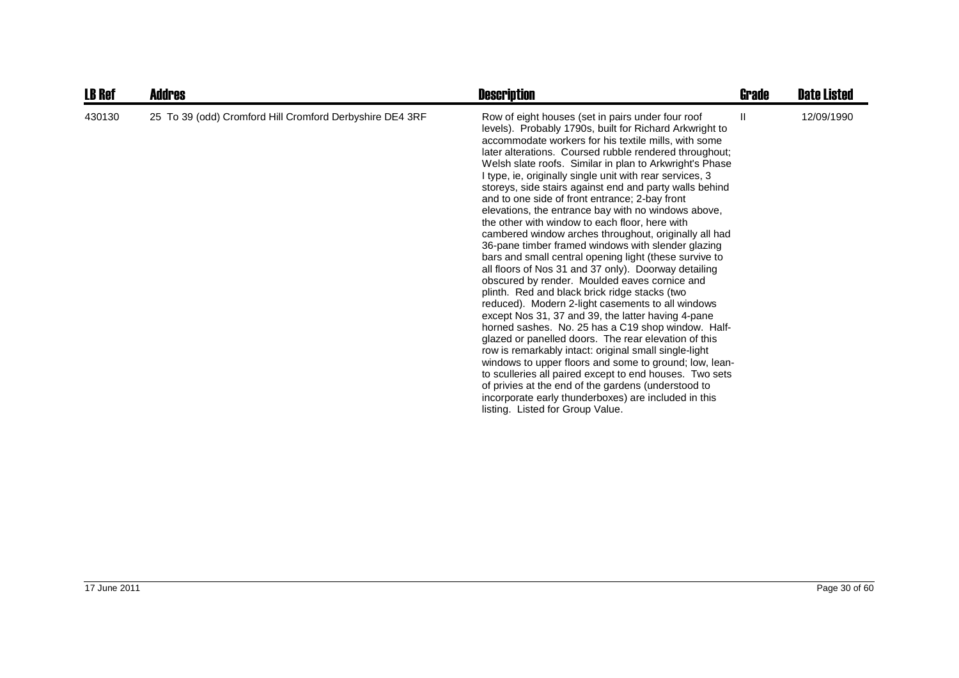| <b>LB Ref</b> | Addres                                                   | <b>Description</b>                                                                                                                                                                                                                                                                                                                                                                                                                                                                                                                                                                                                                                                                                                                                                                                                                                                                                                                                                                                                                                                                                                                                                                                                                                                                                                                                                                                                                                                       | Grade         | <b>Date Listed</b> |
|---------------|----------------------------------------------------------|--------------------------------------------------------------------------------------------------------------------------------------------------------------------------------------------------------------------------------------------------------------------------------------------------------------------------------------------------------------------------------------------------------------------------------------------------------------------------------------------------------------------------------------------------------------------------------------------------------------------------------------------------------------------------------------------------------------------------------------------------------------------------------------------------------------------------------------------------------------------------------------------------------------------------------------------------------------------------------------------------------------------------------------------------------------------------------------------------------------------------------------------------------------------------------------------------------------------------------------------------------------------------------------------------------------------------------------------------------------------------------------------------------------------------------------------------------------------------|---------------|--------------------|
| 430130        | 25 To 39 (odd) Cromford Hill Cromford Derbyshire DE4 3RF | Row of eight houses (set in pairs under four roof<br>levels). Probably 1790s, built for Richard Arkwright to<br>accommodate workers for his textile mills, with some<br>later alterations. Coursed rubble rendered throughout;<br>Welsh slate roofs. Similar in plan to Arkwright's Phase<br>I type, ie, originally single unit with rear services, 3<br>storeys, side stairs against end and party walls behind<br>and to one side of front entrance; 2-bay front<br>elevations, the entrance bay with no windows above,<br>the other with window to each floor, here with<br>cambered window arches throughout, originally all had<br>36-pane timber framed windows with slender glazing<br>bars and small central opening light (these survive to<br>all floors of Nos 31 and 37 only). Doorway detailing<br>obscured by render. Moulded eaves cornice and<br>plinth. Red and black brick ridge stacks (two<br>reduced). Modern 2-light casements to all windows<br>except Nos 31, 37 and 39, the latter having 4-pane<br>horned sashes. No. 25 has a C19 shop window. Half-<br>glazed or panelled doors. The rear elevation of this<br>row is remarkably intact: original small single-light<br>windows to upper floors and some to ground; low, lean-<br>to sculleries all paired except to end houses. Two sets<br>of privies at the end of the gardens (understood to<br>incorporate early thunderboxes) are included in this<br>listing. Listed for Group Value. | $\mathbf{II}$ | 12/09/1990         |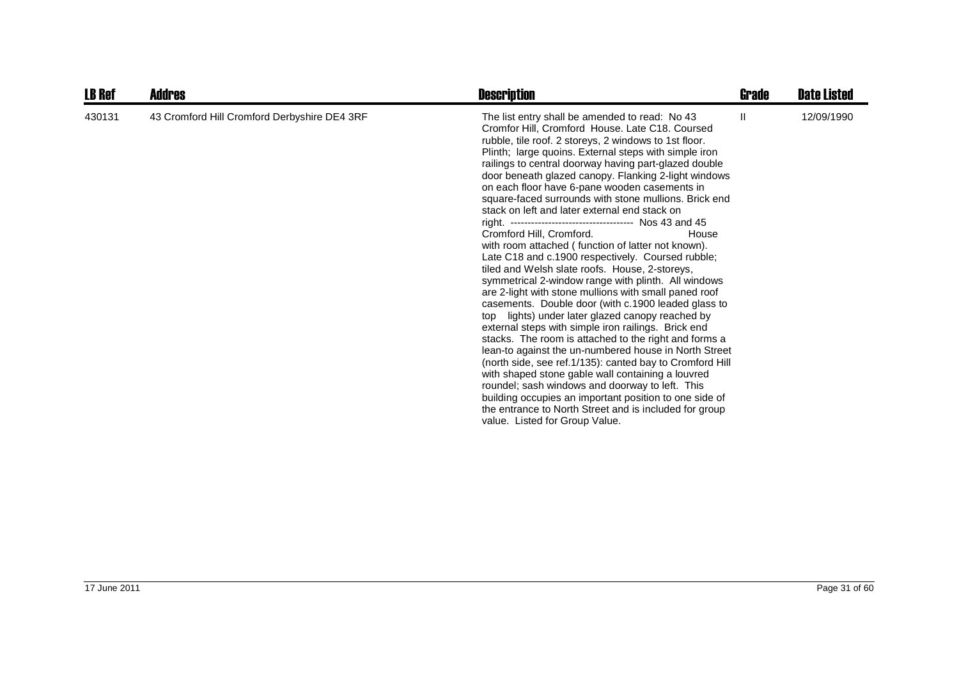| <b>LB Ref</b> | <b>Addres</b>                                | <b>Description</b>                                                                                                                                                                                                                                                                                                                                                                                                                                                                                                                                                                                                                                                                                                                                                                                                                                                                                                                                                                                                                                                                                                                                                                                                                                                                                                                                                                                                                                                                          | Grade | <b>Date Listed</b> |
|---------------|----------------------------------------------|---------------------------------------------------------------------------------------------------------------------------------------------------------------------------------------------------------------------------------------------------------------------------------------------------------------------------------------------------------------------------------------------------------------------------------------------------------------------------------------------------------------------------------------------------------------------------------------------------------------------------------------------------------------------------------------------------------------------------------------------------------------------------------------------------------------------------------------------------------------------------------------------------------------------------------------------------------------------------------------------------------------------------------------------------------------------------------------------------------------------------------------------------------------------------------------------------------------------------------------------------------------------------------------------------------------------------------------------------------------------------------------------------------------------------------------------------------------------------------------------|-------|--------------------|
| 430131        | 43 Cromford Hill Cromford Derbyshire DE4 3RF | The list entry shall be amended to read: No 43<br>Cromfor Hill, Cromford House. Late C18. Coursed<br>rubble, tile roof. 2 storeys, 2 windows to 1st floor.<br>Plinth; large quoins. External steps with simple iron<br>railings to central doorway having part-glazed double<br>door beneath glazed canopy. Flanking 2-light windows<br>on each floor have 6-pane wooden casements in<br>square-faced surrounds with stone mullions. Brick end<br>stack on left and later external end stack on<br>right. ----------------------------------- Nos 43 and 45<br>Cromford Hill, Cromford.<br>House<br>with room attached (function of latter not known).<br>Late C18 and c.1900 respectively. Coursed rubble;<br>tiled and Welsh slate roofs. House, 2-storeys,<br>symmetrical 2-window range with plinth. All windows<br>are 2-light with stone mullions with small paned roof<br>casements. Double door (with c.1900 leaded glass to<br>top lights) under later glazed canopy reached by<br>external steps with simple iron railings. Brick end<br>stacks. The room is attached to the right and forms a<br>lean-to against the un-numbered house in North Street<br>(north side, see ref.1/135): canted bay to Cromford Hill<br>with shaped stone gable wall containing a louvred<br>roundel; sash windows and doorway to left. This<br>building occupies an important position to one side of<br>the entrance to North Street and is included for group<br>value. Listed for Group Value. | Ш     | 12/09/1990         |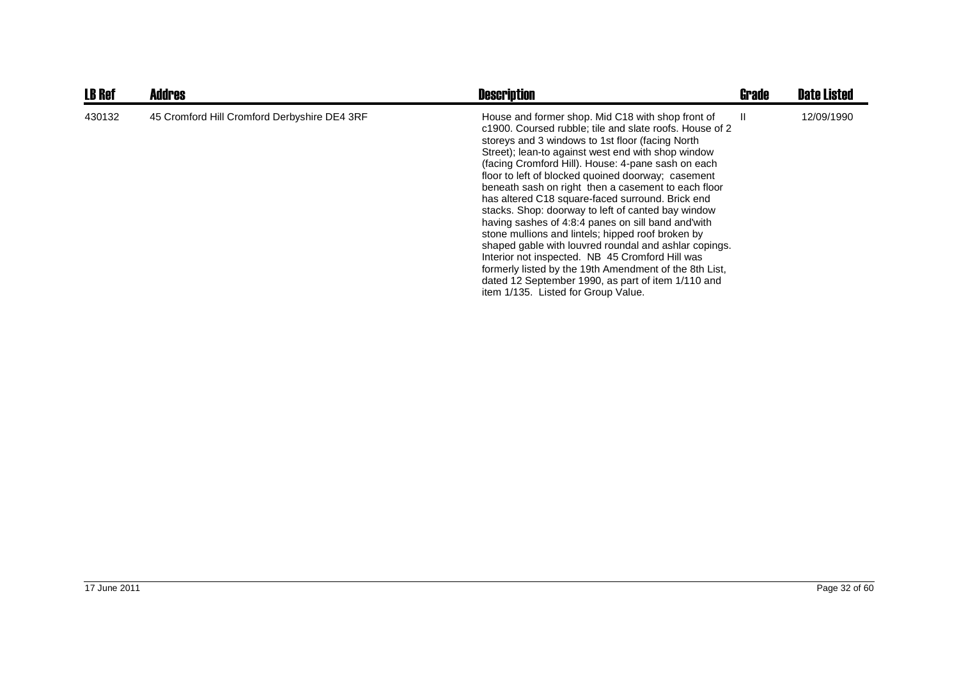| <b>LB Ref</b> | <b>Addres</b>                                | <b>Description</b>                                                                                                                                                                                                                                                                                                                                                                                                                                                                                                                                                                                                                                                                                                                                                                                                                                                                | Grade | <b>Date Listed</b> |
|---------------|----------------------------------------------|-----------------------------------------------------------------------------------------------------------------------------------------------------------------------------------------------------------------------------------------------------------------------------------------------------------------------------------------------------------------------------------------------------------------------------------------------------------------------------------------------------------------------------------------------------------------------------------------------------------------------------------------------------------------------------------------------------------------------------------------------------------------------------------------------------------------------------------------------------------------------------------|-------|--------------------|
| 430132        | 45 Cromford Hill Cromford Derbyshire DE4 3RF | House and former shop. Mid C18 with shop front of<br>c1900. Coursed rubble; tile and slate roofs. House of 2<br>storeys and 3 windows to 1st floor (facing North<br>Street); lean-to against west end with shop window<br>(facing Cromford Hill). House: 4-pane sash on each<br>floor to left of blocked quoined doorway; casement<br>beneath sash on right then a casement to each floor<br>has altered C18 square-faced surround. Brick end<br>stacks. Shop: doorway to left of canted bay window<br>having sashes of 4:8:4 panes on sill band and with<br>stone mullions and lintels; hipped roof broken by<br>shaped gable with louvred roundal and ashlar copings.<br>Interior not inspected. NB 45 Cromford Hill was<br>formerly listed by the 19th Amendment of the 8th List,<br>dated 12 September 1990, as part of item 1/110 and<br>item 1/135. Listed for Group Value. | Ш     | 12/09/1990         |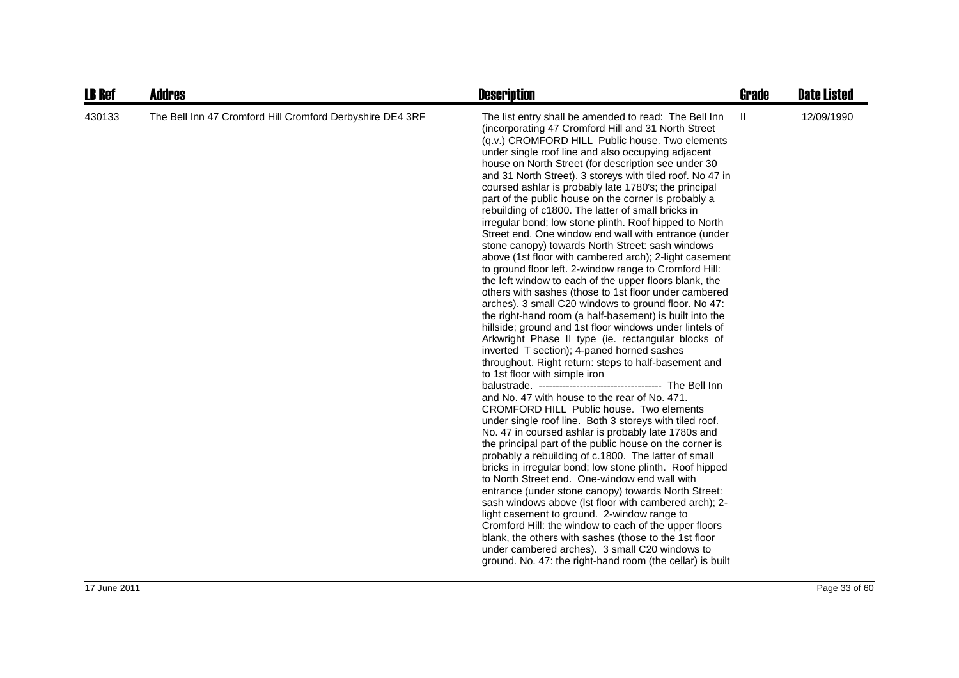| <b>LB Ref</b> | <b>Addres</b>                                             | <b>Description</b>                                                                                                                                                                                                                                                                                                                                                                                                                                                                                                                                                                                                                                                                                                                                                                                                                                                                                                                                                                                                                                                                                                                                                                                                                                                                                                                                                                                                                                                                                                                                                                                                                                                                                                                                                                                                                                                                                                                                                                                                                                                                                                                                     | <b>Grade</b> | <b>Date Listed</b> |
|---------------|-----------------------------------------------------------|--------------------------------------------------------------------------------------------------------------------------------------------------------------------------------------------------------------------------------------------------------------------------------------------------------------------------------------------------------------------------------------------------------------------------------------------------------------------------------------------------------------------------------------------------------------------------------------------------------------------------------------------------------------------------------------------------------------------------------------------------------------------------------------------------------------------------------------------------------------------------------------------------------------------------------------------------------------------------------------------------------------------------------------------------------------------------------------------------------------------------------------------------------------------------------------------------------------------------------------------------------------------------------------------------------------------------------------------------------------------------------------------------------------------------------------------------------------------------------------------------------------------------------------------------------------------------------------------------------------------------------------------------------------------------------------------------------------------------------------------------------------------------------------------------------------------------------------------------------------------------------------------------------------------------------------------------------------------------------------------------------------------------------------------------------------------------------------------------------------------------------------------------------|--------------|--------------------|
| 430133        | The Bell Inn 47 Cromford Hill Cromford Derbyshire DE4 3RF | The list entry shall be amended to read: The Bell Inn<br>(incorporating 47 Cromford Hill and 31 North Street<br>(q.v.) CROMFORD HILL Public house. Two elements<br>under single roof line and also occupying adjacent<br>house on North Street (for description see under 30<br>and 31 North Street). 3 storeys with tiled roof. No 47 in<br>coursed ashlar is probably late 1780's; the principal<br>part of the public house on the corner is probably a<br>rebuilding of c1800. The latter of small bricks in<br>irregular bond; low stone plinth. Roof hipped to North<br>Street end. One window end wall with entrance (under<br>stone canopy) towards North Street: sash windows<br>above (1st floor with cambered arch); 2-light casement<br>to ground floor left. 2-window range to Cromford Hill:<br>the left window to each of the upper floors blank, the<br>others with sashes (those to 1st floor under cambered<br>arches). 3 small C20 windows to ground floor. No 47:<br>the right-hand room (a half-basement) is built into the<br>hillside; ground and 1st floor windows under lintels of<br>Arkwright Phase II type (ie. rectangular blocks of<br>inverted T section); 4-paned horned sashes<br>throughout. Right return: steps to half-basement and<br>to 1st floor with simple iron<br>and No. 47 with house to the rear of No. 471.<br>CROMFORD HILL Public house. Two elements<br>under single roof line. Both 3 storeys with tiled roof.<br>No. 47 in coursed ashlar is probably late 1780s and<br>the principal part of the public house on the corner is<br>probably a rebuilding of c.1800. The latter of small<br>bricks in irregular bond; low stone plinth. Roof hipped<br>to North Street end. One-window end wall with<br>entrance (under stone canopy) towards North Street:<br>sash windows above (Ist floor with cambered arch); 2-<br>light casement to ground. 2-window range to<br>Cromford Hill: the window to each of the upper floors<br>blank, the others with sashes (those to the 1st floor<br>under cambered arches). 3 small C20 windows to<br>ground. No. 47: the right-hand room (the cellar) is built | $\mathbf{H}$ | 12/09/1990         |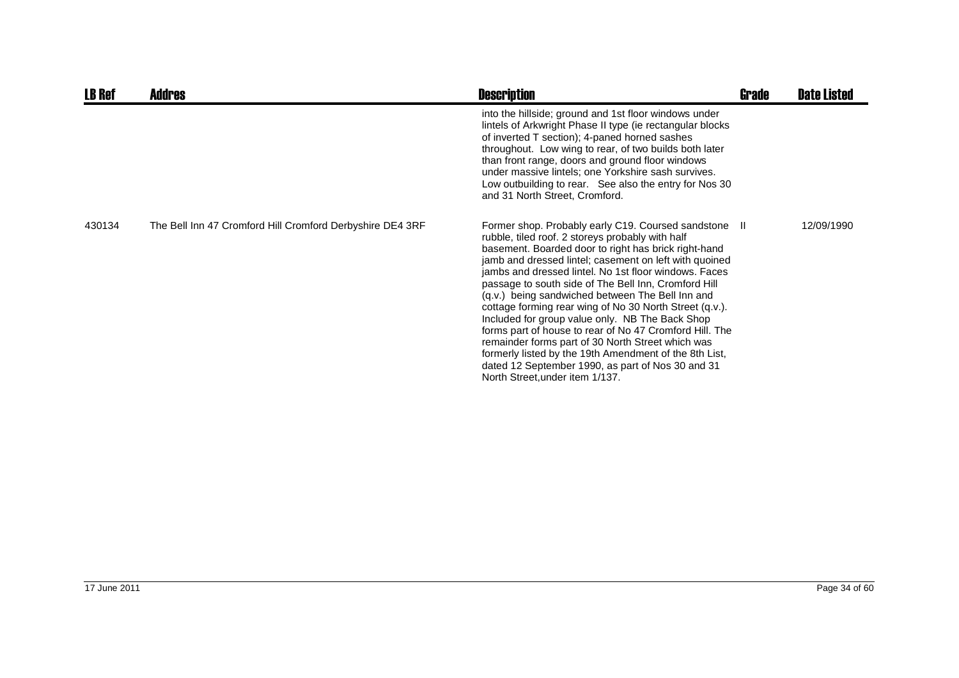| <b>LB Ref</b> | <b>Addres</b>                                             | <b>Description</b>                                                                                                                                                                                                                                                                                                                                                                                                                                                                                                                                                                                                                                                                                                                                                               | <b>Grade</b> | <b>Date Listed</b> |
|---------------|-----------------------------------------------------------|----------------------------------------------------------------------------------------------------------------------------------------------------------------------------------------------------------------------------------------------------------------------------------------------------------------------------------------------------------------------------------------------------------------------------------------------------------------------------------------------------------------------------------------------------------------------------------------------------------------------------------------------------------------------------------------------------------------------------------------------------------------------------------|--------------|--------------------|
|               |                                                           | into the hillside; ground and 1st floor windows under<br>lintels of Arkwright Phase II type (ie rectangular blocks<br>of inverted T section); 4-paned horned sashes<br>throughout. Low wing to rear, of two builds both later<br>than front range, doors and ground floor windows<br>under massive lintels; one Yorkshire sash survives.<br>Low outbuilding to rear. See also the entry for Nos 30<br>and 31 North Street, Cromford.                                                                                                                                                                                                                                                                                                                                             |              |                    |
| 430134        | The Bell Inn 47 Cromford Hill Cromford Derbyshire DE4 3RF | Former shop. Probably early C19. Coursed sandstone II<br>rubble, tiled roof. 2 storeys probably with half<br>basement. Boarded door to right has brick right-hand<br>jamb and dressed lintel; casement on left with quoined<br>jambs and dressed lintel. No 1st floor windows. Faces<br>passage to south side of The Bell Inn, Cromford Hill<br>(q.v.) being sandwiched between The Bell Inn and<br>cottage forming rear wing of No 30 North Street (q.v.).<br>Included for group value only. NB The Back Shop<br>forms part of house to rear of No 47 Cromford Hill. The<br>remainder forms part of 30 North Street which was<br>formerly listed by the 19th Amendment of the 8th List,<br>dated 12 September 1990, as part of Nos 30 and 31<br>North Street, under item 1/137. |              | 12/09/1990         |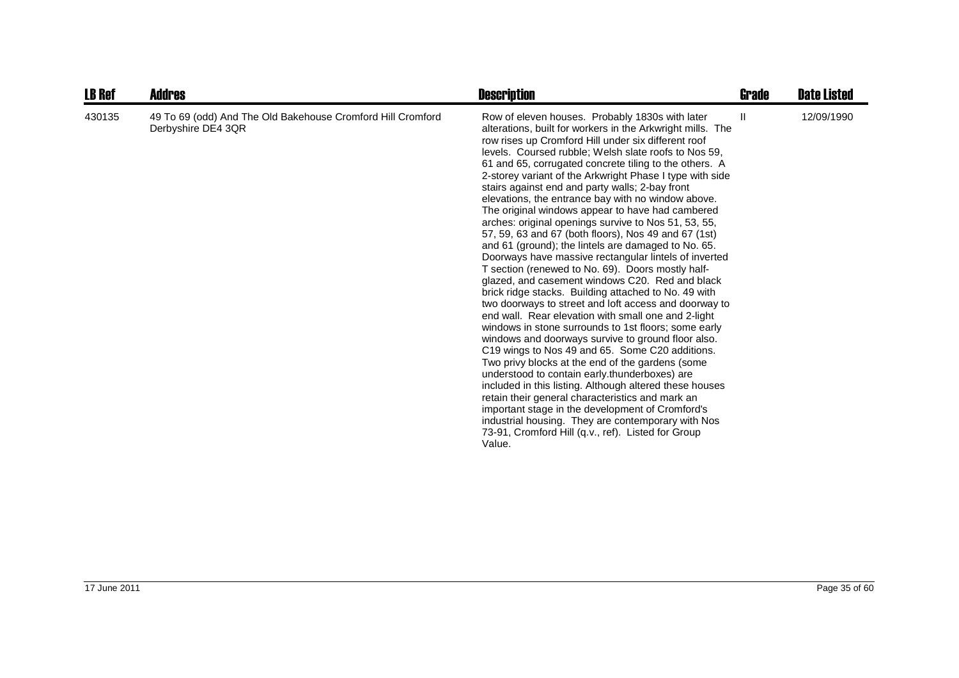| <b>LB Ref</b> | <b>Addres</b>                                                                     | <b>Description</b>                                                                                                                                                                                                                                                                                                                                                                                                                                                                                                                                                                                                                                                                                                                                                                                                                                                                                                                                                                                                                                                                                                                                                                                                                                                                                                                                                                                                                                                                                                                                                                             | <b>Grade</b> | <b>Date Listed</b> |
|---------------|-----------------------------------------------------------------------------------|------------------------------------------------------------------------------------------------------------------------------------------------------------------------------------------------------------------------------------------------------------------------------------------------------------------------------------------------------------------------------------------------------------------------------------------------------------------------------------------------------------------------------------------------------------------------------------------------------------------------------------------------------------------------------------------------------------------------------------------------------------------------------------------------------------------------------------------------------------------------------------------------------------------------------------------------------------------------------------------------------------------------------------------------------------------------------------------------------------------------------------------------------------------------------------------------------------------------------------------------------------------------------------------------------------------------------------------------------------------------------------------------------------------------------------------------------------------------------------------------------------------------------------------------------------------------------------------------|--------------|--------------------|
| 430135        | 49 To 69 (odd) And The Old Bakehouse Cromford Hill Cromford<br>Derbyshire DE4 3QR | Row of eleven houses. Probably 1830s with later<br>alterations, built for workers in the Arkwright mills. The<br>row rises up Cromford Hill under six different roof<br>levels. Coursed rubble; Welsh slate roofs to Nos 59,<br>61 and 65, corrugated concrete tiling to the others. A<br>2-storey variant of the Arkwright Phase I type with side<br>stairs against end and party walls; 2-bay front<br>elevations, the entrance bay with no window above.<br>The original windows appear to have had cambered<br>arches: original openings survive to Nos 51, 53, 55,<br>57, 59, 63 and 67 (both floors), Nos 49 and 67 (1st)<br>and 61 (ground); the lintels are damaged to No. 65.<br>Doorways have massive rectangular lintels of inverted<br>T section (renewed to No. 69). Doors mostly half-<br>glazed, and casement windows C20. Red and black<br>brick ridge stacks. Building attached to No. 49 with<br>two doorways to street and loft access and doorway to<br>end wall. Rear elevation with small one and 2-light<br>windows in stone surrounds to 1st floors; some early<br>windows and doorways survive to ground floor also.<br>C19 wings to Nos 49 and 65. Some C20 additions.<br>Two privy blocks at the end of the gardens (some<br>understood to contain early thunderboxes) are<br>included in this listing. Although altered these houses<br>retain their general characteristics and mark an<br>important stage in the development of Cromford's<br>industrial housing. They are contemporary with Nos<br>73-91, Cromford Hill (q.v., ref). Listed for Group<br>Value. | $\mathbf{H}$ | 12/09/1990         |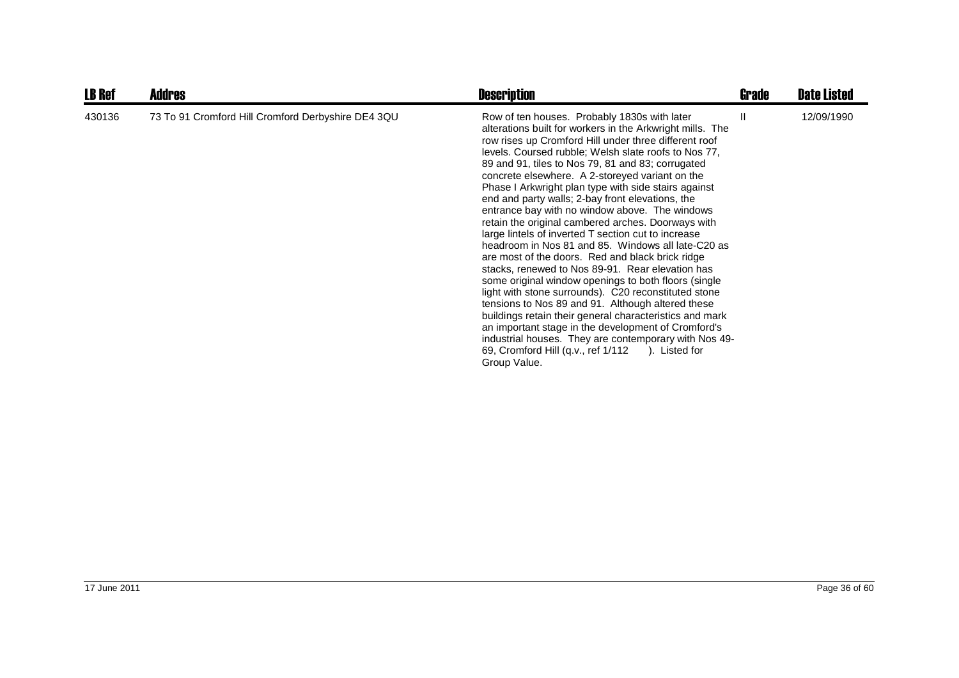| <b>LB Ref</b> | <b>Addres</b>                                      | <b>Description</b>                                                                                                                                                                                                                                                                                                                                                                                                                                                                                                                                                                                                                                                                                                                                                                                                                                                                                                                                                                                                                                                                                                                                                                              | Grade | <b>Date Listed</b> |
|---------------|----------------------------------------------------|-------------------------------------------------------------------------------------------------------------------------------------------------------------------------------------------------------------------------------------------------------------------------------------------------------------------------------------------------------------------------------------------------------------------------------------------------------------------------------------------------------------------------------------------------------------------------------------------------------------------------------------------------------------------------------------------------------------------------------------------------------------------------------------------------------------------------------------------------------------------------------------------------------------------------------------------------------------------------------------------------------------------------------------------------------------------------------------------------------------------------------------------------------------------------------------------------|-------|--------------------|
| 430136        | 73 To 91 Cromford Hill Cromford Derbyshire DE4 3QU | Row of ten houses. Probably 1830s with later<br>alterations built for workers in the Arkwright mills. The<br>row rises up Cromford Hill under three different roof<br>levels. Coursed rubble; Welsh slate roofs to Nos 77,<br>89 and 91, tiles to Nos 79, 81 and 83; corrugated<br>concrete elsewhere. A 2-storeyed variant on the<br>Phase I Arkwright plan type with side stairs against<br>end and party walls; 2-bay front elevations, the<br>entrance bay with no window above. The windows<br>retain the original cambered arches. Doorways with<br>large lintels of inverted T section cut to increase<br>headroom in Nos 81 and 85. Windows all late-C20 as<br>are most of the doors. Red and black brick ridge<br>stacks, renewed to Nos 89-91. Rear elevation has<br>some original window openings to both floors (single<br>light with stone surrounds). C20 reconstituted stone<br>tensions to Nos 89 and 91. Although altered these<br>buildings retain their general characteristics and mark<br>an important stage in the development of Cromford's<br>industrial houses. They are contemporary with Nos 49-<br>69, Cromford Hill (q.v., ref 1/112 ). Listed for<br>Group Value. |       | 12/09/1990         |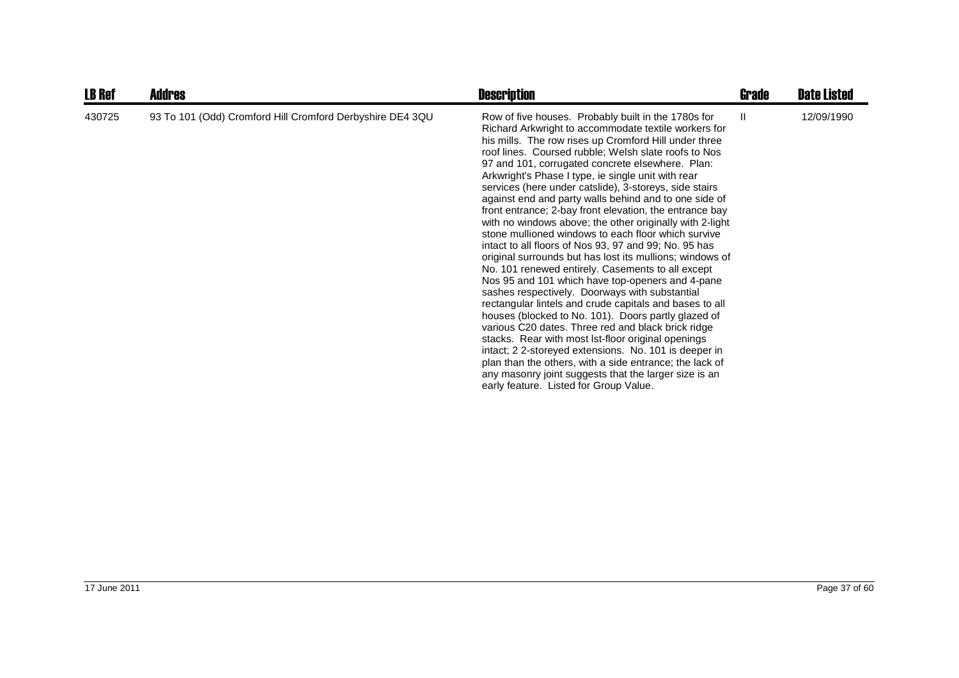| <b>LB Ref</b> | <b>Addres</b>                                             | <b>Description</b>                                                                                                                                                                                                                                                                                                                                                                                                                                                                                                                                                                                                                                                                                                                                                                                                                                                                                                                                                                                                                                                                                                                                                                                                                                                                                                                                                           | Grade | <b>Date Listed</b> |
|---------------|-----------------------------------------------------------|------------------------------------------------------------------------------------------------------------------------------------------------------------------------------------------------------------------------------------------------------------------------------------------------------------------------------------------------------------------------------------------------------------------------------------------------------------------------------------------------------------------------------------------------------------------------------------------------------------------------------------------------------------------------------------------------------------------------------------------------------------------------------------------------------------------------------------------------------------------------------------------------------------------------------------------------------------------------------------------------------------------------------------------------------------------------------------------------------------------------------------------------------------------------------------------------------------------------------------------------------------------------------------------------------------------------------------------------------------------------------|-------|--------------------|
| 430725        | 93 To 101 (Odd) Cromford Hill Cromford Derbyshire DE4 3QU | Row of five houses. Probably built in the 1780s for<br>Richard Arkwright to accommodate textile workers for<br>his mills. The row rises up Cromford Hill under three<br>roof lines. Coursed rubble; Welsh slate roofs to Nos<br>97 and 101, corrugated concrete elsewhere. Plan:<br>Arkwright's Phase I type, ie single unit with rear<br>services (here under catslide), 3-storeys, side stairs<br>against end and party walls behind and to one side of<br>front entrance; 2-bay front elevation, the entrance bay<br>with no windows above; the other originally with 2-light<br>stone mullioned windows to each floor which survive<br>intact to all floors of Nos 93, 97 and 99; No. 95 has<br>original surrounds but has lost its mullions; windows of<br>No. 101 renewed entirely. Casements to all except<br>Nos 95 and 101 which have top-openers and 4-pane<br>sashes respectively. Doorways with substantial<br>rectangular lintels and crude capitals and bases to all<br>houses (blocked to No. 101). Doors partly glazed of<br>various C20 dates. Three red and black brick ridge<br>stacks. Rear with most lst-floor original openings<br>intact; 2 2-storeyed extensions. No. 101 is deeper in<br>plan than the others, with a side entrance; the lack of<br>any masonry joint suggests that the larger size is an<br>early feature. Listed for Group Value. | H.    | 12/09/1990         |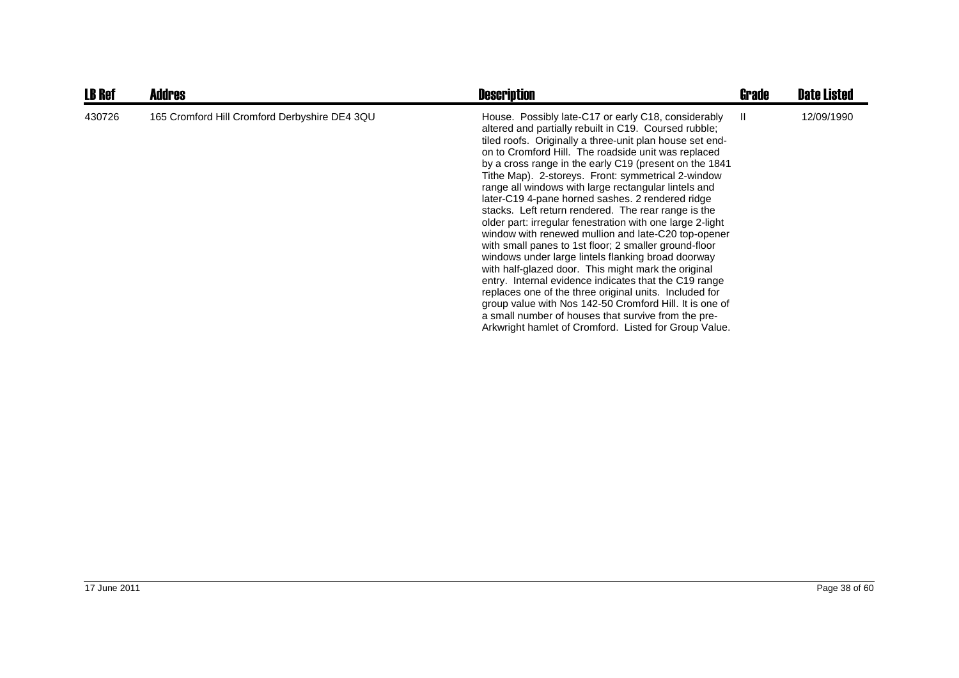| <b>LB Ref</b> | <b>Addres</b>                                 | <b>Description</b>                                                                                                                                                                                                                                                                                                                                                                                                                                                                                                                                                                                                                                                                                                                                                                                                                                                                                                                                                                                                                                                                                         | Grade | <b>Date Listed</b> |
|---------------|-----------------------------------------------|------------------------------------------------------------------------------------------------------------------------------------------------------------------------------------------------------------------------------------------------------------------------------------------------------------------------------------------------------------------------------------------------------------------------------------------------------------------------------------------------------------------------------------------------------------------------------------------------------------------------------------------------------------------------------------------------------------------------------------------------------------------------------------------------------------------------------------------------------------------------------------------------------------------------------------------------------------------------------------------------------------------------------------------------------------------------------------------------------------|-------|--------------------|
| 430726        | 165 Cromford Hill Cromford Derbyshire DE4 3QU | House. Possibly late-C17 or early C18, considerably<br>altered and partially rebuilt in C19. Coursed rubble;<br>tiled roofs. Originally a three-unit plan house set end-<br>on to Cromford Hill. The roadside unit was replaced<br>by a cross range in the early C19 (present on the 1841<br>Tithe Map). 2-storeys. Front: symmetrical 2-window<br>range all windows with large rectangular lintels and<br>later-C19 4-pane horned sashes. 2 rendered ridge<br>stacks. Left return rendered. The rear range is the<br>older part: irregular fenestration with one large 2-light<br>window with renewed mullion and late-C20 top-opener<br>with small panes to 1st floor; 2 smaller ground-floor<br>windows under large lintels flanking broad doorway<br>with half-glazed door. This might mark the original<br>entry. Internal evidence indicates that the C19 range<br>replaces one of the three original units. Included for<br>group value with Nos 142-50 Cromford Hill. It is one of<br>a small number of houses that survive from the pre-<br>Arkwright hamlet of Cromford. Listed for Group Value. | - 11  | 12/09/1990         |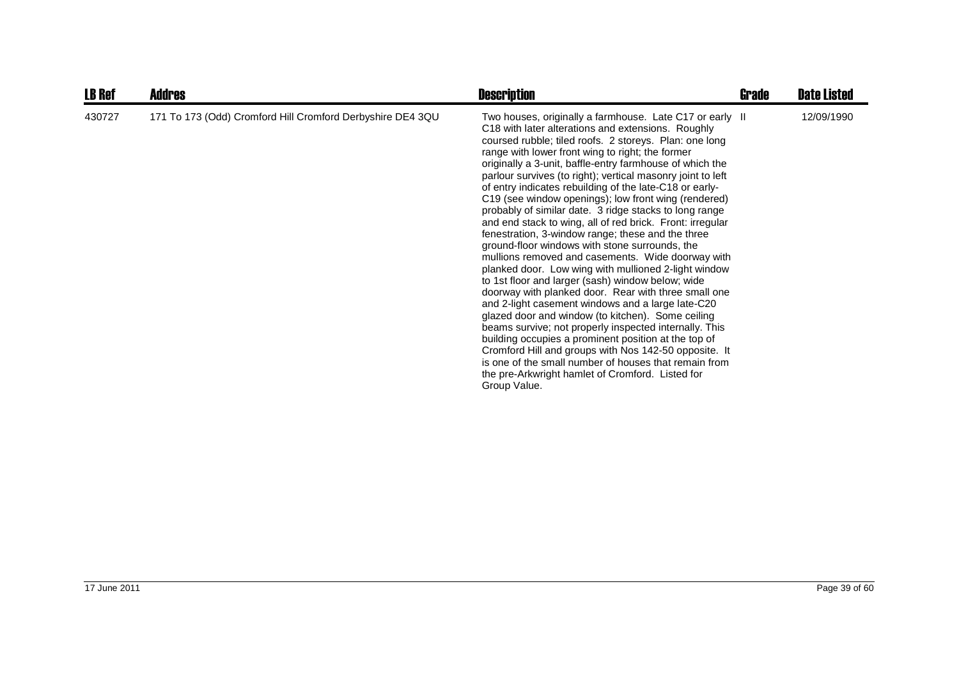| <b>LB Ref</b> | <b>Addres</b>                                              | <b>Description</b>                                                                                                                                                                                                                                                                                                                                                                                                                                                                                                                                                                                                                                                                                                                                                                                                                                                                                                                                                                                                                                                                                                                                                                                                                                                                                                                                   | Grade | <b>Date Listed</b> |
|---------------|------------------------------------------------------------|------------------------------------------------------------------------------------------------------------------------------------------------------------------------------------------------------------------------------------------------------------------------------------------------------------------------------------------------------------------------------------------------------------------------------------------------------------------------------------------------------------------------------------------------------------------------------------------------------------------------------------------------------------------------------------------------------------------------------------------------------------------------------------------------------------------------------------------------------------------------------------------------------------------------------------------------------------------------------------------------------------------------------------------------------------------------------------------------------------------------------------------------------------------------------------------------------------------------------------------------------------------------------------------------------------------------------------------------------|-------|--------------------|
| 430727        | 171 To 173 (Odd) Cromford Hill Cromford Derbyshire DE4 3QU | Two houses, originally a farmhouse. Late C17 or early II<br>C18 with later alterations and extensions. Roughly<br>coursed rubble; tiled roofs. 2 storeys. Plan: one long<br>range with lower front wing to right; the former<br>originally a 3-unit, baffle-entry farmhouse of which the<br>parlour survives (to right); vertical masonry joint to left<br>of entry indicates rebuilding of the late-C18 or early-<br>C19 (see window openings); low front wing (rendered)<br>probably of similar date. 3 ridge stacks to long range<br>and end stack to wing, all of red brick. Front: irregular<br>fenestration, 3-window range; these and the three<br>ground-floor windows with stone surrounds, the<br>mullions removed and casements. Wide doorway with<br>planked door. Low wing with mullioned 2-light window<br>to 1st floor and larger (sash) window below; wide<br>doorway with planked door. Rear with three small one<br>and 2-light casement windows and a large late-C20<br>glazed door and window (to kitchen). Some ceiling<br>beams survive; not properly inspected internally. This<br>building occupies a prominent position at the top of<br>Cromford Hill and groups with Nos 142-50 opposite. It<br>is one of the small number of houses that remain from<br>the pre-Arkwright hamlet of Cromford. Listed for<br>Group Value. |       | 12/09/1990         |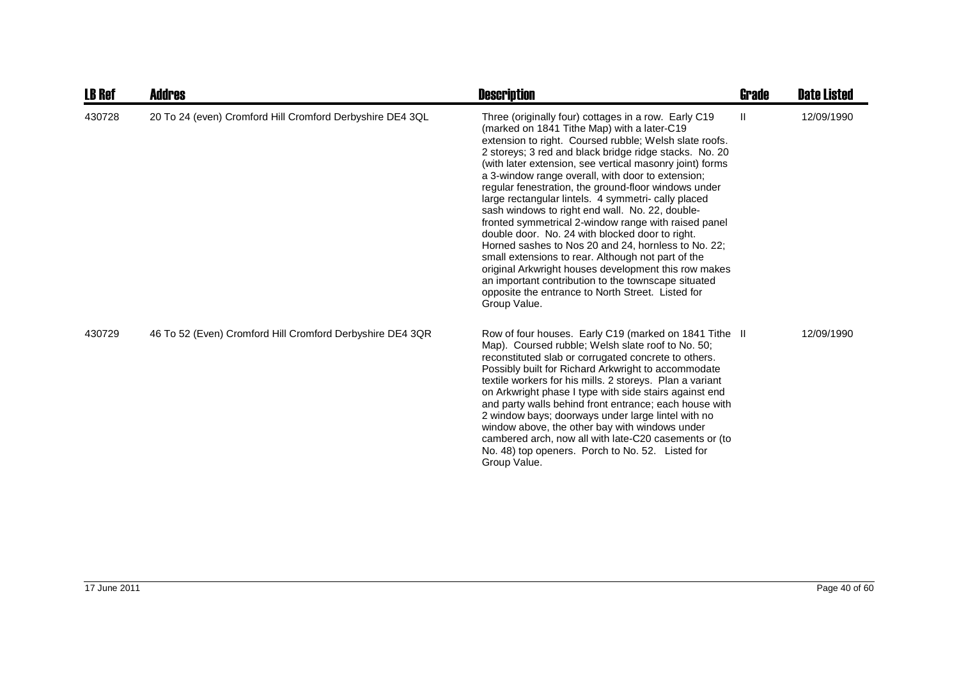| <b>LB Ref</b> | Addres                                                    | <b>Description</b>                                                                                                                                                                                                                                                                                                                                                                                                                                                                                                                                                                                                                                                                                                                                                                                                                                                                                                     | <b>Grade</b> | <b>Date Listed</b> |
|---------------|-----------------------------------------------------------|------------------------------------------------------------------------------------------------------------------------------------------------------------------------------------------------------------------------------------------------------------------------------------------------------------------------------------------------------------------------------------------------------------------------------------------------------------------------------------------------------------------------------------------------------------------------------------------------------------------------------------------------------------------------------------------------------------------------------------------------------------------------------------------------------------------------------------------------------------------------------------------------------------------------|--------------|--------------------|
| 430728        | 20 To 24 (even) Cromford Hill Cromford Derbyshire DE4 3QL | Three (originally four) cottages in a row. Early C19<br>(marked on 1841 Tithe Map) with a later-C19<br>extension to right. Coursed rubble; Welsh slate roofs.<br>2 storeys; 3 red and black bridge ridge stacks. No. 20<br>(with later extension, see vertical masonry joint) forms<br>a 3-window range overall, with door to extension;<br>regular fenestration, the ground-floor windows under<br>large rectangular lintels. 4 symmetri- cally placed<br>sash windows to right end wall. No. 22, double-<br>fronted symmetrical 2-window range with raised panel<br>double door. No. 24 with blocked door to right.<br>Horned sashes to Nos 20 and 24, hornless to No. 22;<br>small extensions to rear. Although not part of the<br>original Arkwright houses development this row makes<br>an important contribution to the townscape situated<br>opposite the entrance to North Street. Listed for<br>Group Value. | Ш            | 12/09/1990         |
| 430729        | 46 To 52 (Even) Cromford Hill Cromford Derbyshire DE4 3QR | Row of four houses. Early C19 (marked on 1841 Tithe II<br>Map). Coursed rubble; Welsh slate roof to No. 50;<br>reconstituted slab or corrugated concrete to others.<br>Possibly built for Richard Arkwright to accommodate<br>textile workers for his mills. 2 storeys. Plan a variant<br>on Arkwright phase I type with side stairs against end<br>and party walls behind front entrance; each house with<br>2 window bays; doorways under large lintel with no<br>window above, the other bay with windows under<br>cambered arch, now all with late-C20 casements or (to<br>No. 48) top openers. Porch to No. 52. Listed for<br>Group Value.                                                                                                                                                                                                                                                                        |              | 12/09/1990         |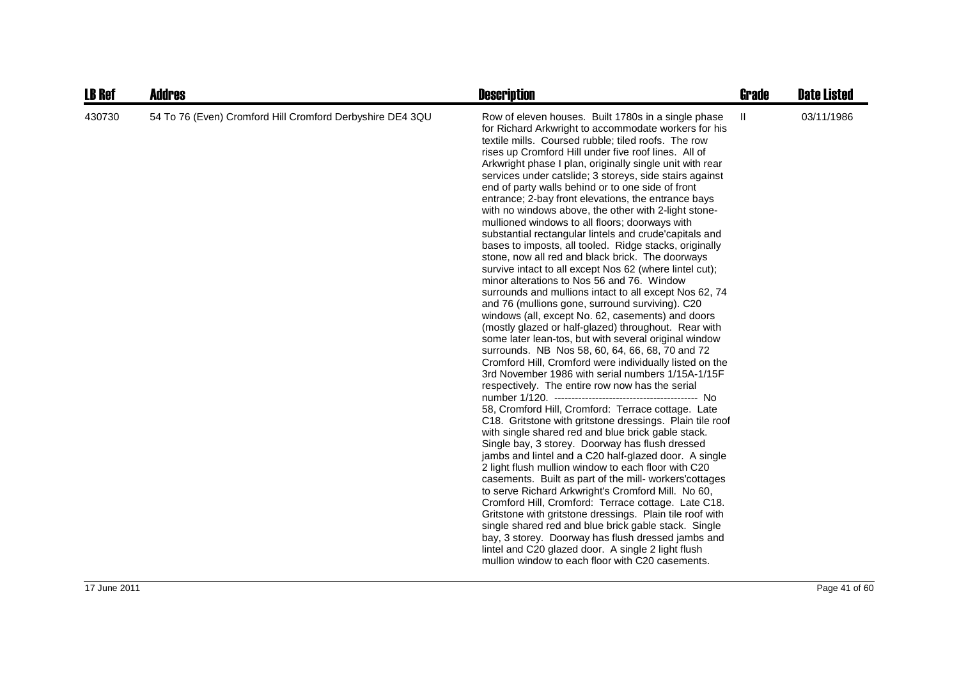| <b>LB Ref</b> | <b>Addres</b>                                             | <b>Description</b>                                                                                                                                                                                                                                                                                                                                                                                                                                                                                                                                                                                                                                                                                                                                                                                                                                                                                                                                                                                                                                                                                                                                                                                                                                                                                                                                                                                                                                                                                                                                                                                                                                                                                                                                                                                                                                                                                                                                                                                                                                                                                                                                                       | <b>Grade</b> | <b>Date Listed</b> |
|---------------|-----------------------------------------------------------|--------------------------------------------------------------------------------------------------------------------------------------------------------------------------------------------------------------------------------------------------------------------------------------------------------------------------------------------------------------------------------------------------------------------------------------------------------------------------------------------------------------------------------------------------------------------------------------------------------------------------------------------------------------------------------------------------------------------------------------------------------------------------------------------------------------------------------------------------------------------------------------------------------------------------------------------------------------------------------------------------------------------------------------------------------------------------------------------------------------------------------------------------------------------------------------------------------------------------------------------------------------------------------------------------------------------------------------------------------------------------------------------------------------------------------------------------------------------------------------------------------------------------------------------------------------------------------------------------------------------------------------------------------------------------------------------------------------------------------------------------------------------------------------------------------------------------------------------------------------------------------------------------------------------------------------------------------------------------------------------------------------------------------------------------------------------------------------------------------------------------------------------------------------------------|--------------|--------------------|
| 430730        | 54 To 76 (Even) Cromford Hill Cromford Derbyshire DE4 3QU | Row of eleven houses. Built 1780s in a single phase<br>for Richard Arkwright to accommodate workers for his<br>textile mills. Coursed rubble; tiled roofs. The row<br>rises up Cromford Hill under five roof lines. All of<br>Arkwright phase I plan, originally single unit with rear<br>services under catslide; 3 storeys, side stairs against<br>end of party walls behind or to one side of front<br>entrance; 2-bay front elevations, the entrance bays<br>with no windows above, the other with 2-light stone-<br>mullioned windows to all floors; doorways with<br>substantial rectangular lintels and crude'capitals and<br>bases to imposts, all tooled. Ridge stacks, originally<br>stone, now all red and black brick. The doorways<br>survive intact to all except Nos 62 (where lintel cut);<br>minor alterations to Nos 56 and 76. Window<br>surrounds and mullions intact to all except Nos 62, 74<br>and 76 (mullions gone, surround surviving). C20<br>windows (all, except No. 62, casements) and doors<br>(mostly glazed or half-glazed) throughout. Rear with<br>some later lean-tos, but with several original window<br>surrounds. NB Nos 58, 60, 64, 66, 68, 70 and 72<br>Cromford Hill, Cromford were individually listed on the<br>3rd November 1986 with serial numbers 1/15A-1/15F<br>respectively. The entire row now has the serial<br>58, Cromford Hill, Cromford: Terrace cottage. Late<br>C18. Gritstone with gritstone dressings. Plain tile roof<br>with single shared red and blue brick gable stack.<br>Single bay, 3 storey. Doorway has flush dressed<br>jambs and lintel and a C20 half-glazed door. A single<br>2 light flush mullion window to each floor with C20<br>casements. Built as part of the mill- workers' cottages<br>to serve Richard Arkwright's Cromford Mill. No 60,<br>Cromford Hill, Cromford: Terrace cottage. Late C18.<br>Gritstone with gritstone dressings. Plain tile roof with<br>single shared red and blue brick gable stack. Single<br>bay, 3 storey. Doorway has flush dressed jambs and<br>lintel and C20 glazed door. A single 2 light flush<br>mullion window to each floor with C20 casements. | $\mathbf{H}$ | 03/11/1986         |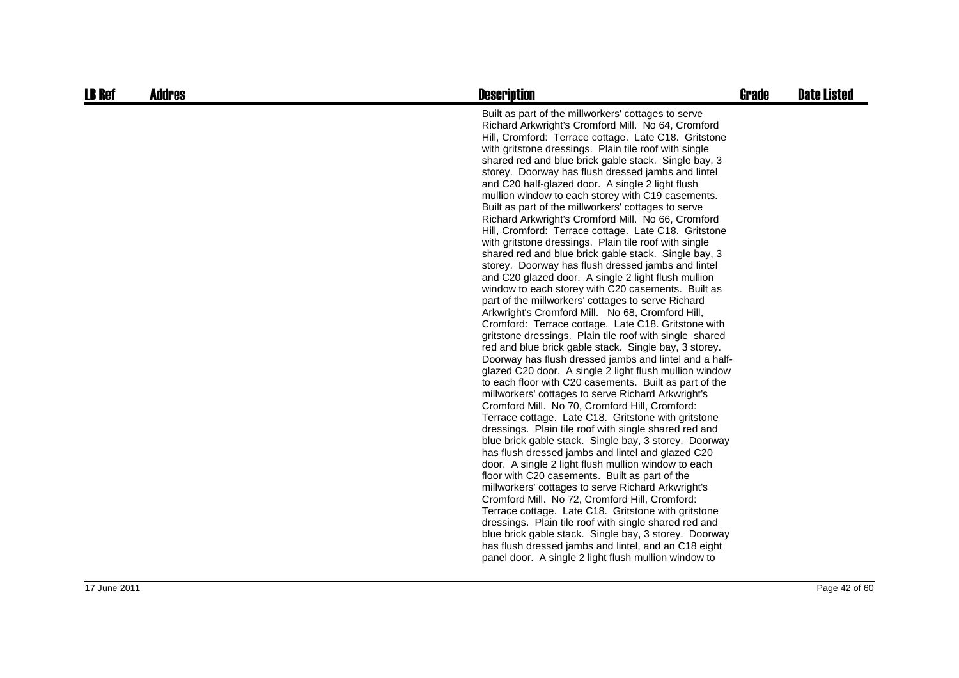| <b>LB Ref</b> | <b>Addres</b> | <b>Description</b>                                                                                                                                                                                                                                                                                                                                                                                                                                                                                                                                                                                                                                                                                                                                                                                                                                                                                                                                                                                                                                                                                                                                                                                                                                                                                                                                                                                                                                                                                                                                                                                                                                                                                                                                                                                                                                                                                                                                                                                                                                                                                                                                                                                                            | <b>Grade</b> | <b>Date Listed</b> |
|---------------|---------------|-------------------------------------------------------------------------------------------------------------------------------------------------------------------------------------------------------------------------------------------------------------------------------------------------------------------------------------------------------------------------------------------------------------------------------------------------------------------------------------------------------------------------------------------------------------------------------------------------------------------------------------------------------------------------------------------------------------------------------------------------------------------------------------------------------------------------------------------------------------------------------------------------------------------------------------------------------------------------------------------------------------------------------------------------------------------------------------------------------------------------------------------------------------------------------------------------------------------------------------------------------------------------------------------------------------------------------------------------------------------------------------------------------------------------------------------------------------------------------------------------------------------------------------------------------------------------------------------------------------------------------------------------------------------------------------------------------------------------------------------------------------------------------------------------------------------------------------------------------------------------------------------------------------------------------------------------------------------------------------------------------------------------------------------------------------------------------------------------------------------------------------------------------------------------------------------------------------------------------|--------------|--------------------|
|               |               | Built as part of the millworkers' cottages to serve<br>Richard Arkwright's Cromford Mill. No 64, Cromford<br>Hill, Cromford: Terrace cottage. Late C18. Gritstone<br>with gritstone dressings. Plain tile roof with single<br>shared red and blue brick gable stack. Single bay, 3<br>storey. Doorway has flush dressed jambs and lintel<br>and C20 half-glazed door. A single 2 light flush<br>mullion window to each storey with C19 casements.<br>Built as part of the millworkers' cottages to serve<br>Richard Arkwright's Cromford Mill. No 66, Cromford<br>Hill, Cromford: Terrace cottage. Late C18. Gritstone<br>with gritstone dressings. Plain tile roof with single<br>shared red and blue brick gable stack. Single bay, 3<br>storey. Doorway has flush dressed jambs and lintel<br>and C20 glazed door. A single 2 light flush mullion<br>window to each storey with C20 casements. Built as<br>part of the millworkers' cottages to serve Richard<br>Arkwright's Cromford Mill. No 68, Cromford Hill,<br>Cromford: Terrace cottage. Late C18. Gritstone with<br>gritstone dressings. Plain tile roof with single shared<br>red and blue brick gable stack. Single bay, 3 storey.<br>Doorway has flush dressed jambs and lintel and a half-<br>glazed C20 door. A single 2 light flush mullion window<br>to each floor with C20 casements. Built as part of the<br>millworkers' cottages to serve Richard Arkwright's<br>Cromford Mill. No 70, Cromford Hill, Cromford:<br>Terrace cottage. Late C18. Gritstone with gritstone<br>dressings. Plain tile roof with single shared red and<br>blue brick gable stack. Single bay, 3 storey. Doorway<br>has flush dressed jambs and lintel and glazed C20<br>door. A single 2 light flush mullion window to each<br>floor with C20 casements. Built as part of the<br>millworkers' cottages to serve Richard Arkwright's<br>Cromford Mill. No 72, Cromford Hill, Cromford:<br>Terrace cottage. Late C18. Gritstone with gritstone<br>dressings. Plain tile roof with single shared red and<br>blue brick gable stack. Single bay, 3 storey. Doorway<br>has flush dressed jambs and lintel, and an C18 eight<br>panel door. A single 2 light flush mullion window to |              |                    |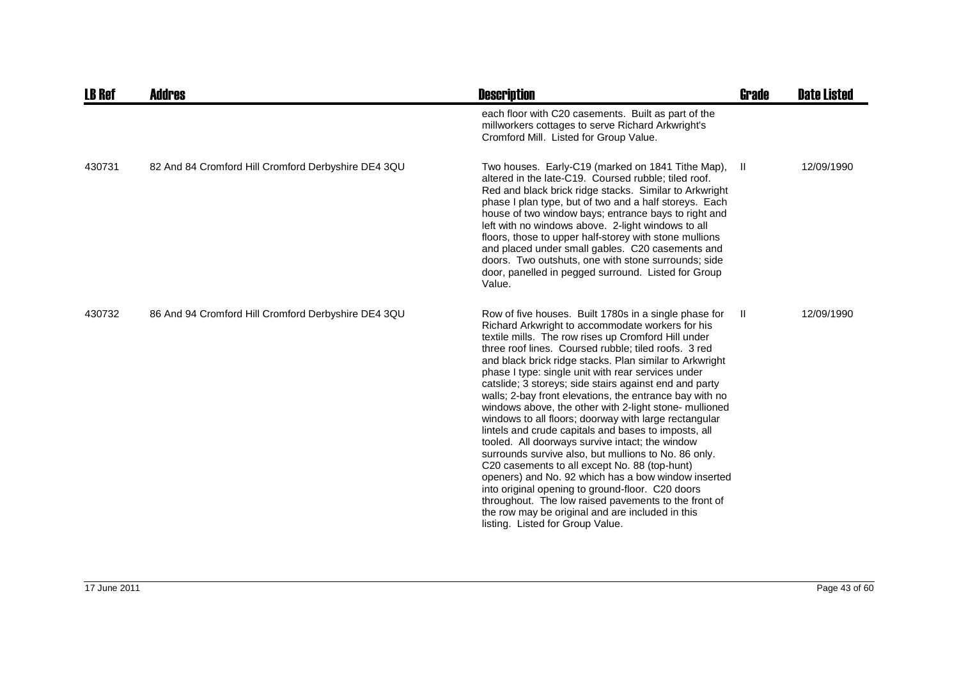| <b>LB Ref</b> | <b>Addres</b>                                       | <b>Description</b>                                                                                                                                                                                                                                                                                                                                                                                                                                                                                                                                                                                                                                                                                                                                                                                                                                                                                                                                                                                                                                               | Grade | <b>Date Listed</b> |
|---------------|-----------------------------------------------------|------------------------------------------------------------------------------------------------------------------------------------------------------------------------------------------------------------------------------------------------------------------------------------------------------------------------------------------------------------------------------------------------------------------------------------------------------------------------------------------------------------------------------------------------------------------------------------------------------------------------------------------------------------------------------------------------------------------------------------------------------------------------------------------------------------------------------------------------------------------------------------------------------------------------------------------------------------------------------------------------------------------------------------------------------------------|-------|--------------------|
|               |                                                     | each floor with C20 casements. Built as part of the<br>millworkers cottages to serve Richard Arkwright's<br>Cromford Mill. Listed for Group Value.                                                                                                                                                                                                                                                                                                                                                                                                                                                                                                                                                                                                                                                                                                                                                                                                                                                                                                               |       |                    |
| 430731        | 82 And 84 Cromford Hill Cromford Derbyshire DE4 3QU | Two houses. Early-C19 (marked on 1841 Tithe Map),<br>altered in the late-C19. Coursed rubble; tiled roof.<br>Red and black brick ridge stacks. Similar to Arkwright<br>phase I plan type, but of two and a half storeys. Each<br>house of two window bays; entrance bays to right and<br>left with no windows above. 2-light windows to all<br>floors, those to upper half-storey with stone mullions<br>and placed under small gables. C20 casements and<br>doors. Two outshuts, one with stone surrounds; side<br>door, panelled in pegged surround. Listed for Group<br>Value.                                                                                                                                                                                                                                                                                                                                                                                                                                                                                | H     | 12/09/1990         |
| 430732        | 86 And 94 Cromford Hill Cromford Derbyshire DE4 3QU | Row of five houses. Built 1780s in a single phase for<br>Richard Arkwright to accommodate workers for his<br>textile mills. The row rises up Cromford Hill under<br>three roof lines. Coursed rubble; tiled roofs. 3 red<br>and black brick ridge stacks. Plan similar to Arkwright<br>phase I type: single unit with rear services under<br>catslide; 3 storeys; side stairs against end and party<br>walls; 2-bay front elevations, the entrance bay with no<br>windows above, the other with 2-light stone- mullioned<br>windows to all floors; doorway with large rectangular<br>lintels and crude capitals and bases to imposts, all<br>tooled. All doorways survive intact; the window<br>surrounds survive also, but mullions to No. 86 only.<br>C20 casements to all except No. 88 (top-hunt)<br>openers) and No. 92 which has a bow window inserted<br>into original opening to ground-floor. C20 doors<br>throughout. The low raised pavements to the front of<br>the row may be original and are included in this<br>listing. Listed for Group Value. | Ш.    | 12/09/1990         |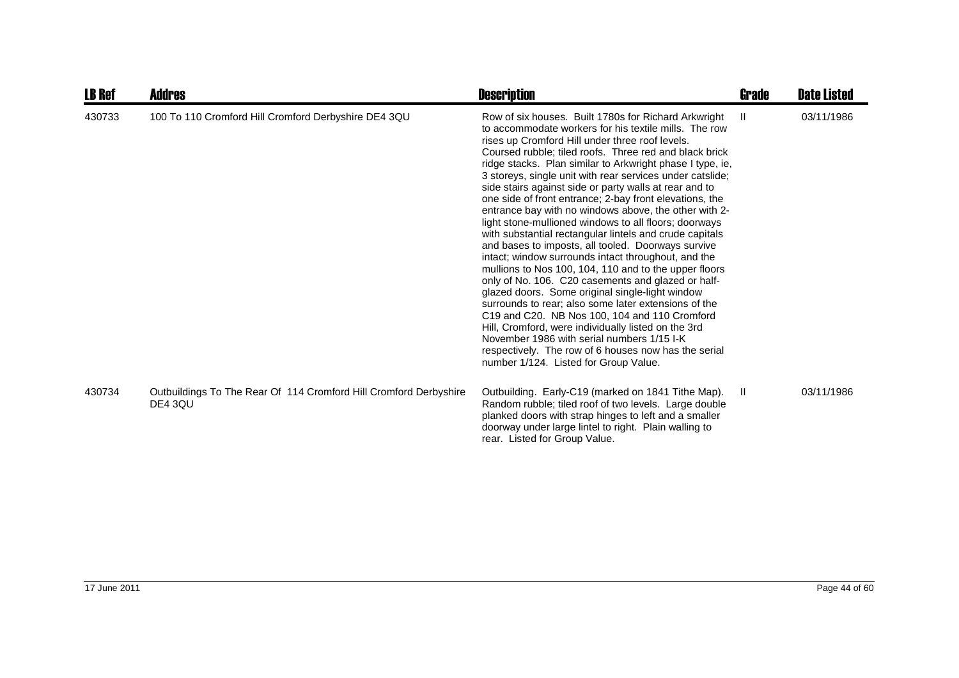| <b>LB Ref</b> | <b>Addres</b>                                                                | <b>Description</b>                                                                                                                                                                                                                                                                                                                                                                                                                                                                                                                                                                                                                                                                                                                                                                                                                                                                                                                                                                                                                                                                                                                                                                                                                                   | <b>Grade</b> | <b>Date Listed</b> |
|---------------|------------------------------------------------------------------------------|------------------------------------------------------------------------------------------------------------------------------------------------------------------------------------------------------------------------------------------------------------------------------------------------------------------------------------------------------------------------------------------------------------------------------------------------------------------------------------------------------------------------------------------------------------------------------------------------------------------------------------------------------------------------------------------------------------------------------------------------------------------------------------------------------------------------------------------------------------------------------------------------------------------------------------------------------------------------------------------------------------------------------------------------------------------------------------------------------------------------------------------------------------------------------------------------------------------------------------------------------|--------------|--------------------|
| 430733        | 100 To 110 Cromford Hill Cromford Derbyshire DE4 3QU                         | Row of six houses. Built 1780s for Richard Arkwright<br>to accommodate workers for his textile mills. The row<br>rises up Cromford Hill under three roof levels.<br>Coursed rubble: tiled roofs. Three red and black brick<br>ridge stacks. Plan similar to Arkwright phase I type, ie,<br>3 storeys, single unit with rear services under catslide;<br>side stairs against side or party walls at rear and to<br>one side of front entrance; 2-bay front elevations, the<br>entrance bay with no windows above, the other with 2-<br>light stone-mullioned windows to all floors; doorways<br>with substantial rectangular lintels and crude capitals<br>and bases to imposts, all tooled. Doorways survive<br>intact; window surrounds intact throughout, and the<br>mullions to Nos 100, 104, 110 and to the upper floors<br>only of No. 106. C20 casements and glazed or half-<br>glazed doors. Some original single-light window<br>surrounds to rear; also some later extensions of the<br>C19 and C20. NB Nos 100, 104 and 110 Cromford<br>Hill, Cromford, were individually listed on the 3rd<br>November 1986 with serial numbers 1/15 I-K<br>respectively. The row of 6 houses now has the serial<br>number 1/124. Listed for Group Value. | H.           | 03/11/1986         |
| 430734        | Outbuildings To The Rear Of 114 Cromford Hill Cromford Derbyshire<br>DE4 3QU | Outbuilding. Early-C19 (marked on 1841 Tithe Map).<br>Random rubble; tiled roof of two levels. Large double<br>planked doors with strap hinges to left and a smaller<br>doorway under large lintel to right. Plain walling to<br>rear. Listed for Group Value.                                                                                                                                                                                                                                                                                                                                                                                                                                                                                                                                                                                                                                                                                                                                                                                                                                                                                                                                                                                       | Ш            | 03/11/1986         |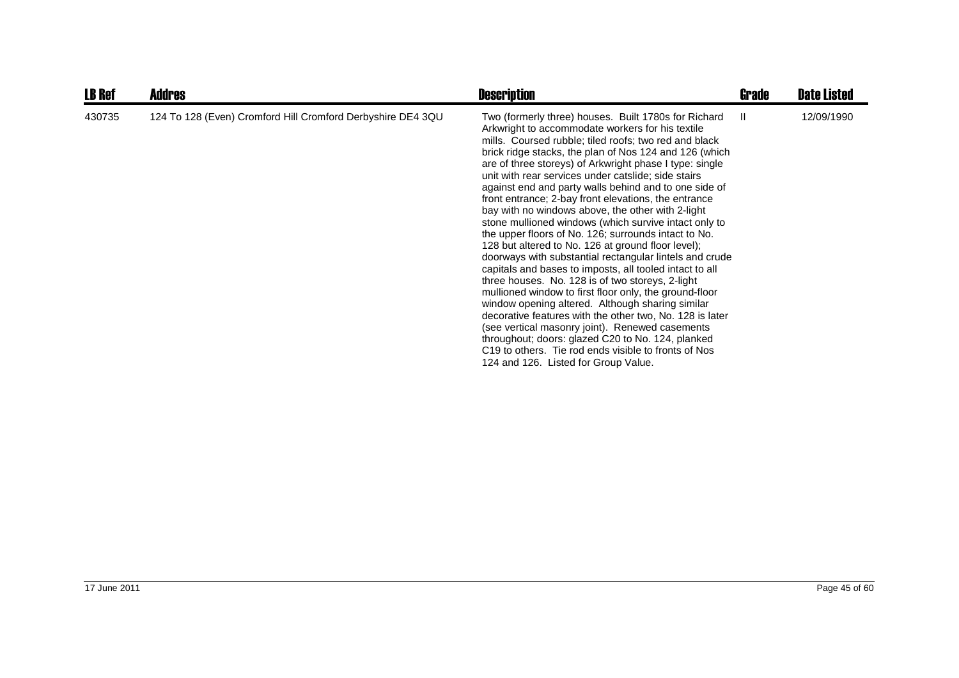| <b>LB Ref</b> | <b>Addres</b>                                               | <b>Description</b>                                                                                                                                                                                                                                                                                                                                                                                                                                                                                                                                                                                                                                                                                                                                                                                                                                                                                                                                                                                                                                                                                                                                                                                                                                                 | <b>Grade</b> | <b>Date Listed</b> |
|---------------|-------------------------------------------------------------|--------------------------------------------------------------------------------------------------------------------------------------------------------------------------------------------------------------------------------------------------------------------------------------------------------------------------------------------------------------------------------------------------------------------------------------------------------------------------------------------------------------------------------------------------------------------------------------------------------------------------------------------------------------------------------------------------------------------------------------------------------------------------------------------------------------------------------------------------------------------------------------------------------------------------------------------------------------------------------------------------------------------------------------------------------------------------------------------------------------------------------------------------------------------------------------------------------------------------------------------------------------------|--------------|--------------------|
| 430735        | 124 To 128 (Even) Cromford Hill Cromford Derbyshire DE4 3QU | Two (formerly three) houses. Built 1780s for Richard<br>Arkwright to accommodate workers for his textile<br>mills. Coursed rubble; tiled roofs; two red and black<br>brick ridge stacks, the plan of Nos 124 and 126 (which<br>are of three storeys) of Arkwright phase I type: single<br>unit with rear services under catslide; side stairs<br>against end and party walls behind and to one side of<br>front entrance; 2-bay front elevations, the entrance<br>bay with no windows above, the other with 2-light<br>stone mullioned windows (which survive intact only to<br>the upper floors of No. 126; surrounds intact to No.<br>128 but altered to No. 126 at ground floor level);<br>doorways with substantial rectangular lintels and crude<br>capitals and bases to imposts, all tooled intact to all<br>three houses. No. 128 is of two storeys, 2-light<br>mullioned window to first floor only, the ground-floor<br>window opening altered. Although sharing similar<br>decorative features with the other two, No. 128 is later<br>(see vertical masonry joint). Renewed casements<br>throughout; doors: glazed C20 to No. 124, planked<br>C <sub>19</sub> to others. Tie rod ends visible to fronts of Nos<br>124 and 126. Listed for Group Value. | $\mathbf{I}$ | 12/09/1990         |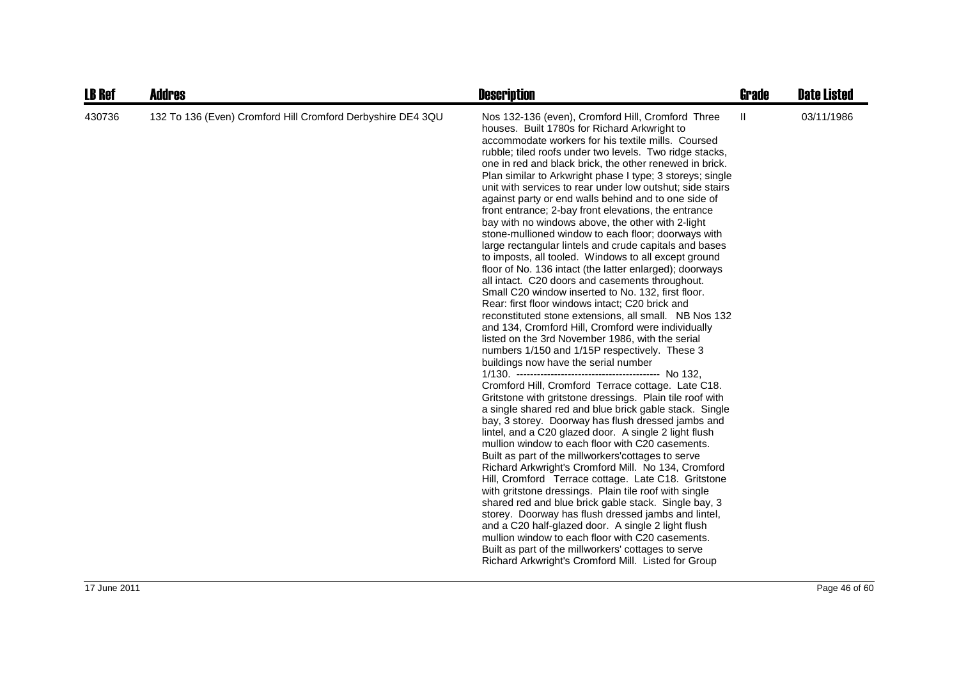| <b>LB Ref</b> | <b>Addres</b>                                               | <b>Description</b>                                                                                                                                                                                                                                                                                                                                                                                                                                                                                                                                                                                                                                                                                                                                                                                                                                                                                                                                                                                                                                                                                                                                                                                                                                                                                                                                                                                                                                                                                                                                                                                                                                                                                                                                                                                                                                                                                                                                                                                                                                                                                                                                           | Grade        | <b>Date Listed</b> |
|---------------|-------------------------------------------------------------|--------------------------------------------------------------------------------------------------------------------------------------------------------------------------------------------------------------------------------------------------------------------------------------------------------------------------------------------------------------------------------------------------------------------------------------------------------------------------------------------------------------------------------------------------------------------------------------------------------------------------------------------------------------------------------------------------------------------------------------------------------------------------------------------------------------------------------------------------------------------------------------------------------------------------------------------------------------------------------------------------------------------------------------------------------------------------------------------------------------------------------------------------------------------------------------------------------------------------------------------------------------------------------------------------------------------------------------------------------------------------------------------------------------------------------------------------------------------------------------------------------------------------------------------------------------------------------------------------------------------------------------------------------------------------------------------------------------------------------------------------------------------------------------------------------------------------------------------------------------------------------------------------------------------------------------------------------------------------------------------------------------------------------------------------------------------------------------------------------------------------------------------------------------|--------------|--------------------|
| 430736        | 132 To 136 (Even) Cromford Hill Cromford Derbyshire DE4 3QU | Nos 132-136 (even), Cromford Hill, Cromford Three<br>houses. Built 1780s for Richard Arkwright to<br>accommodate workers for his textile mills. Coursed<br>rubble; tiled roofs under two levels. Two ridge stacks,<br>one in red and black brick, the other renewed in brick.<br>Plan similar to Arkwright phase I type; 3 storeys; single<br>unit with services to rear under low outshut; side stairs<br>against party or end walls behind and to one side of<br>front entrance; 2-bay front elevations, the entrance<br>bay with no windows above, the other with 2-light<br>stone-mullioned window to each floor; doorways with<br>large rectangular lintels and crude capitals and bases<br>to imposts, all tooled. Windows to all except ground<br>floor of No. 136 intact (the latter enlarged); doorways<br>all intact. C20 doors and casements throughout.<br>Small C20 window inserted to No. 132, first floor.<br>Rear: first floor windows intact; C20 brick and<br>reconstituted stone extensions, all small. NB Nos 132<br>and 134, Cromford Hill, Cromford were individually<br>listed on the 3rd November 1986, with the serial<br>numbers 1/150 and 1/15P respectively. These 3<br>buildings now have the serial number<br>Cromford Hill, Cromford Terrace cottage. Late C18.<br>Gritstone with gritstone dressings. Plain tile roof with<br>a single shared red and blue brick gable stack. Single<br>bay, 3 storey. Doorway has flush dressed jambs and<br>lintel, and a C20 glazed door. A single 2 light flush<br>mullion window to each floor with C20 casements.<br>Built as part of the millworkers' cottages to serve<br>Richard Arkwright's Cromford Mill. No 134, Cromford<br>Hill, Cromford Terrace cottage. Late C18. Gritstone<br>with gritstone dressings. Plain tile roof with single<br>shared red and blue brick gable stack. Single bay, 3<br>storey. Doorway has flush dressed jambs and lintel,<br>and a C20 half-glazed door. A single 2 light flush<br>mullion window to each floor with C20 casements.<br>Built as part of the millworkers' cottages to serve<br>Richard Arkwright's Cromford Mill. Listed for Group | $\mathbf{H}$ | 03/11/1986         |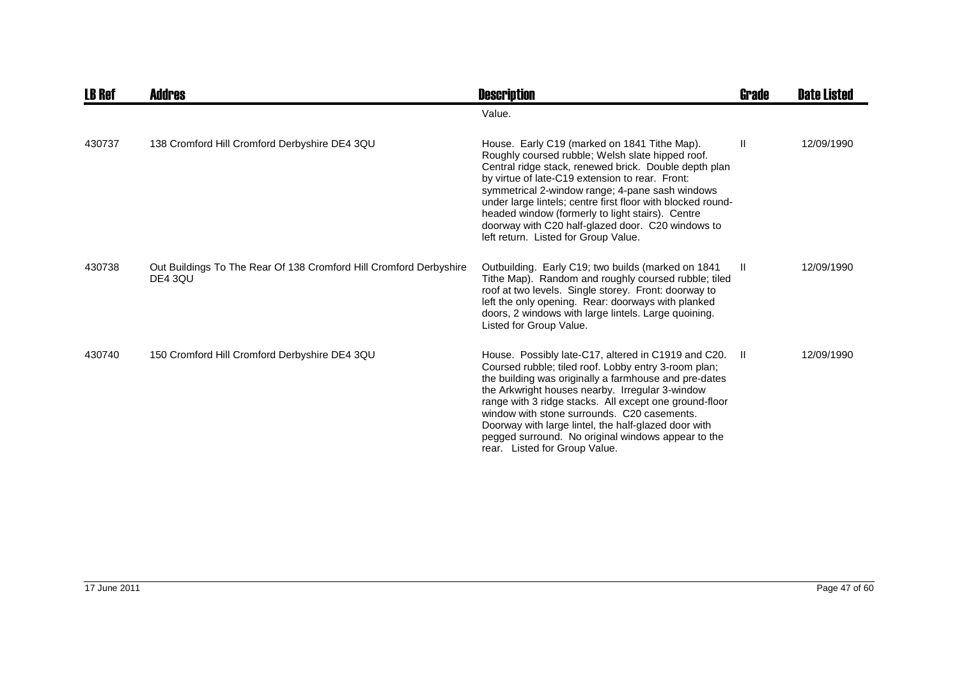| <b>LB Ref</b> | Addres                                                                        | <b>Description</b>                                                                                                                                                                                                                                                                                                                                                                                                                                                              | Grade | <b>Date Listed</b> |
|---------------|-------------------------------------------------------------------------------|---------------------------------------------------------------------------------------------------------------------------------------------------------------------------------------------------------------------------------------------------------------------------------------------------------------------------------------------------------------------------------------------------------------------------------------------------------------------------------|-------|--------------------|
|               |                                                                               | Value.                                                                                                                                                                                                                                                                                                                                                                                                                                                                          |       |                    |
| 430737        | 138 Cromford Hill Cromford Derbyshire DE4 3QU                                 | House. Early C19 (marked on 1841 Tithe Map).<br>Roughly coursed rubble; Welsh slate hipped roof.<br>Central ridge stack, renewed brick. Double depth plan<br>by virtue of late-C19 extension to rear. Front:<br>symmetrical 2-window range; 4-pane sash windows<br>under large lintels; centre first floor with blocked round-<br>headed window (formerly to light stairs). Centre<br>doorway with C20 half-glazed door. C20 windows to<br>left return. Listed for Group Value. | Ш     | 12/09/1990         |
| 430738        | Out Buildings To The Rear Of 138 Cromford Hill Cromford Derbyshire<br>DE4 3QU | Outbuilding. Early C19; two builds (marked on 1841<br>Tithe Map). Random and roughly coursed rubble; tiled<br>roof at two levels. Single storey. Front: doorway to<br>left the only opening. Rear: doorways with planked<br>doors, 2 windows with large lintels. Large quoining.<br>Listed for Group Value.                                                                                                                                                                     | -II   | 12/09/1990         |
| 430740        | 150 Cromford Hill Cromford Derbyshire DE4 3QU                                 | House. Possibly late-C17, altered in C1919 and C20.<br>Coursed rubble; tiled roof. Lobby entry 3-room plan;<br>the building was originally a farmhouse and pre-dates<br>the Arkwright houses nearby. Irregular 3-window<br>range with 3 ridge stacks. All except one ground-floor<br>window with stone surrounds. C20 casements.<br>Doorway with large lintel, the half-glazed door with<br>pegged surround. No original windows appear to the<br>rear. Listed for Group Value. | - II  | 12/09/1990         |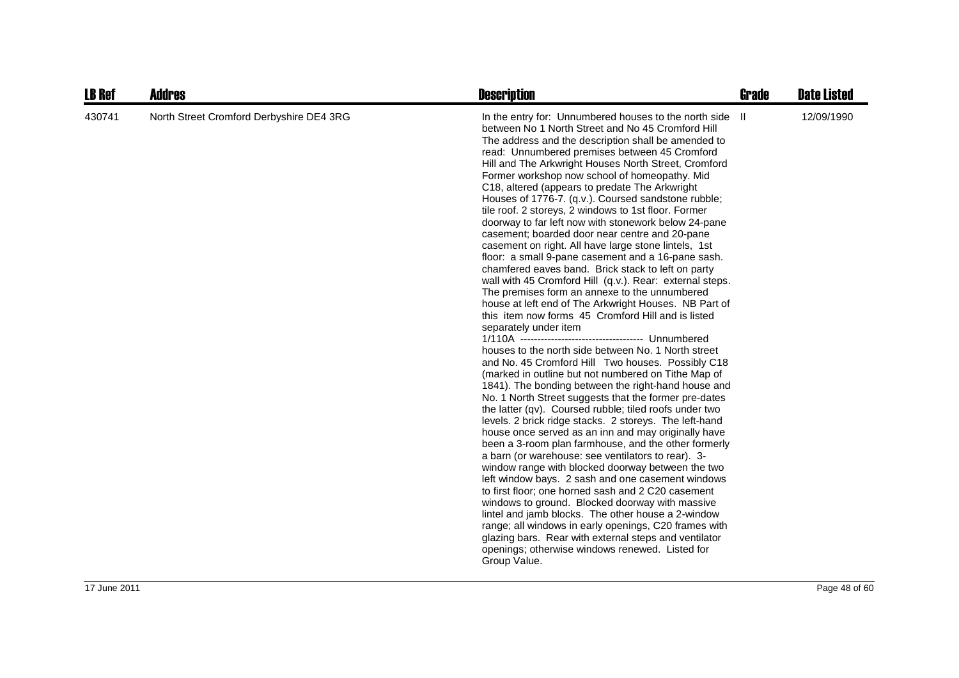| <b>LB Ref</b> | <b>Addres</b>                            | <b>Description</b>                                                                                                                                                                                                                                                                                                                                                                                                                                                                                                                                                                                                                                                                                                                                                                                                                                                                                                                                                                                                                                                                                                                                                                                                                                                                                                                                                                                                                                                                                                                                                                                                                                                                                                                                                                                                                                                                                                                                                                                                                                                           | <b>Grade</b> | <b>Date Listed</b> |
|---------------|------------------------------------------|------------------------------------------------------------------------------------------------------------------------------------------------------------------------------------------------------------------------------------------------------------------------------------------------------------------------------------------------------------------------------------------------------------------------------------------------------------------------------------------------------------------------------------------------------------------------------------------------------------------------------------------------------------------------------------------------------------------------------------------------------------------------------------------------------------------------------------------------------------------------------------------------------------------------------------------------------------------------------------------------------------------------------------------------------------------------------------------------------------------------------------------------------------------------------------------------------------------------------------------------------------------------------------------------------------------------------------------------------------------------------------------------------------------------------------------------------------------------------------------------------------------------------------------------------------------------------------------------------------------------------------------------------------------------------------------------------------------------------------------------------------------------------------------------------------------------------------------------------------------------------------------------------------------------------------------------------------------------------------------------------------------------------------------------------------------------------|--------------|--------------------|
| 430741        | North Street Cromford Derbyshire DE4 3RG | In the entry for: Unnumbered houses to the north side II<br>between No 1 North Street and No 45 Cromford Hill<br>The address and the description shall be amended to<br>read: Unnumbered premises between 45 Cromford<br>Hill and The Arkwright Houses North Street, Cromford<br>Former workshop now school of homeopathy. Mid<br>C18, altered (appears to predate The Arkwright<br>Houses of 1776-7. (q.v.). Coursed sandstone rubble;<br>tile roof. 2 storeys, 2 windows to 1st floor. Former<br>doorway to far left now with stonework below 24-pane<br>casement; boarded door near centre and 20-pane<br>casement on right. All have large stone lintels, 1st<br>floor: a small 9-pane casement and a 16-pane sash.<br>chamfered eaves band. Brick stack to left on party<br>wall with 45 Cromford Hill (q.v.). Rear: external steps.<br>The premises form an annexe to the unnumbered<br>house at left end of The Arkwright Houses. NB Part of<br>this item now forms 45 Cromford Hill and is listed<br>separately under item<br>houses to the north side between No. 1 North street<br>and No. 45 Cromford Hill Two houses. Possibly C18<br>(marked in outline but not numbered on Tithe Map of<br>1841). The bonding between the right-hand house and<br>No. 1 North Street suggests that the former pre-dates<br>the latter (qv). Coursed rubble; tiled roofs under two<br>levels. 2 brick ridge stacks. 2 storeys. The left-hand<br>house once served as an inn and may originally have<br>been a 3-room plan farmhouse, and the other formerly<br>a barn (or warehouse: see ventilators to rear). 3-<br>window range with blocked doorway between the two<br>left window bays. 2 sash and one casement windows<br>to first floor; one horned sash and 2 C20 casement<br>windows to ground. Blocked doorway with massive<br>lintel and jamb blocks. The other house a 2-window<br>range; all windows in early openings, C20 frames with<br>glazing bars. Rear with external steps and ventilator<br>openings; otherwise windows renewed. Listed for<br>Group Value. |              | 12/09/1990         |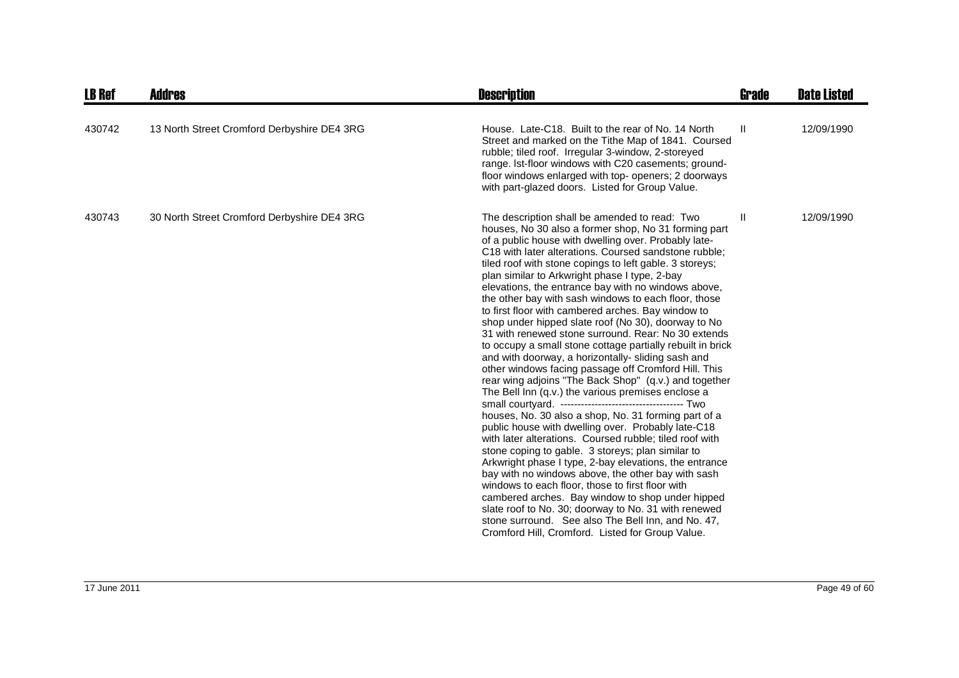| <b>LB Ref</b> | Addres                                      | <b>Description</b>                                                                                                                                                                                                                                                                                                                                                                                                                                                                                                                                                                                                                                                                                                                                                                                                                                                                                                                                                                                                                                                                                                                                                                                                                                                                                                                                                                                                                                                                                                                       | Grade         | <b>Date Listed</b> |
|---------------|---------------------------------------------|------------------------------------------------------------------------------------------------------------------------------------------------------------------------------------------------------------------------------------------------------------------------------------------------------------------------------------------------------------------------------------------------------------------------------------------------------------------------------------------------------------------------------------------------------------------------------------------------------------------------------------------------------------------------------------------------------------------------------------------------------------------------------------------------------------------------------------------------------------------------------------------------------------------------------------------------------------------------------------------------------------------------------------------------------------------------------------------------------------------------------------------------------------------------------------------------------------------------------------------------------------------------------------------------------------------------------------------------------------------------------------------------------------------------------------------------------------------------------------------------------------------------------------------|---------------|--------------------|
| 430742        | 13 North Street Cromford Derbyshire DE4 3RG | House. Late-C18. Built to the rear of No. 14 North<br>Street and marked on the Tithe Map of 1841. Coursed<br>rubble; tiled roof. Irregular 3-window, 2-storeyed<br>range. Ist-floor windows with C20 casements; ground-<br>floor windows enlarged with top- openers; 2 doorways<br>with part-glazed doors. Listed for Group Value.                                                                                                                                                                                                                                                                                                                                                                                                                                                                                                                                                                                                                                                                                                                                                                                                                                                                                                                                                                                                                                                                                                                                                                                                       | H.            | 12/09/1990         |
| 430743        | 30 North Street Cromford Derbyshire DE4 3RG | The description shall be amended to read: Two<br>houses, No 30 also a former shop, No 31 forming part<br>of a public house with dwelling over. Probably late-<br>C18 with later alterations. Coursed sandstone rubble;<br>tiled roof with stone copings to left gable. 3 storeys;<br>plan similar to Arkwright phase I type, 2-bay<br>elevations, the entrance bay with no windows above,<br>the other bay with sash windows to each floor, those<br>to first floor with cambered arches. Bay window to<br>shop under hipped slate roof (No 30), doorway to No<br>31 with renewed stone surround. Rear: No 30 extends<br>to occupy a small stone cottage partially rebuilt in brick<br>and with doorway, a horizontally- sliding sash and<br>other windows facing passage off Cromford Hill. This<br>rear wing adjoins "The Back Shop" (q.v.) and together<br>The Bell Inn (q.v.) the various premises enclose a<br>houses, No. 30 also a shop, No. 31 forming part of a<br>public house with dwelling over. Probably late-C18<br>with later alterations. Coursed rubble; tiled roof with<br>stone coping to gable. 3 storeys; plan similar to<br>Arkwright phase I type, 2-bay elevations, the entrance<br>bay with no windows above, the other bay with sash<br>windows to each floor, those to first floor with<br>cambered arches. Bay window to shop under hipped<br>slate roof to No. 30; doorway to No. 31 with renewed<br>stone surround. See also The Bell Inn, and No. 47,<br>Cromford Hill, Cromford. Listed for Group Value. | $\mathbf{II}$ | 12/09/1990         |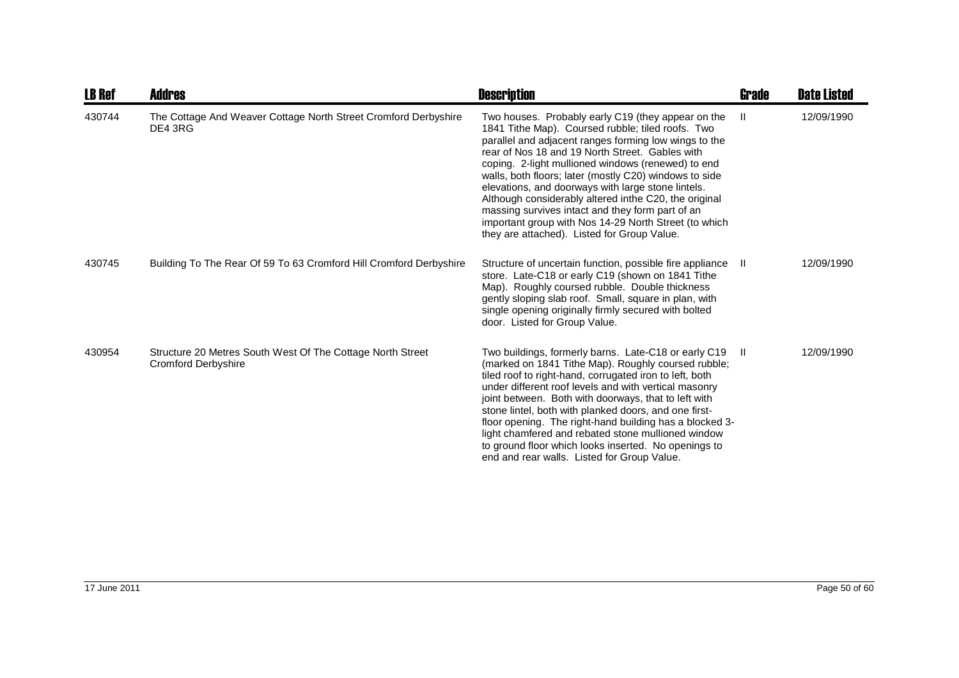| <b>LB Ref</b> | Addres                                                                                   | <b>Description</b>                                                                                                                                                                                                                                                                                                                                                                                                                                                                                                                                                                                             | <b>Grade</b> | <b>Date Listed</b> |
|---------------|------------------------------------------------------------------------------------------|----------------------------------------------------------------------------------------------------------------------------------------------------------------------------------------------------------------------------------------------------------------------------------------------------------------------------------------------------------------------------------------------------------------------------------------------------------------------------------------------------------------------------------------------------------------------------------------------------------------|--------------|--------------------|
| 430744        | The Cottage And Weaver Cottage North Street Cromford Derbyshire<br>DE4 3RG               | Two houses. Probably early C19 (they appear on the<br>1841 Tithe Map). Coursed rubble; tiled roofs. Two<br>parallel and adjacent ranges forming low wings to the<br>rear of Nos 18 and 19 North Street. Gables with<br>coping. 2-light mullioned windows (renewed) to end<br>walls, both floors; later (mostly C20) windows to side<br>elevations, and doorways with large stone lintels.<br>Although considerably altered inthe C20, the original<br>massing survives intact and they form part of an<br>important group with Nos 14-29 North Street (to which<br>they are attached). Listed for Group Value. | $\mathbf{I}$ | 12/09/1990         |
| 430745        | Building To The Rear Of 59 To 63 Cromford Hill Cromford Derbyshire                       | Structure of uncertain function, possible fire appliance<br>store. Late-C18 or early C19 (shown on 1841 Tithe<br>Map). Roughly coursed rubble. Double thickness<br>gently sloping slab roof. Small, square in plan, with<br>single opening originally firmly secured with bolted<br>door. Listed for Group Value.                                                                                                                                                                                                                                                                                              | - 11         | 12/09/1990         |
| 430954        | Structure 20 Metres South West Of The Cottage North Street<br><b>Cromford Derbyshire</b> | Two buildings, formerly barns. Late-C18 or early C19<br>(marked on 1841 Tithe Map). Roughly coursed rubble;<br>tiled roof to right-hand, corrugated iron to left, both<br>under different roof levels and with vertical masonry<br>joint between. Both with doorways, that to left with<br>stone lintel, both with planked doors, and one first-<br>floor opening. The right-hand building has a blocked 3-<br>light chamfered and rebated stone mullioned window<br>to ground floor which looks inserted. No openings to<br>end and rear walls. Listed for Group Value.                                       | -II.         | 12/09/1990         |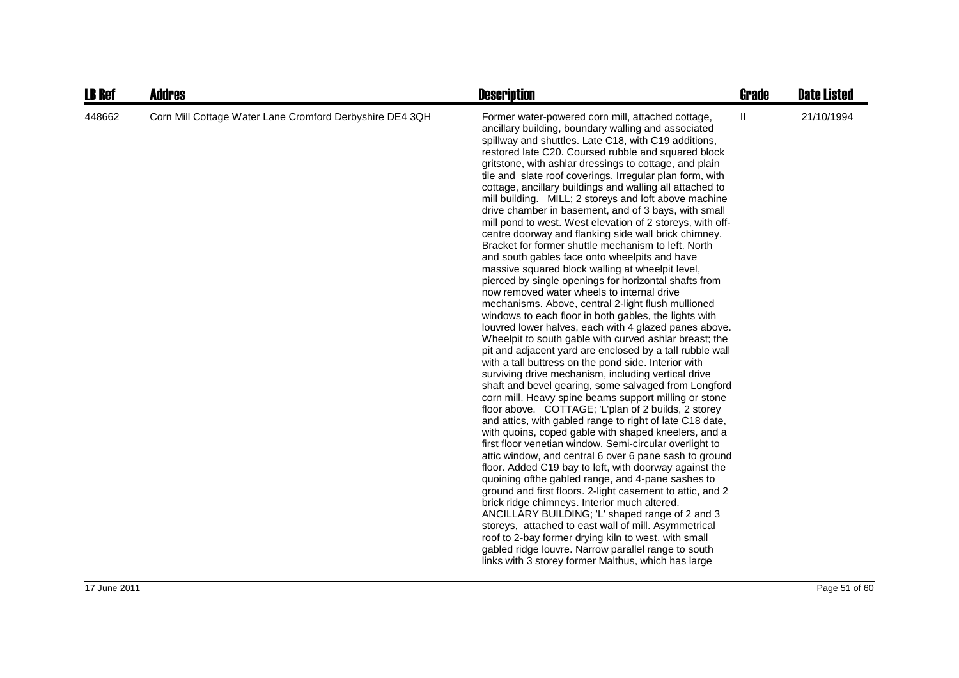| <b>LB Ref</b> | <b>Addres</b>                                            | <b>Description</b>                                                                                                                                                                                                                                                                                                                                                                                                                                                                                                                                                                                                                                                                                                                                                                                                                                                                                                                                                                                                                                                                                                                                                                                                                                                                                                                                                                                                                                                                                                                                                                                                                                                                                                                                                                                                                                                                                                                                                                                                                                                                                                                                                                                                                                            | Grade                             | <b>Date Listed</b> |
|---------------|----------------------------------------------------------|---------------------------------------------------------------------------------------------------------------------------------------------------------------------------------------------------------------------------------------------------------------------------------------------------------------------------------------------------------------------------------------------------------------------------------------------------------------------------------------------------------------------------------------------------------------------------------------------------------------------------------------------------------------------------------------------------------------------------------------------------------------------------------------------------------------------------------------------------------------------------------------------------------------------------------------------------------------------------------------------------------------------------------------------------------------------------------------------------------------------------------------------------------------------------------------------------------------------------------------------------------------------------------------------------------------------------------------------------------------------------------------------------------------------------------------------------------------------------------------------------------------------------------------------------------------------------------------------------------------------------------------------------------------------------------------------------------------------------------------------------------------------------------------------------------------------------------------------------------------------------------------------------------------------------------------------------------------------------------------------------------------------------------------------------------------------------------------------------------------------------------------------------------------------------------------------------------------------------------------------------------------|-----------------------------------|--------------------|
| 448662        | Corn Mill Cottage Water Lane Cromford Derbyshire DE4 3QH | Former water-powered corn mill, attached cottage,<br>ancillary building, boundary walling and associated<br>spillway and shuttles. Late C18, with C19 additions,<br>restored late C20. Coursed rubble and squared block<br>gritstone, with ashlar dressings to cottage, and plain<br>tile and slate roof coverings. Irregular plan form, with<br>cottage, ancillary buildings and walling all attached to<br>mill building. MILL; 2 storeys and loft above machine<br>drive chamber in basement, and of 3 bays, with small<br>mill pond to west. West elevation of 2 storeys, with off-<br>centre doorway and flanking side wall brick chimney.<br>Bracket for former shuttle mechanism to left. North<br>and south gables face onto wheelpits and have<br>massive squared block walling at wheelpit level,<br>pierced by single openings for horizontal shafts from<br>now removed water wheels to internal drive<br>mechanisms. Above, central 2-light flush mullioned<br>windows to each floor in both gables, the lights with<br>louvred lower halves, each with 4 glazed panes above.<br>Wheelpit to south gable with curved ashlar breast; the<br>pit and adjacent yard are enclosed by a tall rubble wall<br>with a tall buttress on the pond side. Interior with<br>surviving drive mechanism, including vertical drive<br>shaft and bevel gearing, some salvaged from Longford<br>corn mill. Heavy spine beams support milling or stone<br>floor above. COTTAGE; 'L'plan of 2 builds, 2 storey<br>and attics, with gabled range to right of late C18 date,<br>with quoins, coped gable with shaped kneelers, and a<br>first floor venetian window. Semi-circular overlight to<br>attic window, and central 6 over 6 pane sash to ground<br>floor. Added C19 bay to left, with doorway against the<br>quoining ofthe gabled range, and 4-pane sashes to<br>ground and first floors. 2-light casement to attic, and 2<br>brick ridge chimneys. Interior much altered.<br>ANCILLARY BUILDING; 'L' shaped range of 2 and 3<br>storeys, attached to east wall of mill. Asymmetrical<br>roof to 2-bay former drying kiln to west, with small<br>gabled ridge louvre. Narrow parallel range to south<br>links with 3 storey former Malthus, which has large | $\ensuremath{\mathsf{II}}\xspace$ | 21/10/1994         |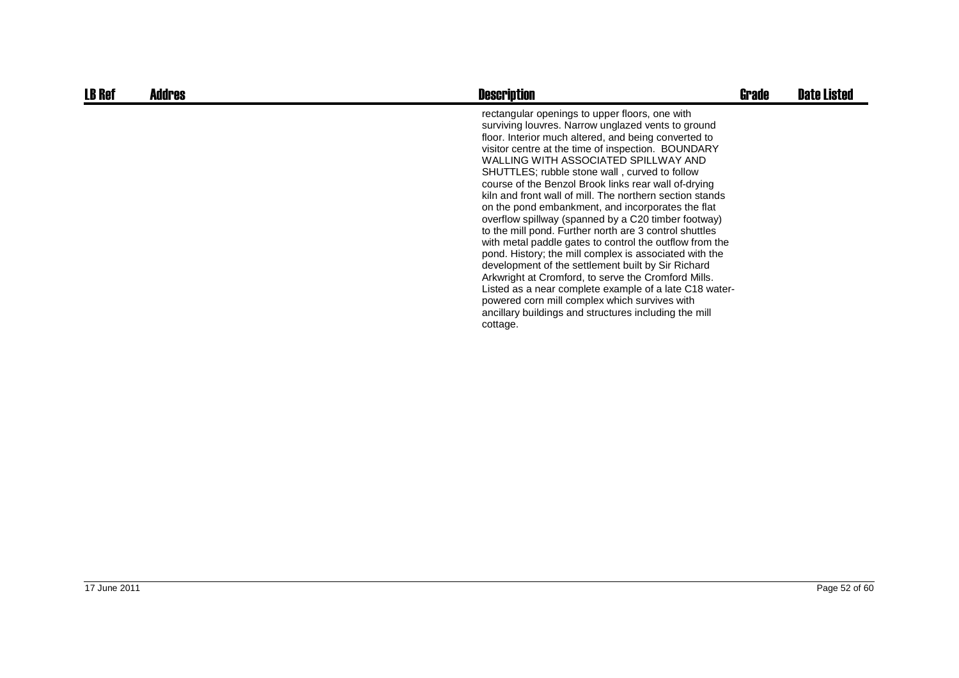| <b>LB Ref</b> | <b>Addres</b> | <b>Description</b>                                                                                                                                                                                                                                                                                                                                                                                                                                                                                                                                                                                                                                                                                                                                                                                                                                                                                                                                                                                                      | Grade | <b>Date Listed</b> |
|---------------|---------------|-------------------------------------------------------------------------------------------------------------------------------------------------------------------------------------------------------------------------------------------------------------------------------------------------------------------------------------------------------------------------------------------------------------------------------------------------------------------------------------------------------------------------------------------------------------------------------------------------------------------------------------------------------------------------------------------------------------------------------------------------------------------------------------------------------------------------------------------------------------------------------------------------------------------------------------------------------------------------------------------------------------------------|-------|--------------------|
|               |               | rectangular openings to upper floors, one with<br>surviving louvres. Narrow unglazed vents to ground<br>floor. Interior much altered, and being converted to<br>visitor centre at the time of inspection. BOUNDARY<br>WALLING WITH ASSOCIATED SPILLWAY AND<br>SHUTTLES; rubble stone wall, curved to follow<br>course of the Benzol Brook links rear wall of-drying<br>kiln and front wall of mill. The northern section stands<br>on the pond embankment, and incorporates the flat<br>overflow spillway (spanned by a C20 timber footway)<br>to the mill pond. Further north are 3 control shuttles<br>with metal paddle gates to control the outflow from the<br>pond. History; the mill complex is associated with the<br>development of the settlement built by Sir Richard<br>Arkwright at Cromford, to serve the Cromford Mills.<br>Listed as a near complete example of a late C18 water-<br>powered corn mill complex which survives with<br>ancillary buildings and structures including the mill<br>cottage. |       |                    |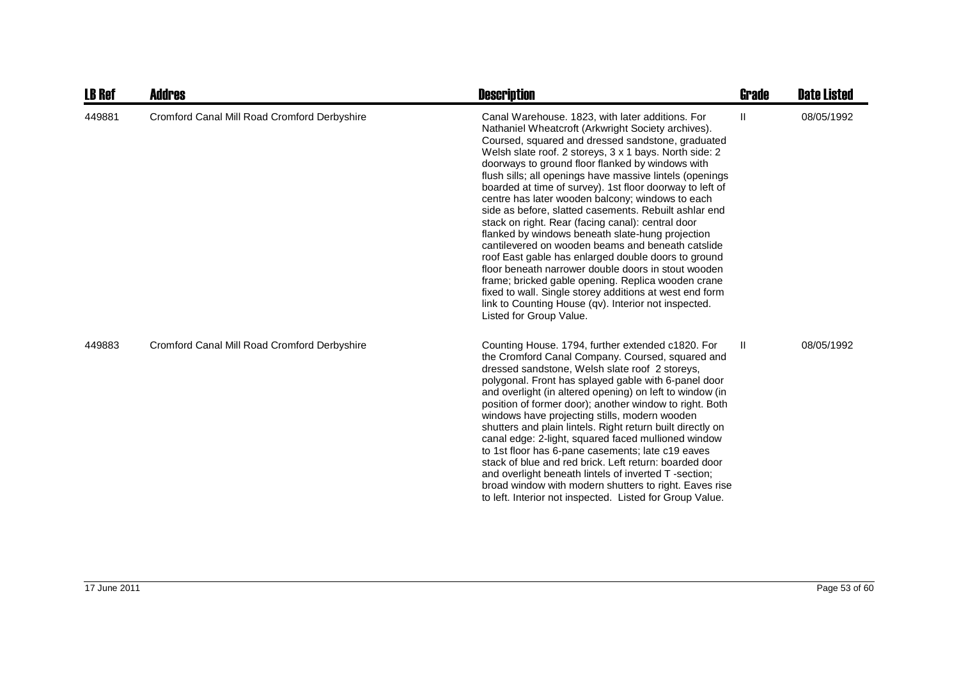| <b>LB Ref</b> | <b>Addres</b>                                | <b>Description</b>                                                                                                                                                                                                                                                                                                                                                                                                                                                                                                                                                                                                                                                                                                                                                                                                                                                                                                                                                                             | <b>Grade</b> | <b>Date Listed</b> |
|---------------|----------------------------------------------|------------------------------------------------------------------------------------------------------------------------------------------------------------------------------------------------------------------------------------------------------------------------------------------------------------------------------------------------------------------------------------------------------------------------------------------------------------------------------------------------------------------------------------------------------------------------------------------------------------------------------------------------------------------------------------------------------------------------------------------------------------------------------------------------------------------------------------------------------------------------------------------------------------------------------------------------------------------------------------------------|--------------|--------------------|
| 449881        | Cromford Canal Mill Road Cromford Derbyshire | Canal Warehouse. 1823, with later additions. For<br>Nathaniel Wheatcroft (Arkwright Society archives).<br>Coursed, squared and dressed sandstone, graduated<br>Welsh slate roof. 2 storeys, 3 x 1 bays. North side: 2<br>doorways to ground floor flanked by windows with<br>flush sills; all openings have massive lintels (openings<br>boarded at time of survey). 1st floor doorway to left of<br>centre has later wooden balcony; windows to each<br>side as before, slatted casements. Rebuilt ashlar end<br>stack on right. Rear (facing canal): central door<br>flanked by windows beneath slate-hung projection<br>cantilevered on wooden beams and beneath catslide<br>roof East gable has enlarged double doors to ground<br>floor beneath narrower double doors in stout wooden<br>frame; bricked gable opening. Replica wooden crane<br>fixed to wall. Single storey additions at west end form<br>link to Counting House (qv). Interior not inspected.<br>Listed for Group Value. | $\mathbf{H}$ | 08/05/1992         |
| 449883        | Cromford Canal Mill Road Cromford Derbyshire | Counting House. 1794, further extended c1820. For<br>the Cromford Canal Company. Coursed, squared and<br>dressed sandstone, Welsh slate roof 2 storeys,<br>polygonal. Front has splayed gable with 6-panel door<br>and overlight (in altered opening) on left to window (in<br>position of former door); another window to right. Both<br>windows have projecting stills, modern wooden<br>shutters and plain lintels. Right return built directly on<br>canal edge: 2-light, squared faced mullioned window<br>to 1st floor has 6-pane casements; late c19 eaves<br>stack of blue and red brick. Left return: boarded door<br>and overlight beneath lintels of inverted T-section;<br>broad window with modern shutters to right. Eaves rise<br>to left. Interior not inspected. Listed for Group Value.                                                                                                                                                                                      | Ш            | 08/05/1992         |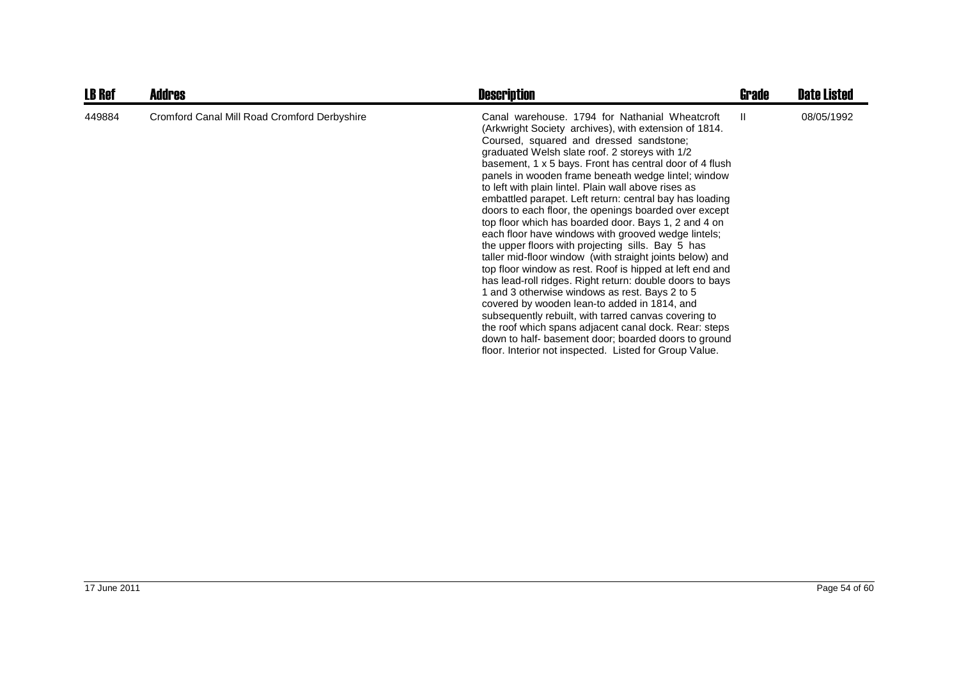| <b>LB Ref</b> | <b>Addres</b>                                | <b>Description</b>                                                                                                                                                                                                                                                                                                                                                                                                                                                                                                                                                                                                                                                                                                                                                                                                                                                                                                                                                                                                                                                                                                                                                                              | Grade | <b>Date Listed</b> |
|---------------|----------------------------------------------|-------------------------------------------------------------------------------------------------------------------------------------------------------------------------------------------------------------------------------------------------------------------------------------------------------------------------------------------------------------------------------------------------------------------------------------------------------------------------------------------------------------------------------------------------------------------------------------------------------------------------------------------------------------------------------------------------------------------------------------------------------------------------------------------------------------------------------------------------------------------------------------------------------------------------------------------------------------------------------------------------------------------------------------------------------------------------------------------------------------------------------------------------------------------------------------------------|-------|--------------------|
| 449884        | Cromford Canal Mill Road Cromford Derbyshire | Canal warehouse. 1794 for Nathanial Wheatcroft<br>(Arkwright Society archives), with extension of 1814.<br>Coursed, squared and dressed sandstone;<br>graduated Welsh slate roof. 2 storeys with 1/2<br>basement, 1 x 5 bays. Front has central door of 4 flush<br>panels in wooden frame beneath wedge lintel; window<br>to left with plain lintel. Plain wall above rises as<br>embattled parapet. Left return: central bay has loading<br>doors to each floor, the openings boarded over except<br>top floor which has boarded door. Bays 1, 2 and 4 on<br>each floor have windows with grooved wedge lintels;<br>the upper floors with projecting sills. Bay 5 has<br>taller mid-floor window (with straight joints below) and<br>top floor window as rest. Roof is hipped at left end and<br>has lead-roll ridges. Right return: double doors to bays<br>1 and 3 otherwise windows as rest. Bays 2 to 5<br>covered by wooden lean-to added in 1814, and<br>subsequently rebuilt, with tarred canvas covering to<br>the roof which spans adjacent canal dock. Rear: steps<br>down to half- basement door; boarded doors to ground<br>floor. Interior not inspected. Listed for Group Value. | Ш.    | 08/05/1992         |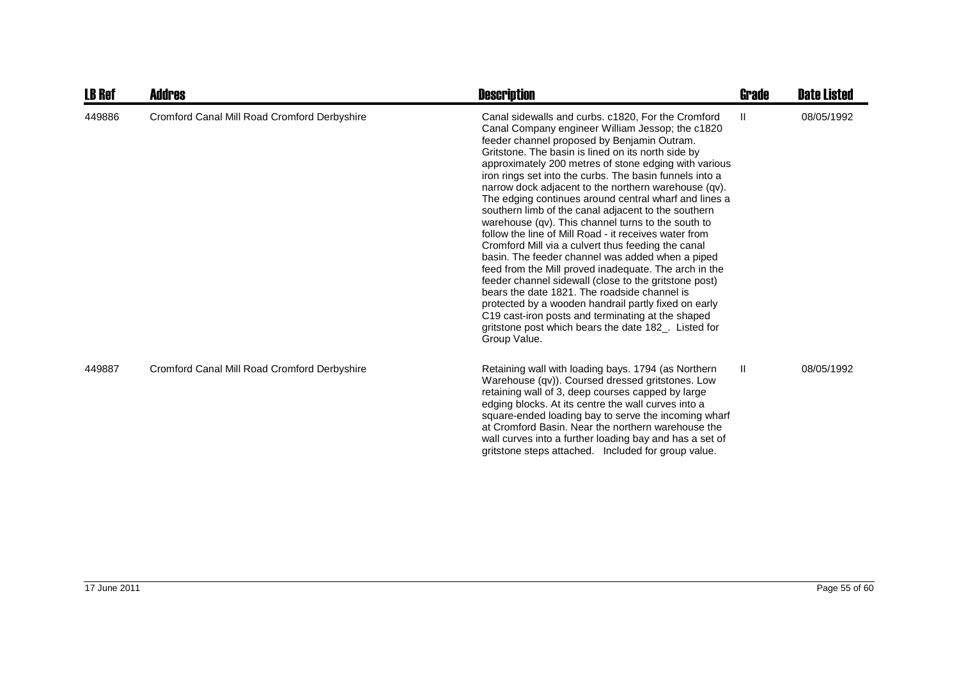| <b>LB Ref</b> | <b>Addres</b>                                | <b>Description</b>                                                                                                                                                                                                                                                                                                                                                                                                                                                                                                                                                                                                                                                                                                                                                                                                                                                                                                                                                                                                                                                                      | <b>Grade</b> | <b>Date Listed</b> |
|---------------|----------------------------------------------|-----------------------------------------------------------------------------------------------------------------------------------------------------------------------------------------------------------------------------------------------------------------------------------------------------------------------------------------------------------------------------------------------------------------------------------------------------------------------------------------------------------------------------------------------------------------------------------------------------------------------------------------------------------------------------------------------------------------------------------------------------------------------------------------------------------------------------------------------------------------------------------------------------------------------------------------------------------------------------------------------------------------------------------------------------------------------------------------|--------------|--------------------|
| 449886        | Cromford Canal Mill Road Cromford Derbyshire | Canal sidewalls and curbs. c1820, For the Cromford<br>Canal Company engineer William Jessop; the c1820<br>feeder channel proposed by Benjamin Outram.<br>Gritstone. The basin is lined on its north side by<br>approximately 200 metres of stone edging with various<br>iron rings set into the curbs. The basin funnels into a<br>narrow dock adjacent to the northern warehouse (qv).<br>The edging continues around central wharf and lines a<br>southern limb of the canal adjacent to the southern<br>warehouse (qv). This channel turns to the south to<br>follow the line of Mill Road - it receives water from<br>Cromford Mill via a culvert thus feeding the canal<br>basin. The feeder channel was added when a piped<br>feed from the Mill proved inadequate. The arch in the<br>feeder channel sidewall (close to the gritstone post)<br>bears the date 1821. The roadside channel is<br>protected by a wooden handrail partly fixed on early<br>C19 cast-iron posts and terminating at the shaped<br>gritstone post which bears the date 182_. Listed for<br>Group Value. | Ш            | 08/05/1992         |
| 449887        | Cromford Canal Mill Road Cromford Derbyshire | Retaining wall with loading bays. 1794 (as Northern<br>Warehouse (qv)). Coursed dressed gritstones. Low<br>retaining wall of 3, deep courses capped by large<br>edging blocks. At its centre the wall curves into a<br>square-ended loading bay to serve the incoming wharf<br>at Cromford Basin. Near the northern warehouse the<br>wall curves into a further loading bay and has a set of<br>gritstone steps attached. Included for group value.                                                                                                                                                                                                                                                                                                                                                                                                                                                                                                                                                                                                                                     | Ш            | 08/05/1992         |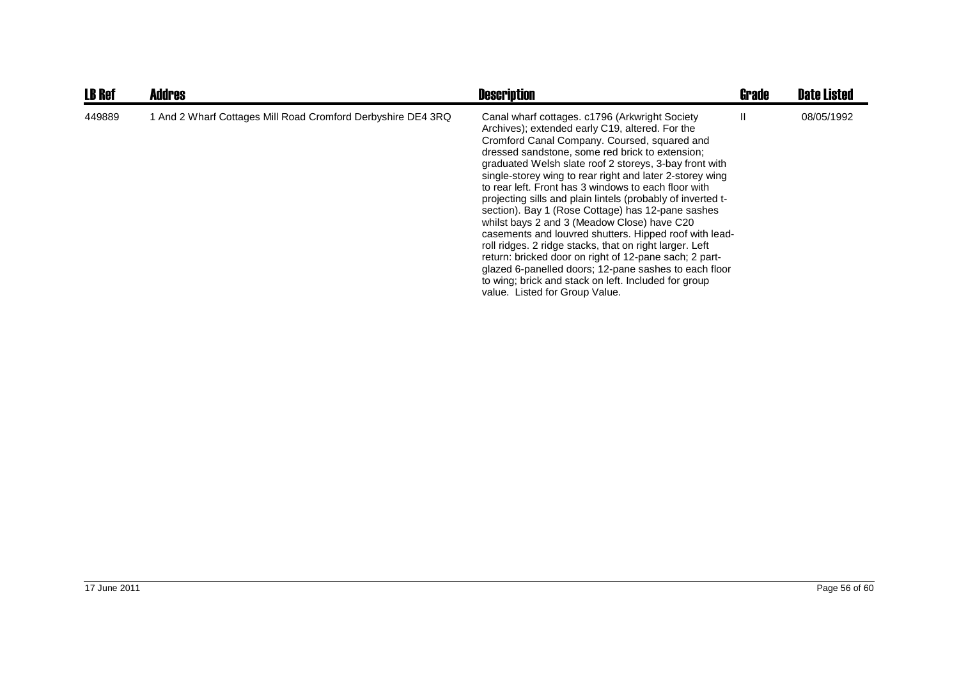| <b>LB Ref</b> | <b>Addres</b>                                                | <b>Description</b>                                                                                                                                                                                                                                                                                                                                                                                                                                                                                                                                                                                                                                                                                                                                                                                                                                                                      | <b>Grade</b> | <b>Date Listed</b> |
|---------------|--------------------------------------------------------------|-----------------------------------------------------------------------------------------------------------------------------------------------------------------------------------------------------------------------------------------------------------------------------------------------------------------------------------------------------------------------------------------------------------------------------------------------------------------------------------------------------------------------------------------------------------------------------------------------------------------------------------------------------------------------------------------------------------------------------------------------------------------------------------------------------------------------------------------------------------------------------------------|--------------|--------------------|
| 449889        | 1 And 2 Wharf Cottages Mill Road Cromford Derbyshire DE4 3RQ | Canal wharf cottages. c1796 (Arkwright Society<br>Archives); extended early C19, altered. For the<br>Cromford Canal Company. Coursed, squared and<br>dressed sandstone, some red brick to extension;<br>graduated Welsh slate roof 2 storeys, 3-bay front with<br>single-storey wing to rear right and later 2-storey wing<br>to rear left. Front has 3 windows to each floor with<br>projecting sills and plain lintels (probably of inverted t-<br>section). Bay 1 (Rose Cottage) has 12-pane sashes<br>whilst bays 2 and 3 (Meadow Close) have C20<br>casements and louvred shutters. Hipped roof with lead-<br>roll ridges. 2 ridge stacks, that on right larger. Left<br>return: bricked door on right of 12-pane sach; 2 part-<br>glazed 6-panelled doors; 12-pane sashes to each floor<br>to wing; brick and stack on left. Included for group<br>value. Listed for Group Value. | H.           | 08/05/1992         |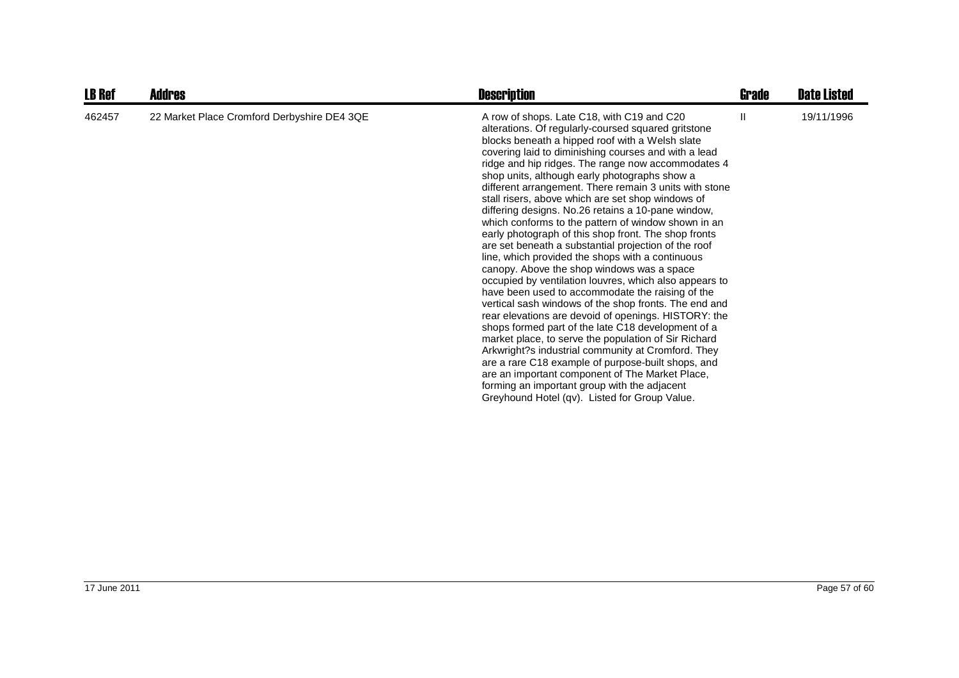| <b>LB Ref</b> | Addres                                      | <b>Description</b>                                                                                                                                                                                                                                                                                                                                                                                                                                                                                                                                                                                                                                                                                                                                                                                                                                                                                                                                                                                                                                                                                                                                                                                                                                                                                                                                                             | Grade | <b>Date Listed</b> |
|---------------|---------------------------------------------|--------------------------------------------------------------------------------------------------------------------------------------------------------------------------------------------------------------------------------------------------------------------------------------------------------------------------------------------------------------------------------------------------------------------------------------------------------------------------------------------------------------------------------------------------------------------------------------------------------------------------------------------------------------------------------------------------------------------------------------------------------------------------------------------------------------------------------------------------------------------------------------------------------------------------------------------------------------------------------------------------------------------------------------------------------------------------------------------------------------------------------------------------------------------------------------------------------------------------------------------------------------------------------------------------------------------------------------------------------------------------------|-------|--------------------|
| 462457        | 22 Market Place Cromford Derbyshire DE4 3QE | A row of shops. Late C18, with C19 and C20<br>alterations. Of regularly-coursed squared gritstone<br>blocks beneath a hipped roof with a Welsh slate<br>covering laid to diminishing courses and with a lead<br>ridge and hip ridges. The range now accommodates 4<br>shop units, although early photographs show a<br>different arrangement. There remain 3 units with stone<br>stall risers, above which are set shop windows of<br>differing designs. No.26 retains a 10-pane window,<br>which conforms to the pattern of window shown in an<br>early photograph of this shop front. The shop fronts<br>are set beneath a substantial projection of the roof<br>line, which provided the shops with a continuous<br>canopy. Above the shop windows was a space<br>occupied by ventilation louvres, which also appears to<br>have been used to accommodate the raising of the<br>vertical sash windows of the shop fronts. The end and<br>rear elevations are devoid of openings. HISTORY: the<br>shops formed part of the late C18 development of a<br>market place, to serve the population of Sir Richard<br>Arkwright?s industrial community at Cromford. They<br>are a rare C18 example of purpose-built shops, and<br>are an important component of The Market Place,<br>forming an important group with the adjacent<br>Greyhound Hotel (qv). Listed for Group Value. | H.    | 19/11/1996         |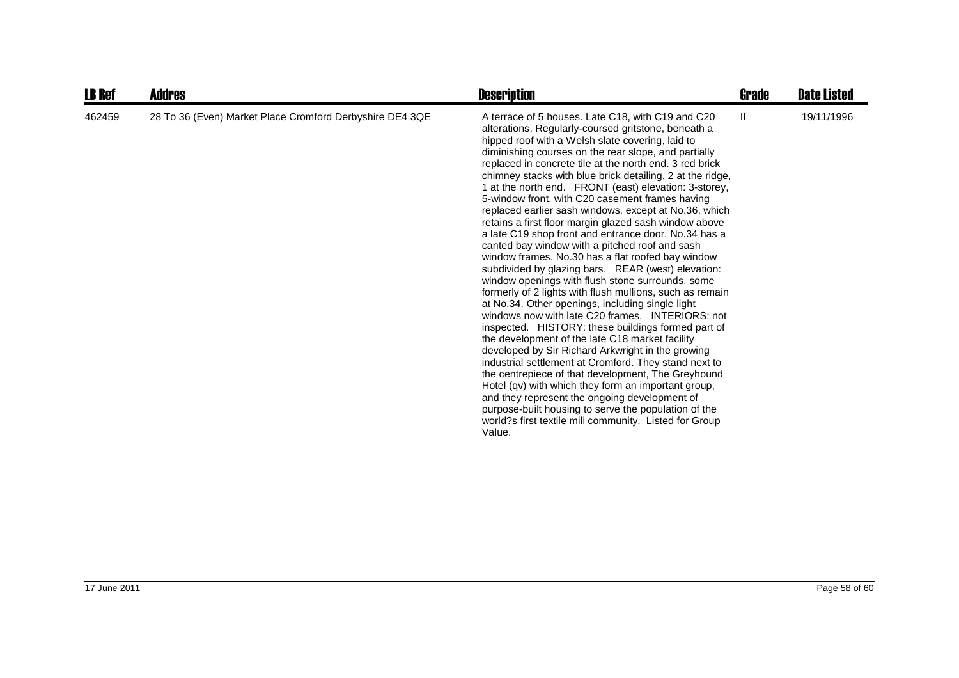| <b>LB Ref</b> | Addres                                                   | <b>Description</b>                                                                                                                                                                                                                                                                                                                                                                                                                                                                                                                                                                                                                                                                                                                                                                                                                                                                                                                                                                                                                                                                                                                                                                                                                                                                                                                                                                                                                                                                                                                       | Grade        | <b>Date Listed</b> |
|---------------|----------------------------------------------------------|------------------------------------------------------------------------------------------------------------------------------------------------------------------------------------------------------------------------------------------------------------------------------------------------------------------------------------------------------------------------------------------------------------------------------------------------------------------------------------------------------------------------------------------------------------------------------------------------------------------------------------------------------------------------------------------------------------------------------------------------------------------------------------------------------------------------------------------------------------------------------------------------------------------------------------------------------------------------------------------------------------------------------------------------------------------------------------------------------------------------------------------------------------------------------------------------------------------------------------------------------------------------------------------------------------------------------------------------------------------------------------------------------------------------------------------------------------------------------------------------------------------------------------------|--------------|--------------------|
| 462459        | 28 To 36 (Even) Market Place Cromford Derbyshire DE4 3QE | A terrace of 5 houses. Late C18, with C19 and C20<br>alterations. Regularly-coursed gritstone, beneath a<br>hipped roof with a Welsh slate covering, laid to<br>diminishing courses on the rear slope, and partially<br>replaced in concrete tile at the north end. 3 red brick<br>chimney stacks with blue brick detailing, 2 at the ridge,<br>1 at the north end. FRONT (east) elevation: 3-storey,<br>5-window front, with C20 casement frames having<br>replaced earlier sash windows, except at No.36, which<br>retains a first floor margin glazed sash window above<br>a late C19 shop front and entrance door. No.34 has a<br>canted bay window with a pitched roof and sash<br>window frames. No.30 has a flat roofed bay window<br>subdivided by glazing bars. REAR (west) elevation:<br>window openings with flush stone surrounds, some<br>formerly of 2 lights with flush mullions, such as remain<br>at No.34. Other openings, including single light<br>windows now with late C20 frames. INTERIORS: not<br>inspected. HISTORY: these buildings formed part of<br>the development of the late C18 market facility<br>developed by Sir Richard Arkwright in the growing<br>industrial settlement at Cromford. They stand next to<br>the centrepiece of that development, The Greyhound<br>Hotel (qv) with which they form an important group,<br>and they represent the ongoing development of<br>purpose-built housing to serve the population of the<br>world?s first textile mill community. Listed for Group<br>Value. | $\mathbf{H}$ | 19/11/1996         |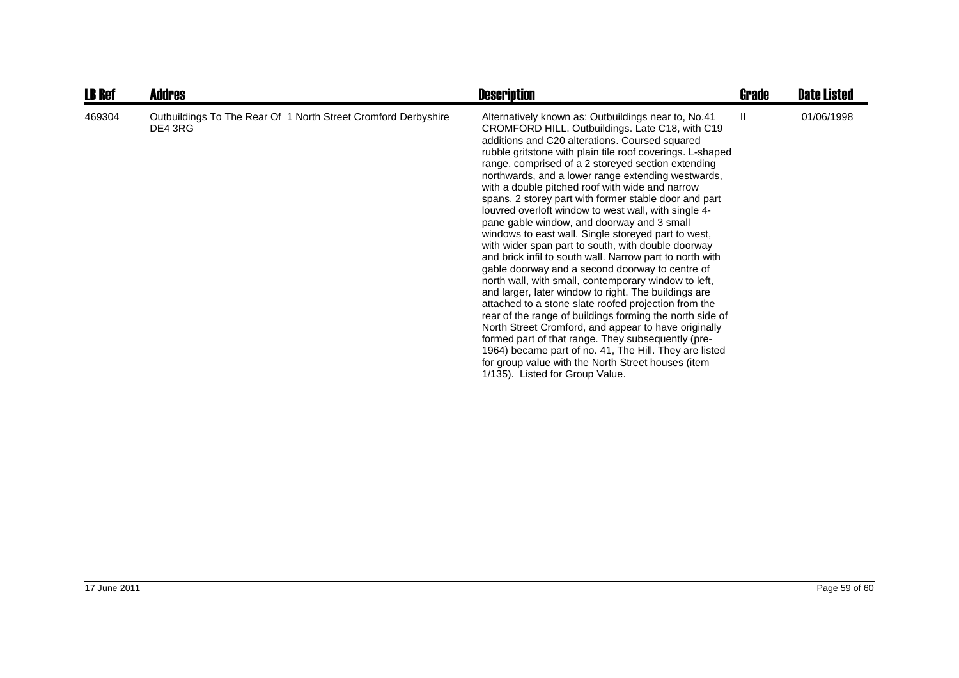| <b>LB Ref</b> | <b>Addres</b>                                                             | <b>Description</b>                                                                                                                                                                                                                                                                                                                                                                                                                                                                                                                                                                                                                                                                                                                                                                                                                                                                                                                                                                                                                                                                                                                                                                                                                                                                   | Grade | <b>Date Listed</b> |
|---------------|---------------------------------------------------------------------------|--------------------------------------------------------------------------------------------------------------------------------------------------------------------------------------------------------------------------------------------------------------------------------------------------------------------------------------------------------------------------------------------------------------------------------------------------------------------------------------------------------------------------------------------------------------------------------------------------------------------------------------------------------------------------------------------------------------------------------------------------------------------------------------------------------------------------------------------------------------------------------------------------------------------------------------------------------------------------------------------------------------------------------------------------------------------------------------------------------------------------------------------------------------------------------------------------------------------------------------------------------------------------------------|-------|--------------------|
| 469304        | Outbuildings To The Rear Of 1 North Street Cromford Derbyshire<br>DE4 3RG | Alternatively known as: Outbuildings near to, No.41<br>CROMFORD HILL. Outbuildings. Late C18, with C19<br>additions and C20 alterations. Coursed squared<br>rubble gritstone with plain tile roof coverings. L-shaped<br>range, comprised of a 2 storeyed section extending<br>northwards, and a lower range extending westwards,<br>with a double pitched roof with wide and narrow<br>spans. 2 storey part with former stable door and part<br>louvred overloft window to west wall, with single 4-<br>pane gable window, and doorway and 3 small<br>windows to east wall. Single storeyed part to west,<br>with wider span part to south, with double doorway<br>and brick infil to south wall. Narrow part to north with<br>gable doorway and a second doorway to centre of<br>north wall, with small, contemporary window to left,<br>and larger, later window to right. The buildings are<br>attached to a stone slate roofed projection from the<br>rear of the range of buildings forming the north side of<br>North Street Cromford, and appear to have originally<br>formed part of that range. They subsequently (pre-<br>1964) became part of no. 41, The Hill. They are listed<br>for group value with the North Street houses (item<br>1/135). Listed for Group Value. | H.    | 01/06/1998         |